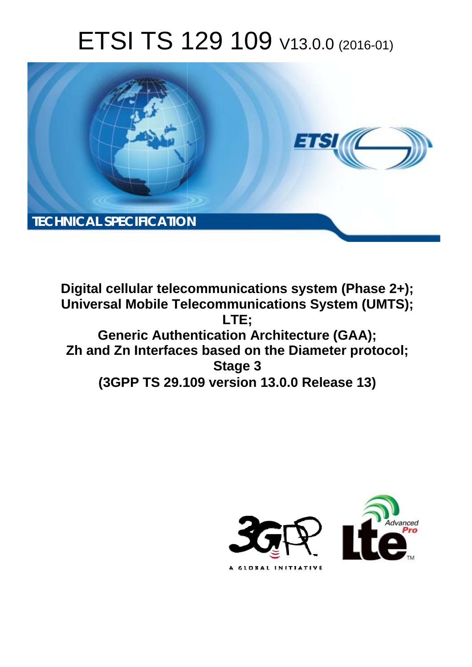# ETSI TS 129 109 V13.0.0 (2016-01)



**Digital cellular telecommunications system (Phase 2+); Universal Mobile Tel elecommunications System ( (UMTS);** Generic Authentication Architecture (GAA); **Zh and Zn Interface ces based on the Diameter pro protocol; (3GPP TS 29.1 .109 version 13.0.0 Release 13 13) LTE; Stage 3** 

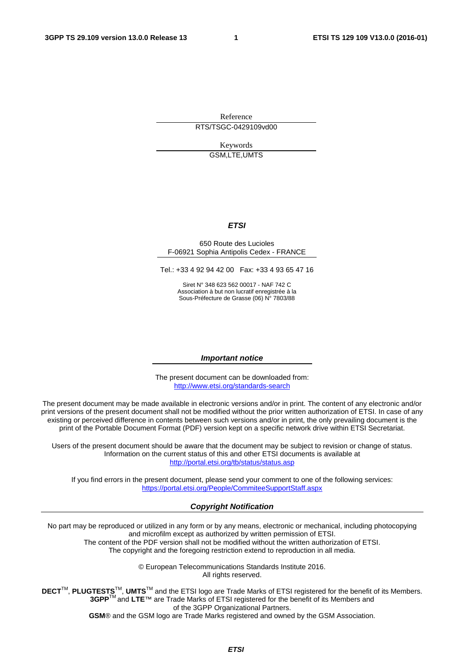Reference RTS/TSGC-0429109vd00

> Keywords GSM,LTE,UMTS

#### *ETSI*

#### 650 Route des Lucioles F-06921 Sophia Antipolis Cedex - FRANCE

Tel.: +33 4 92 94 42 00 Fax: +33 4 93 65 47 16

Siret N° 348 623 562 00017 - NAF 742 C Association à but non lucratif enregistrée à la Sous-Préfecture de Grasse (06) N° 7803/88

#### *Important notice*

The present document can be downloaded from: <http://www.etsi.org/standards-search>

The present document may be made available in electronic versions and/or in print. The content of any electronic and/or print versions of the present document shall not be modified without the prior written authorization of ETSI. In case of any existing or perceived difference in contents between such versions and/or in print, the only prevailing document is the print of the Portable Document Format (PDF) version kept on a specific network drive within ETSI Secretariat.

Users of the present document should be aware that the document may be subject to revision or change of status. Information on the current status of this and other ETSI documents is available at <http://portal.etsi.org/tb/status/status.asp>

If you find errors in the present document, please send your comment to one of the following services: <https://portal.etsi.org/People/CommiteeSupportStaff.aspx>

#### *Copyright Notification*

No part may be reproduced or utilized in any form or by any means, electronic or mechanical, including photocopying and microfilm except as authorized by written permission of ETSI.

The content of the PDF version shall not be modified without the written authorization of ETSI. The copyright and the foregoing restriction extend to reproduction in all media.

> © European Telecommunications Standards Institute 2016. All rights reserved.

**DECT**TM, **PLUGTESTS**TM, **UMTS**TM and the ETSI logo are Trade Marks of ETSI registered for the benefit of its Members. **3GPP**TM and **LTE**™ are Trade Marks of ETSI registered for the benefit of its Members and of the 3GPP Organizational Partners.

**GSM**® and the GSM logo are Trade Marks registered and owned by the GSM Association.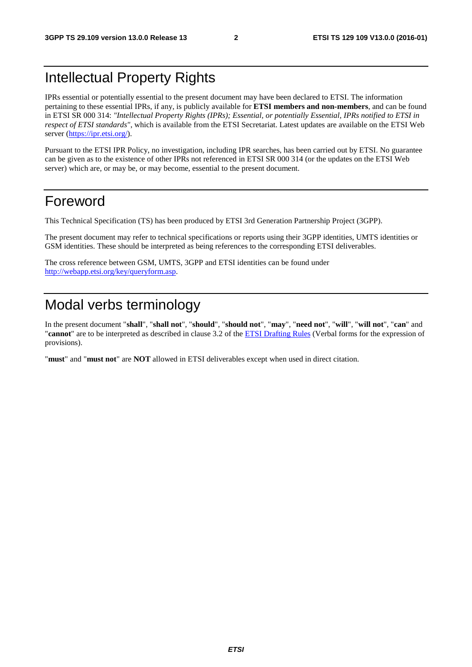# Intellectual Property Rights

IPRs essential or potentially essential to the present document may have been declared to ETSI. The information pertaining to these essential IPRs, if any, is publicly available for **ETSI members and non-members**, and can be found in ETSI SR 000 314: *"Intellectual Property Rights (IPRs); Essential, or potentially Essential, IPRs notified to ETSI in respect of ETSI standards"*, which is available from the ETSI Secretariat. Latest updates are available on the ETSI Web server [\(https://ipr.etsi.org/](https://ipr.etsi.org/)).

Pursuant to the ETSI IPR Policy, no investigation, including IPR searches, has been carried out by ETSI. No guarantee can be given as to the existence of other IPRs not referenced in ETSI SR 000 314 (or the updates on the ETSI Web server) which are, or may be, or may become, essential to the present document.

# Foreword

This Technical Specification (TS) has been produced by ETSI 3rd Generation Partnership Project (3GPP).

The present document may refer to technical specifications or reports using their 3GPP identities, UMTS identities or GSM identities. These should be interpreted as being references to the corresponding ETSI deliverables.

The cross reference between GSM, UMTS, 3GPP and ETSI identities can be found under [http://webapp.etsi.org/key/queryform.asp.](http://webapp.etsi.org/key/queryform.asp)

# Modal verbs terminology

In the present document "**shall**", "**shall not**", "**should**", "**should not**", "**may**", "**need not**", "**will**", "**will not**", "**can**" and "**cannot**" are to be interpreted as described in clause 3.2 of the [ETSI Drafting Rules](http://portal.etsi.org/Help/editHelp!/Howtostart/ETSIDraftingRules.aspx) (Verbal forms for the expression of provisions).

"**must**" and "**must not**" are **NOT** allowed in ETSI deliverables except when used in direct citation.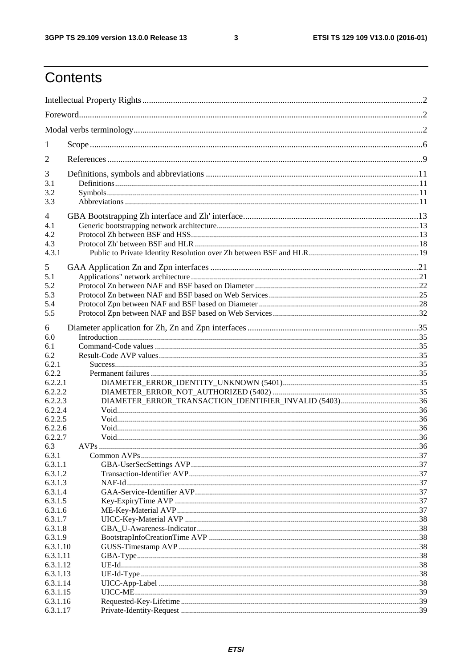$\mathbf{3}$ 

# Contents

| 1                  |                                                        |  |
|--------------------|--------------------------------------------------------|--|
| 2                  |                                                        |  |
| 3                  |                                                        |  |
| 3.1                |                                                        |  |
| 3.2                |                                                        |  |
| 3.3                |                                                        |  |
| 4                  |                                                        |  |
| 4.1                |                                                        |  |
| 4.2                |                                                        |  |
| 4.3                |                                                        |  |
| 4.3.1              |                                                        |  |
| 5                  |                                                        |  |
| 5.1                |                                                        |  |
| 5.2                |                                                        |  |
| 5.3                |                                                        |  |
| 5.4                |                                                        |  |
| 5.5                |                                                        |  |
| 6                  |                                                        |  |
| 6.0                |                                                        |  |
| 6.1                |                                                        |  |
| 6.2                |                                                        |  |
| 6.2.1              |                                                        |  |
| 6.2.2              |                                                        |  |
| 6.2.2.1            |                                                        |  |
| 6.2.2.2            |                                                        |  |
| 6.2.2.3            | DIAMETER_ERROR_TRANSACTION_IDENTIFIER_INVALID (5403)36 |  |
| 6.2.2.4            |                                                        |  |
| 6.2.2.5            |                                                        |  |
| 6.2.2.6            |                                                        |  |
| 6.2.2.7            |                                                        |  |
| 6.3                | <b>AVPs</b>                                            |  |
| 6.3.1              |                                                        |  |
| 6.3.1.1<br>6.3.1.2 |                                                        |  |
| 6.3.1.3            |                                                        |  |
| 6.3.1.4            |                                                        |  |
| 6.3.1.5            |                                                        |  |
| 6.3.1.6            |                                                        |  |
| 6.3.1.7            |                                                        |  |
| 6.3.1.8            |                                                        |  |
| 6.3.1.9            |                                                        |  |
| 6.3.1.10           |                                                        |  |
| 6.3.1.11           |                                                        |  |
| 6.3.1.12           |                                                        |  |
| 6.3.1.13           |                                                        |  |
| 6.3.1.14           |                                                        |  |
| 6.3.1.15           |                                                        |  |
| 6.3.1.16           |                                                        |  |
| 6.3.1.17           |                                                        |  |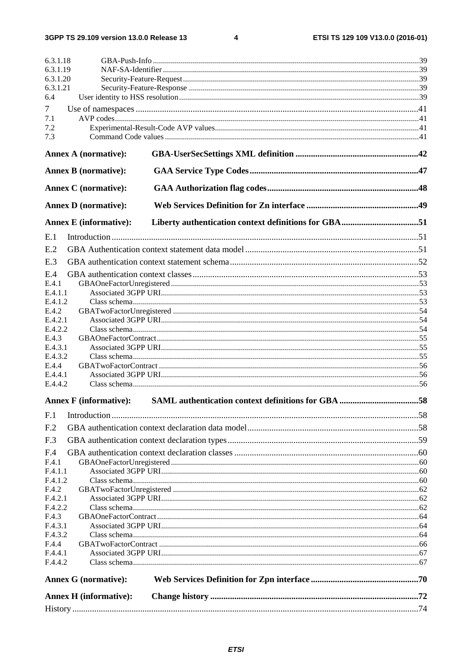$\overline{\mathbf{4}}$ 

| 6.3.1.18<br>6.3.1.19          |  |  |  |  |
|-------------------------------|--|--|--|--|
| 6.3.1.20                      |  |  |  |  |
| 6.3.1.21                      |  |  |  |  |
| 6.4                           |  |  |  |  |
| $\tau$                        |  |  |  |  |
| 7.1                           |  |  |  |  |
| 7.2                           |  |  |  |  |
| 7.3                           |  |  |  |  |
| <b>Annex A (normative):</b>   |  |  |  |  |
| <b>Annex B</b> (normative):   |  |  |  |  |
| <b>Annex C</b> (normative):   |  |  |  |  |
| <b>Annex D</b> (normative):   |  |  |  |  |
| <b>Annex E</b> (informative): |  |  |  |  |
| E.1                           |  |  |  |  |
| E.2                           |  |  |  |  |
| E.3                           |  |  |  |  |
| E.4                           |  |  |  |  |
| E.4.1                         |  |  |  |  |
| E.4.1.1                       |  |  |  |  |
| E.4.1.2                       |  |  |  |  |
| E.4.2<br>E.4.2.1              |  |  |  |  |
| E.4.2.2                       |  |  |  |  |
| E.4.3                         |  |  |  |  |
| E.4.3.1                       |  |  |  |  |
| E.4.3.2                       |  |  |  |  |
| E.4.4<br>E.4.4.1              |  |  |  |  |
| E.4.4.2                       |  |  |  |  |
| <b>Annex F</b> (informative): |  |  |  |  |
| F <sub>.1</sub>               |  |  |  |  |
| F <sub>.2</sub>               |  |  |  |  |
| F.3                           |  |  |  |  |
| F.4                           |  |  |  |  |
| F.4.1                         |  |  |  |  |
| F.4.1.1                       |  |  |  |  |
| F.4.1.2                       |  |  |  |  |
| F.4.2<br>F.4.2.1              |  |  |  |  |
| F.4.2.2                       |  |  |  |  |
| F.4.3                         |  |  |  |  |
| F.4.3.1                       |  |  |  |  |
| F.4.3.2                       |  |  |  |  |
| F.4.4<br>F.4.4.1              |  |  |  |  |
| F.4.4.2                       |  |  |  |  |
| <b>Annex G</b> (normative):   |  |  |  |  |
| <b>Annex H</b> (informative): |  |  |  |  |
|                               |  |  |  |  |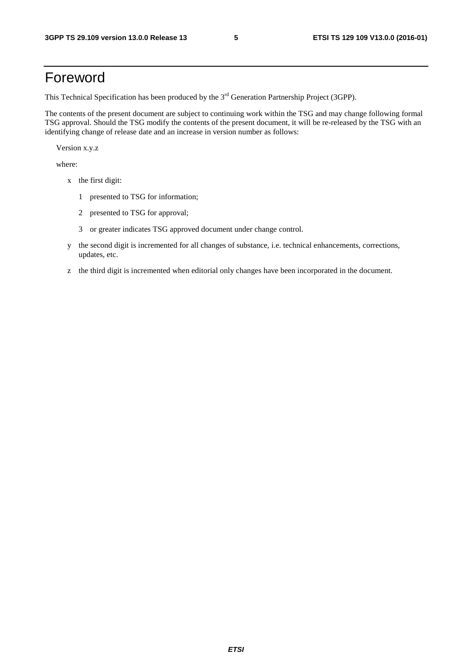# Foreword

This Technical Specification has been produced by the 3<sup>rd</sup> Generation Partnership Project (3GPP).

The contents of the present document are subject to continuing work within the TSG and may change following formal TSG approval. Should the TSG modify the contents of the present document, it will be re-released by the TSG with an identifying change of release date and an increase in version number as follows:

Version x.y.z

where:

- x the first digit:
	- 1 presented to TSG for information;
	- 2 presented to TSG for approval;
	- 3 or greater indicates TSG approved document under change control.
- y the second digit is incremented for all changes of substance, i.e. technical enhancements, corrections, updates, etc.
- z the third digit is incremented when editorial only changes have been incorporated in the document.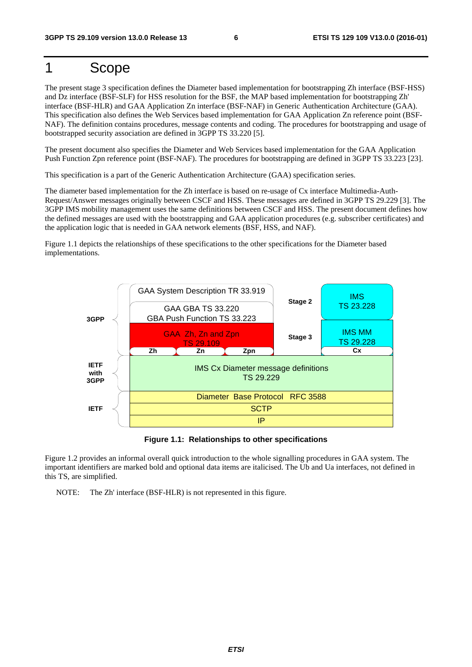# 1 Scope

The present stage 3 specification defines the Diameter based implementation for bootstrapping Zh interface (BSF-HSS) and Dz interface (BSF-SLF) for HSS resolution for the BSF, the MAP based implementation for bootstrapping Zh' interface (BSF-HLR) and GAA Application Zn interface (BSF-NAF) in Generic Authentication Architecture (GAA). This specification also defines the Web Services based implementation for GAA Application Zn reference point (BSF-NAF). The definition contains procedures, message contents and coding. The procedures for bootstrapping and usage of bootstrapped security association are defined in 3GPP TS 33.220 [5].

The present document also specifies the Diameter and Web Services based implementation for the GAA Application Push Function Zpn reference point (BSF-NAF). The procedures for bootstrapping are defined in 3GPP TS 33.223 [23].

This specification is a part of the Generic Authentication Architecture (GAA) specification series.

The diameter based implementation for the Zh interface is based on re-usage of Cx interface Multimedia-Auth-Request/Answer messages originally between CSCF and HSS. These messages are defined in 3GPP TS 29.229 [3]. The 3GPP IMS mobility management uses the same definitions between CSCF and HSS. The present document defines how the defined messages are used with the bootstrapping and GAA application procedures (e.g. subscriber certificates) and the application logic that is needed in GAA network elements (BSF, HSS, and NAF).

Figure 1.1 depicts the relationships of these specifications to the other specifications for the Diameter based implementations.



**Figure 1.1: Relationships to other specifications** 

Figure 1.2 provides an informal overall quick introduction to the whole signalling procedures in GAA system. The important identifiers are marked bold and optional data items are italicised. The Ub and Ua interfaces, not defined in this TS, are simplified.

NOTE: The Zh' interface (BSF-HLR) is not represented in this figure.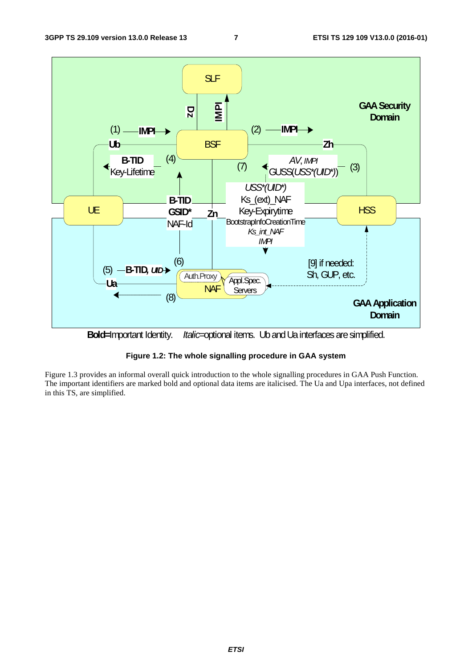

**Bold=**Important Identity. *Italic*=optional items. Ub and Ua interfaces are simplified.



Figure 1.3 provides an informal overall quick introduction to the whole signalling procedures in GAA Push Function. The important identifiers are marked bold and optional data items are italicised. The Ua and Upa interfaces, not defined in this TS, are simplified.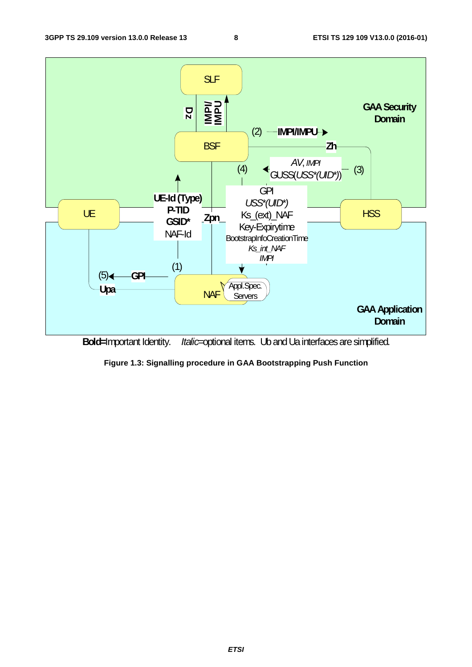

**Bold=**Important Identity. *Italic*=optional items. Ub and Ua interfaces are simplified.

**Figure 1.3: Signalling procedure in GAA Bootstrapping Push Function**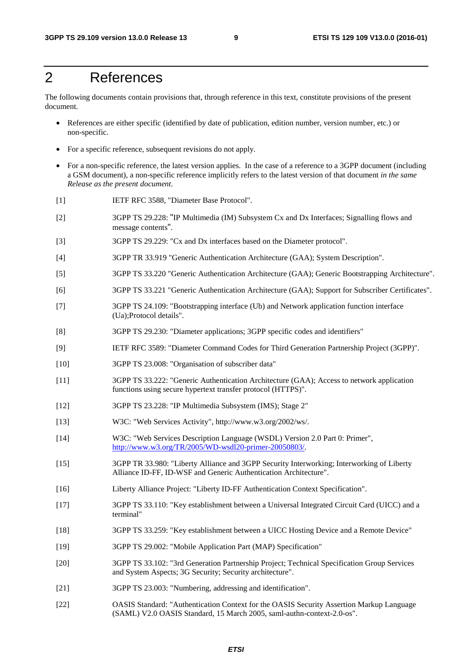# 2 References

The following documents contain provisions that, through reference in this text, constitute provisions of the present document.

- References are either specific (identified by date of publication, edition number, version number, etc.) or non-specific.
- For a specific reference, subsequent revisions do not apply.
- For a non-specific reference, the latest version applies. In the case of a reference to a 3GPP document (including a GSM document), a non-specific reference implicitly refers to the latest version of that document *in the same Release as the present document*.
- [1] IETF RFC 3588, "Diameter Base Protocol".
- [2] 3GPP TS 29.228: "IP Multimedia (IM) Subsystem Cx and Dx Interfaces; Signalling flows and message contents".
- [3] 3GPP TS 29.229: "Cx and Dx interfaces based on the Diameter protocol".
- [4] 3GPP TR 33.919 "Generic Authentication Architecture (GAA); System Description".
- [5] 3GPP TS 33.220 "Generic Authentication Architecture (GAA); Generic Bootstrapping Architecture".
- [6] 3GPP TS 33.221 "Generic Authentication Architecture (GAA); Support for Subscriber Certificates".
- [7] 3GPP TS 24.109: "Bootstrapping interface (Ub) and Network application function interface (Ua);Protocol details".
- [8] 3GPP TS 29.230: "Diameter applications; 3GPP specific codes and identifiers"
- [9] IETF RFC 3589: "Diameter Command Codes for Third Generation Partnership Project (3GPP)".
- [10] 3GPP TS 23.008: "Organisation of subscriber data"
- [11] 3GPP TS 33.222: "Generic Authentication Architecture (GAA); Access to network application functions using secure hypertext transfer protocol (HTTPS)".
- [12] 3GPP TS 23.228: "IP Multimedia Subsystem (IMS); Stage 2"
- [13] W3C: "Web Services Activity", http://www.w3.org/2002/ws/.
- [14] W3C: "Web Services Description Language (WSDL) Version 2.0 Part 0: Primer", [http://www.w3.org/TR/2005/WD-wsdl20-primer-20050803/.](http://www.w3.org/TR/2005/WD-wsdl20-primer-20050803/)
- [15] 3GPP TR 33.980: "Liberty Alliance and 3GPP Security Interworking; Interworking of Liberty Alliance ID-FF, ID-WSF and Generic Authentication Architecture".
- [16] Liberty Alliance Project: "Liberty ID-FF Authentication Context Specification".
- [17] 3GPP TS 33.110: "Key establishment between a Universal Integrated Circuit Card (UICC) and a terminal"
- [18] 3GPP TS 33.259: "Key establishment between a UICC Hosting Device and a Remote Device"
- [19] 3GPP TS 29.002: "Mobile Application Part (MAP) Specification"
- [20] 3GPP TS 33.102: "3rd Generation Partnership Project; Technical Specification Group Services and System Aspects; 3G Security; Security architecture".
- [21] 3GPP TS 23.003: "Numbering, addressing and identification".
- [22] OASIS Standard: "Authentication Context for the OASIS Security Assertion Markup Language (SAML) V2.0 OASIS Standard, 15 March 2005, saml-authn-context-2.0-os".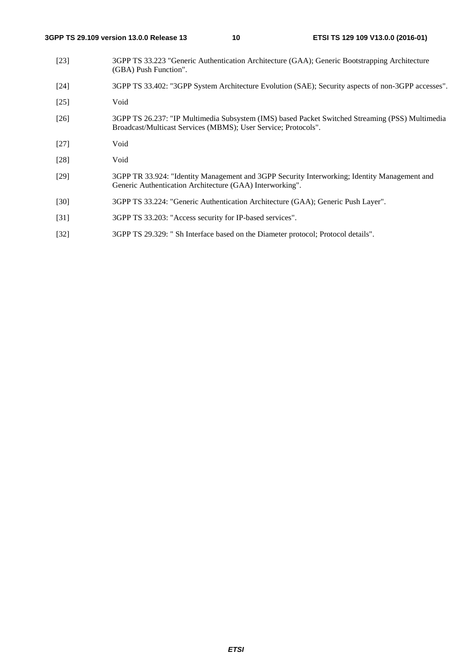- [23] 3GPP TS 33.223 "Generic Authentication Architecture (GAA); Generic Bootstrapping Architecture (GBA) Push Function".
- [24] 3GPP TS 33.402: "3GPP System Architecture Evolution (SAE); Security aspects of non-3GPP accesses".
- [25] Void
- [26] 3GPP TS 26.237: "IP Multimedia Subsystem (IMS) based Packet Switched Streaming (PSS) Multimedia Broadcast/Multicast Services (MBMS); User Service; Protocols".
- [27] Void
- [28] Void
- [29] 3GPP TR 33.924: "Identity Management and 3GPP Security Interworking; Identity Management and Generic Authentication Architecture (GAA) Interworking".
- [30] 3GPP TS 33.224: "Generic Authentication Architecture (GAA); Generic Push Layer".
- [31] 3GPP TS 33.203: "Access security for IP-based services".
- [32] 3GPP TS 29.329: " Sh Interface based on the Diameter protocol; Protocol details".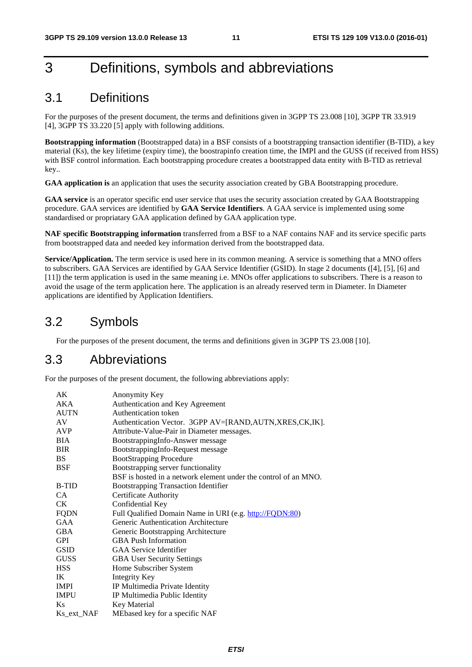# 3 Definitions, symbols and abbreviations

### 3.1 Definitions

For the purposes of the present document, the terms and definitions given in 3GPP TS 23.008 [10], 3GPP TR 33.919 [4], 3GPP TS 33.220 [5] apply with following additions.

**Bootstrapping information** (Bootstrapped data) in a BSF consists of a bootstrapping transaction identifier (B-TID), a key material (Ks), the key lifetime (expiry time), the boostrapinfo creation time, the IMPI and the GUSS (if received from HSS) with BSF control information. Each bootstrapping procedure creates a bootstrapped data entity with B-TID as retrieval key..

**GAA application is** an application that uses the security association created by GBA Bootstrapping procedure.

**GAA service** is an operator specific end user service that uses the security association created by GAA Bootstrapping procedure. GAA services are identified by **GAA Service Identifiers**. A GAA service is implemented using some standardised or propriatary GAA application defined by GAA application type.

**NAF specific Bootstrapping information** transferred from a BSF to a NAF contains NAF and its service specific parts from bootstrapped data and needed key information derived from the bootstrapped data.

**Service/Application.** The term service is used here in its common meaning. A service is something that a MNO offers to subscribers. GAA Services are identified by GAA Service Identifier (GSID). In stage 2 documents ([4], [5], [6] and [11]) the term application is used in the same meaning i.e. MNOs offer applications to subscribers. There is a reason to avoid the usage of the term application here. The application is an already reserved term in Diameter. In Diameter applications are identified by Application Identifiers.

### 3.2 Symbols

For the purposes of the present document, the terms and definitions given in 3GPP TS 23.008 [10].

### 3.3 Abbreviations

For the purposes of the present document, the following abbreviations apply:

| AK             | Anonymity Key                                                   |
|----------------|-----------------------------------------------------------------|
| AKA            | Authentication and Key Agreement                                |
| <b>AUTN</b>    | Authentication token                                            |
| AV             | Authentication Vector. 3GPP AV=[RAND, AUTN, XRES, CK, IK].      |
| AVP            | Attribute-Value-Pair in Diameter messages.                      |
| <b>BIA</b>     | BootstrappingInfo-Answer message                                |
| <b>BIR</b>     | BootstrappingInfo-Request message                               |
| <b>BS</b>      | <b>BootStrapping Procedure</b>                                  |
| <b>BSF</b>     | Bootstrapping server functionality                              |
|                | BSF is hosted in a network element under the control of an MNO. |
| B-TID          | <b>Bootstrapping Transaction Identifier</b>                     |
| <b>CA</b>      | <b>Certificate Authority</b>                                    |
| CK.            | Confidential Key                                                |
| <b>FQDN</b>    | Full Qualified Domain Name in URI (e.g. http://FQDN:80)         |
| <b>GAA</b>     | Generic Authentication Architecture                             |
| <b>GBA</b>     | Generic Bootstrapping Architecture                              |
| <b>GPI</b>     | <b>GBA Push Information</b>                                     |
| <b>GSID</b>    | <b>GAA</b> Service Identifier                                   |
| <b>GUSS</b>    | <b>GBA User Security Settings</b>                               |
| <b>HSS</b>     | Home Subscriber System                                          |
| IK             | Integrity Key                                                   |
| <b>IMPI</b>    | IP Multimedia Private Identity                                  |
| <b>IMPU</b>    | IP Multimedia Public Identity                                   |
| K <sub>S</sub> | Key Material                                                    |
| Ks_ext_NAF     | MEbased key for a specific NAF                                  |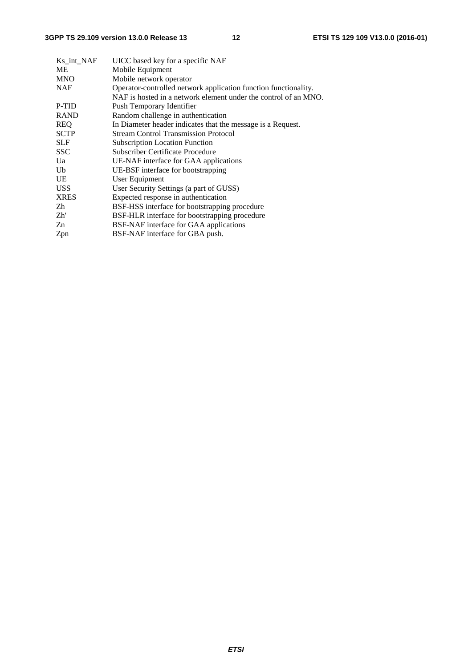| Ks int NAF  | UICC based key for a specific NAF                               |
|-------------|-----------------------------------------------------------------|
| <b>ME</b>   | Mobile Equipment                                                |
| <b>MNO</b>  | Mobile network operator                                         |
| <b>NAF</b>  | Operator-controlled network application function functionality. |
|             | NAF is hosted in a network element under the control of an MNO. |
| P-TID       | Push Temporary Identifier                                       |
| <b>RAND</b> | Random challenge in authentication                              |
| <b>REQ</b>  | In Diameter header indicates that the message is a Request.     |
| <b>SCTP</b> | <b>Stream Control Transmission Protocol</b>                     |
| <b>SLF</b>  | <b>Subscription Location Function</b>                           |
| <b>SSC</b>  | Subscriber Certificate Procedure                                |
| Ua          | UE-NAF interface for GAA applications                           |
| Ub          | UE-BSF interface for bootstrapping                              |
| UE          | User Equipment                                                  |
| <b>USS</b>  | User Security Settings (a part of GUSS)                         |
| <b>XRES</b> | Expected response in authentication                             |
| Zh          | BSF-HSS interface for bootstrapping procedure                   |
| Zh'         | BSF-HLR interface for bootstrapping procedure                   |
| Zn          | BSF-NAF interface for GAA applications                          |
| Zpn         | BSF-NAF interface for GBA push.                                 |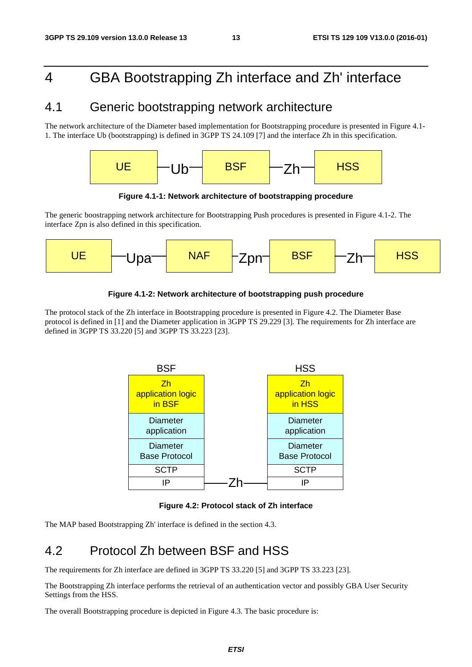# 4 GBA Bootstrapping Zh interface and Zh' interface

# 4.1 Generic bootstrapping network architecture

The network architecture of the Diameter based implementation for Bootstrapping procedure is presented in Figure 4.1- 1. The interface Ub (bootstrapping) is defined in 3GPP TS 24.109 [7] and the interface Zh in this specification.



**Figure 4.1-1: Network architecture of bootstrapping procedure** 

The generic boostrapping network architecture for Bootstrapping Push procedures is presented in Figure 4.1-2. The interface Zpn is also defined in this specification.



#### **Figure 4.1-2: Network architecture of bootstrapping push procedure**

The protocol stack of the Zh interface in Bootstrapping procedure is presented in Figure 4.2. The Diameter Base protocol is defined in [1] and the Diameter application in 3GPP TS 29.229 [3]. The requirements for Zh interface are defined in 3GPP TS 33.220 [5] and 3GPP TS 33.223 [23].



#### **Figure 4.2: Protocol stack of Zh interface**

The MAP based Bootstrapping Zh' interface is defined in the section 4.3.

### 4.2 Protocol Zh between BSF and HSS

The requirements for Zh interface are defined in 3GPP TS 33.220 [5] and 3GPP TS 33.223 [23].

The Bootstrapping Zh interface performs the retrieval of an authentication vector and possibly GBA User Security Settings from the HSS.

The overall Bootstrapping procedure is depicted in Figure 4.3. The basic procedure is: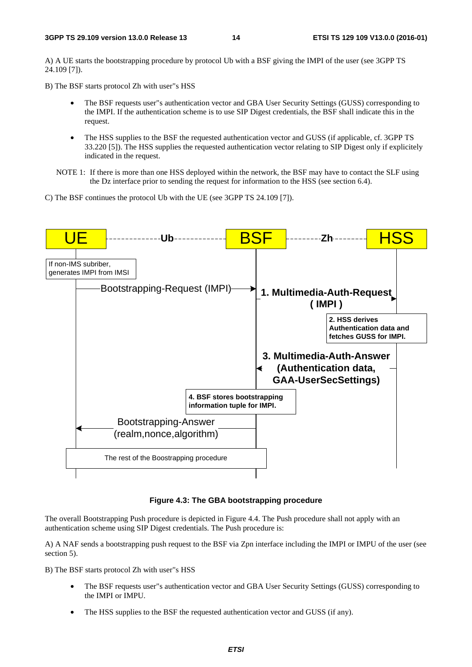A) A UE starts the bootstrapping procedure by protocol Ub with a BSF giving the IMPI of the user (see 3GPP TS 24.109 [7]).

B) The BSF starts protocol Zh with user"s HSS

- The BSF requests user"s authentication vector and GBA User Security Settings (GUSS) corresponding to the IMPI. If the authentication scheme is to use SIP Digest credentials, the BSF shall indicate this in the request.
- The HSS supplies to the BSF the requested authentication vector and GUSS (if applicable, cf. 3GPP TS 33.220 [5]). The HSS supplies the requested authentication vector relating to SIP Digest only if explicitely indicated in the request.

NOTE 1: If there is more than one HSS deployed within the network, the BSF may have to contact the SLF using the Dz interface prior to sending the request for information to the HSS (see section 6.4).

C) The BSF continues the protocol Ub with the UE (see 3GPP TS 24.109 [7]).



**Figure 4.3: The GBA bootstrapping procedure** 

The overall Bootstrapping Push procedure is depicted in Figure 4.4. The Push procedure shall not apply with an authentication scheme using SIP Digest credentials. The Push procedure is:

A) A NAF sends a bootstrapping push request to the BSF via Zpn interface including the IMPI or IMPU of the user (see section 5).

B) The BSF starts protocol Zh with user"s HSS

- The BSF requests user"s authentication vector and GBA User Security Settings (GUSS) corresponding to the IMPI or IMPU.
- The HSS supplies to the BSF the requested authentication vector and GUSS (if any).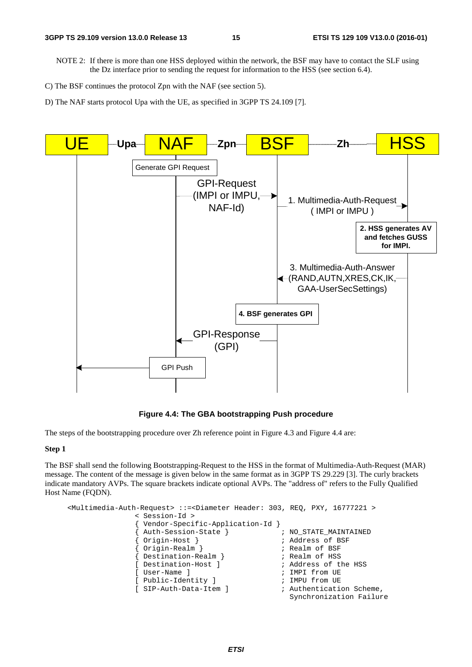NOTE 2: If there is more than one HSS deployed within the network, the BSF may have to contact the SLF using the Dz interface prior to sending the request for information to the HSS (see section 6.4).

D) The NAF starts protocol Upa with the UE, as specified in 3GPP TS 24.109 [7].



**Figure 4.4: The GBA bootstrapping Push procedure** 

The steps of the bootstrapping procedure over Zh reference point in Figure 4.3 and Figure 4.4 are:

#### **Step 1**

The BSF shall send the following Bootstrapping-Request to the HSS in the format of Multimedia-Auth-Request (MAR) message. The content of the message is given below in the same format as in 3GPP TS 29.229 [3]. The curly brackets indicate mandatory AVPs. The square brackets indicate optional AVPs. The "address of" refers to the Fully Qualified Host Name (FQDN).

```
<Multimedia-Auth-Request> ::=<Diameter Header: 303, REQ, PXY, 16777221 > 
               < Session-Id > 
                Vendor-Specific-Application-Id }<br>Auth-Session-State }        ; NO_STATE_MAINTAINED
                {\tt AuthorSession-State}{ Origin-Host } ; Address of BSF 
               { Origin-Realm } ; Realm of BSF 
               { Destination-Realm } ; Realm of HSS 
               [ Destination-Host ] \qquad \qquad ; Address of the HSS
               [ User-Name ] \qquad \qquad ; \text{ IMPI from UE} [ Public-Identity ] ; IMPU from UE 
               [ SIP-Auth-Data-Item ] \qquad \qquad ; Authentication Scheme,
                                                   Synchronization Failure
```
C) The BSF continues the protocol Zpn with the NAF (see section 5).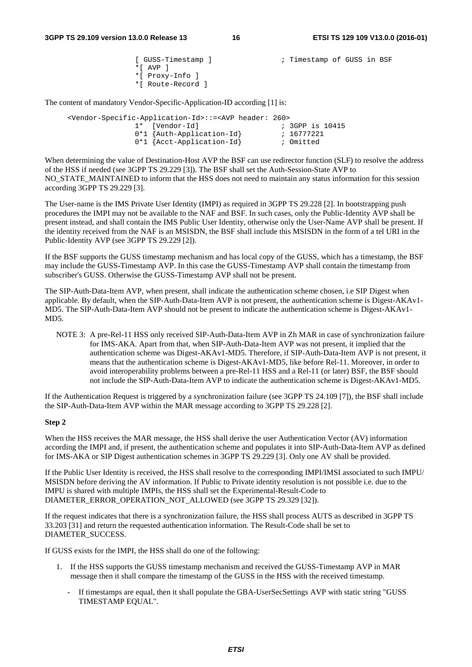```
[ GUSS-Timestamp ] \qquad \qquad ; Timestamp of GUSS in BSF
*[ AVP ]
*[ Proxy-Info ] 
*[ Route-Record ]
```
The content of mandatory Vendor-Specific-Application-ID according [1] is:

<Vendor-Specific-Application-Id>::=<AVP header: 260> ; 3GPP is 10415<br>; 16777221 0\*1 {Auth-Application-Id} 0\*1 {Acct-Application-Id} ; Omitted

When determining the value of Destination-Host AVP the BSF can use redirector function (SLF) to resolve the address of the HSS if needed (see 3GPP TS 29.229 [3]). The BSF shall set the Auth-Session-State AVP to NO\_STATE\_MAINTAINED to inform that the HSS does not need to maintain any status information for this session according 3GPP TS 29.229 [3].

The User-name is the IMS Private User Identity (IMPI) as required in 3GPP TS 29.228 [2]. In bootstrapping push procedures the IMPI may not be available to the NAF and BSF. In such cases, only the Public-Identity AVP shall be present instead, and shall contain the IMS Public User Identity, otherwise only the User-Name AVP shall be present. If the identity received from the NAF is an MSISDN, the BSF shall include this MSISDN in the form of a tel URI in the Public-Identity AVP (see 3GPP TS 29.229 [2]).

If the BSF supports the GUSS timestamp mechanism and has local copy of the GUSS, which has a timestamp, the BSF may include the GUSS-Timestamp AVP. In this case the GUSS-Timestamp AVP shall contain the timestamp from subscriber's GUSS. Otherwise the GUSS-Timestamp AVP shall not be present.

The SIP-Auth-Data-Item AVP, when present, shall indicate the authentication scheme chosen, i.e SIP Digest when applicable. By default, when the SIP-Auth-Data-Item AVP is not present, the authentication scheme is Digest-AKAv1- MD5. The SIP-Auth-Data-Item AVP should not be present to indicate the authentication scheme is Digest-AKAv1- MD5.

NOTE 3: A pre-Rel-11 HSS only received SIP-Auth-Data-Item AVP in Zh MAR in case of synchronization failure for IMS-AKA. Apart from that, when SIP-Auth-Data-Item AVP was not present, it implied that the authentication scheme was Digest-AKAv1-MD5. Therefore, if SIP-Auth-Data-Item AVP is not present, it means that the authentication scheme is Digest-AKAv1-MD5, like before Rel-11. Moreover, in order to avoid interoperability problems between a pre-Rel-11 HSS and a Rel-11 (or later) BSF, the BSF should not include the SIP-Auth-Data-Item AVP to indicate the authentication scheme is Digest-AKAv1-MD5.

If the Authentication Request is triggered by a synchronization failure (see 3GPP TS 24.109 [7]), the BSF shall include the SIP-Auth-Data-Item AVP within the MAR message according to 3GPP TS 29.228 [2].

#### **Step 2**

When the HSS receives the MAR message, the HSS shall derive the user Authentication Vector (AV) information according the IMPI and, if present, the authentication scheme and populates it into SIP-Auth-Data-Item AVP as defined for IMS-AKA or SIP Digest authentication schemes in 3GPP TS 29.229 [3]. Only one AV shall be provided.

If the Public User Identity is received, the HSS shall resolve to the corresponding IMPI/IMSI associated to such IMPU/ MSISDN before deriving the AV information. If Public to Private identity resolution is not possible i.e. due to the IMPU is shared with multiple IMPIs, the HSS shall set the Experimental-Result-Code to DIAMETER\_ERROR\_OPERATION\_NOT\_ALLOWED (see 3GPP TS 29.329 [32]).

If the request indicates that there is a synchronization failure, the HSS shall process AUTS as described in 3GPP TS 33.203 [31] and return the requested authentication information. The Result-Code shall be set to DIAMETER\_SUCCESS.

If GUSS exists for the IMPI, the HSS shall do one of the following:

- 1. If the HSS supports the GUSS timestamp mechanism and received the GUSS-Timestamp AVP in MAR message then it shall compare the timestamp of the GUSS in the HSS with the received timestamp.
	- If timestamps are equal, then it shall populate the GBA-UserSecSettings AVP with static string "GUSS TIMESTAMP EQUAL".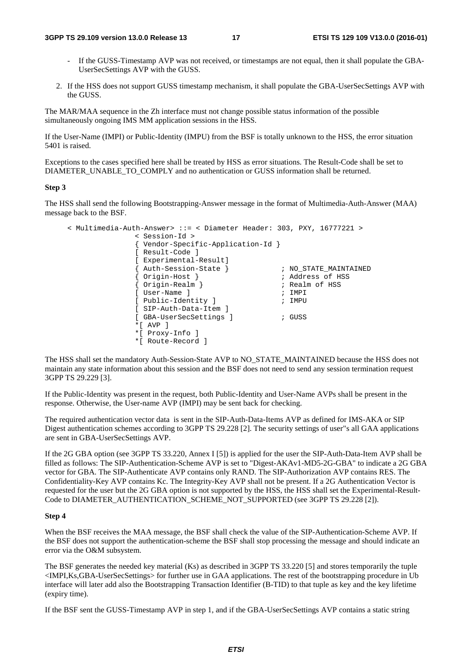- If the GUSS-Timestamp AVP was not received, or timestamps are not equal, then it shall populate the GBA-UserSecSettings AVP with the GUSS.
- 2. If the HSS does not support GUSS timestamp mechanism, it shall populate the GBA-UserSecSettings AVP with the GUSS.

The MAR/MAA sequence in the Zh interface must not change possible status information of the possible simultaneously ongoing IMS MM application sessions in the HSS.

If the User-Name (IMPI) or Public-Identity (IMPU) from the BSF is totally unknown to the HSS, the error situation 5401 is raised.

Exceptions to the cases specified here shall be treated by HSS as error situations. The Result-Code shall be set to DIAMETER\_UNABLE\_TO\_COMPLY and no authentication or GUSS information shall be returned.

#### **Step 3**

The HSS shall send the following Bootstrapping-Answer message in the format of Multimedia-Auth-Answer (MAA) message back to the BSF.

```
< Multimedia-Auth-Answer> ::= < Diameter Header: 303, PXY, 16777221 > 
                   < Session-Id > 
                    { Vendor-Specific-Application-Id } 
                    [ Result-Code ] 
                    [ Experimental-Result] 
                    { mappineside } ; NO_STATE_MAINTAINED<br>{ Auth-Session-State } ; NO_STATE_MAINTAINED<br>{ and the state is in a state of HSS
                                                             ; Address of HSS<br>; Realm of HSS
                    { Origin-Host }<br>{ Origin-Realm }
                    [ User-Name ] ; IMPI<br>[ Public-Identity ] ; impu
                   [ Public-Identity ]
                   [ SIP-Auth-Data-Item ] 
                   [ GBA-UserSecSettings ] ; GUSS
                    *[ AVP ] 
                    *[ Proxy-Info ] 
                    *[ Route-Record ]
```
The HSS shall set the mandatory Auth-Session-State AVP to NO\_STATE\_MAINTAINED because the HSS does not maintain any state information about this session and the BSF does not need to send any session termination request 3GPP TS 29.229 [3].

If the Public-Identity was present in the request, both Public-Identity and User-Name AVPs shall be present in the response. Otherwise, the User-name AVP (IMPI) may be sent back for checking.

The required authentication vector data is sent in the SIP-Auth-Data-Items AVP as defined for IMS-AKA or SIP Digest authentication schemes according to 3GPP TS 29.228 [2]. The security settings of user"s all GAA applications are sent in GBA-UserSecSettings AVP.

If the 2G GBA option (see 3GPP TS 33.220, Annex I [5]) is applied for the user the SIP-Auth-Data-Item AVP shall be filled as follows: The SIP-Authentication-Scheme AVP is set to "Digest-AKAv1-MD5-2G-GBA" to indicate a 2G GBA vector for GBA. The SIP-Authenticate AVP contains only RAND. The SIP-Authorization AVP contains RES. The Confidentiality-Key AVP contains Kc. The Integrity-Key AVP shall not be present. If a 2G Authentication Vector is requested for the user but the 2G GBA option is not supported by the HSS, the HSS shall set the Experimental-Result-Code to DIAMETER\_AUTHENTICATION\_SCHEME\_NOT\_SUPPORTED (see 3GPP TS 29.228 [2]).

#### **Step 4**

When the BSF receives the MAA message, the BSF shall check the value of the SIP-Authentication-Scheme AVP. If the BSF does not support the authentication-scheme the BSF shall stop processing the message and should indicate an error via the O&M subsystem.

The BSF generates the needed key material (Ks) as described in 3GPP TS 33.220 [5] and stores temporarily the tuple <IMPI,Ks,GBA-UserSecSettings> for further use in GAA applications. The rest of the bootstrapping procedure in Ub interface will later add also the Bootstrapping Transaction Identifier (B-TID) to that tuple as key and the key lifetime (expiry time).

If the BSF sent the GUSS-Timestamp AVP in step 1, and if the GBA-UserSecSettings AVP contains a static string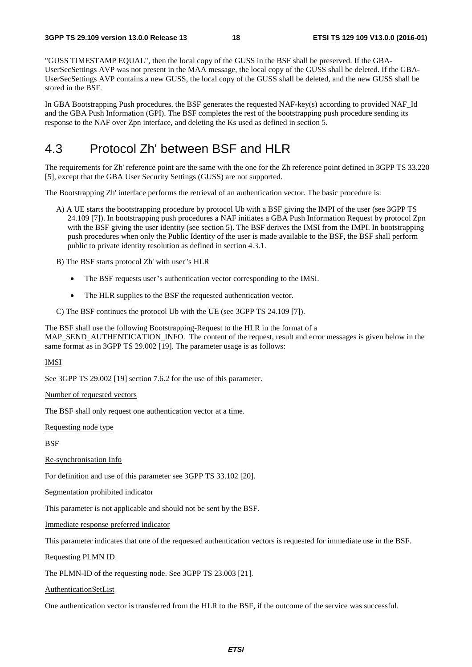"GUSS TIMESTAMP EQUAL", then the local copy of the GUSS in the BSF shall be preserved. If the GBA-UserSecSettings AVP was not present in the MAA message, the local copy of the GUSS shall be deleted. If the GBA-UserSecSettings AVP contains a new GUSS, the local copy of the GUSS shall be deleted, and the new GUSS shall be stored in the BSF.

In GBA Bootstrapping Push procedures, the BSF generates the requested NAF-key(s) according to provided NAF\_Id and the GBA Push Information (GPI). The BSF completes the rest of the bootstrapping push procedure sending its response to the NAF over Zpn interface, and deleting the Ks used as defined in section 5.

# 4.3 Protocol Zh' between BSF and HLR

The requirements for Zh' reference point are the same with the one for the Zh reference point defined in 3GPP TS 33.220 [5], except that the GBA User Security Settings (GUSS) are not supported.

The Bootstrapping Zh' interface performs the retrieval of an authentication vector. The basic procedure is:

- A) A UE starts the bootstrapping procedure by protocol Ub with a BSF giving the IMPI of the user (see 3GPP TS 24.109 [7]). In bootstrapping push procedures a NAF initiates a GBA Push Information Request by protocol Zpn with the BSF giving the user identity (see section 5). The BSF derives the IMSI from the IMPI. In bootstrapping push procedures when only the Public Identity of the user is made available to the BSF, the BSF shall perform public to private identity resolution as defined in section 4.3.1.
- B) The BSF starts protocol Zh' with user"s HLR
	- The BSF requests user"s authentication vector corresponding to the IMSI.
	- The HLR supplies to the BSF the requested authentication vector.
- C) The BSF continues the protocol Ub with the UE (see 3GPP TS 24.109 [7]).

The BSF shall use the following Bootstrapping-Request to the HLR in the format of a MAP\_SEND\_AUTHENTICATION\_INFO. The content of the request, result and error messages is given below in the same format as in 3GPP TS 29.002 [19]. The parameter usage is as follows:

#### IMSI

See 3GPP TS 29.002 [19] section 7.6.2 for the use of this parameter.

Number of requested vectors

The BSF shall only request one authentication vector at a time.

Requesting node type

**BSF** 

Re-synchronisation Info

For definition and use of this parameter see 3GPP TS 33.102 [20].

Segmentation prohibited indicator

This parameter is not applicable and should not be sent by the BSF.

Immediate response preferred indicator

This parameter indicates that one of the requested authentication vectors is requested for immediate use in the BSF.

Requesting PLMN ID

The PLMN-ID of the requesting node. See 3GPP TS 23.003 [21].

AuthenticationSetList

One authentication vector is transferred from the HLR to the BSF, if the outcome of the service was successful.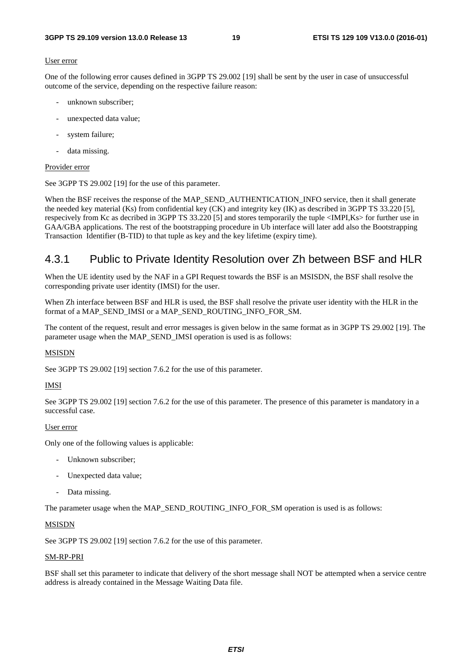#### User error

One of the following error causes defined in 3GPP TS 29.002 [19] shall be sent by the user in case of unsuccessful outcome of the service, depending on the respective failure reason:

- unknown subscriber:
- unexpected data value;
- system failure;
- data missing.

#### Provider error

See 3GPP TS 29.002 [19] for the use of this parameter.

When the BSF receives the response of the MAP\_SEND\_AUTHENTICATION\_INFO service, then it shall generate the needed key material (Ks) from confidential key (CK) and integrity key (IK) as described in 3GPP TS 33.220 [5], respecively from Kc as decribed in 3GPP TS 33.220 [5] and stores temporarily the tuple <IMPI,Ks> for further use in GAA/GBA applications. The rest of the bootstrapping procedure in Ub interface will later add also the Bootstrapping Transaction Identifier (B-TID) to that tuple as key and the key lifetime (expiry time).

### 4.3.1 Public to Private Identity Resolution over Zh between BSF and HLR

When the UE identity used by the NAF in a GPI Request towards the BSF is an MSISDN, the BSF shall resolve the corresponding private user identity (IMSI) for the user.

When Zh interface between BSF and HLR is used, the BSF shall resolve the private user identity with the HLR in the format of a MAP\_SEND\_IMSI or a MAP\_SEND\_ROUTING\_INFO\_FOR\_SM.

The content of the request, result and error messages is given below in the same format as in 3GPP TS 29.002 [19]. The parameter usage when the MAP\_SEND\_IMSI operation is used is as follows:

#### MSISDN

See 3GPP TS 29.002 [19] section 7.6.2 for the use of this parameter.

#### IMSI

See 3GPP TS 29.002 [19] section 7.6.2 for the use of this parameter. The presence of this parameter is mandatory in a successful case.

#### User error

Only one of the following values is applicable:

- Unknown subscriber;
- Unexpected data value;
- Data missing.

The parameter usage when the MAP\_SEND\_ROUTING\_INFO\_FOR\_SM operation is used is as follows:

#### MSISDN

See 3GPP TS 29.002 [19] section 7.6.2 for the use of this parameter.

#### SM-RP-PRI

BSF shall set this parameter to indicate that delivery of the short message shall NOT be attempted when a service centre address is already contained in the Message Waiting Data file.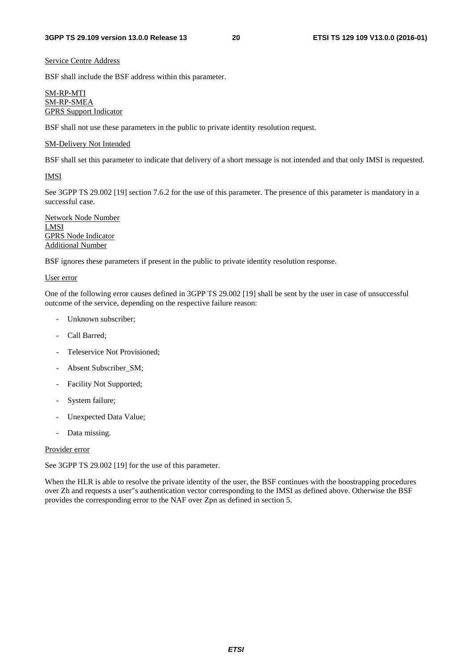#### Service Centre Address

BSF shall include the BSF address within this parameter.

#### SM-RP-MTI SM-RP-SMEA GPRS Support Indicator

BSF shall not use these parameters in the public to private identity resolution request.

#### SM-Delivery Not Intended

BSF shall set this parameter to indicate that delivery of a short message is not intended and that only IMSI is requested.

#### IMSI

See 3GPP TS 29.002 [19] section 7.6.2 for the use of this parameter. The presence of this parameter is mandatory in a successful case.

Network Node Number LMSI GPRS Node Indicator Additional Number

BSF ignores these parameters if present in the public to private identity resolution response.

#### User error

One of the following error causes defined in 3GPP TS 29.002 [19] shall be sent by the user in case of unsuccessful outcome of the service, depending on the respective failure reason:

- Unknown subscriber;
- Call Barred:
- Teleservice Not Provisioned;
- Absent Subscriber\_SM;
- Facility Not Supported;
- System failure;
- Unexpected Data Value;
- Data missing.

#### Provider error

See 3GPP TS 29.002 [19] for the use of this parameter.

When the HLR is able to resolve the private identity of the user, the BSF continues with the boostrapping procedures over Zh and requests a user"s authentication vector corresponding to the IMSI as defined above. Otherwise the BSF provides the corresponding error to the NAF over Zpn as defined in section 5.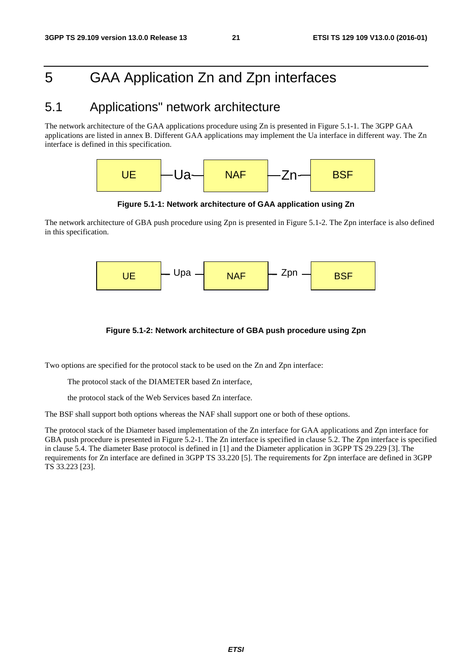# 5 GAA Application Zn and Zpn interfaces

# 5.1 Applications" network architecture

The network architecture of the GAA applications procedure using Zn is presented in Figure 5.1-1. The 3GPP GAA applications are listed in annex B. Different GAA applications may implement the Ua interface in different way. The Zn interface is defined in this specification.



**Figure 5.1-1: Network architecture of GAA application using Zn** 

The network architecture of GBA push procedure using Zpn is presented in Figure 5.1-2. The Zpn interface is also defined in this specification.



#### **Figure 5.1-2: Network architecture of GBA push procedure using Zpn**

Two options are specified for the protocol stack to be used on the Zn and Zpn interface:

The protocol stack of the DIAMETER based Zn interface,

the protocol stack of the Web Services based Zn interface.

The BSF shall support both options whereas the NAF shall support one or both of these options.

The protocol stack of the Diameter based implementation of the Zn interface for GAA applications and Zpn interface for GBA push procedure is presented in Figure 5.2-1. The Zn interface is specified in clause 5.2. The Zpn interface is specified in clause 5.4. The diameter Base protocol is defined in [1] and the Diameter application in 3GPP TS 29.229 [3]. The requirements for Zn interface are defined in 3GPP TS 33.220 [5]. The requirements for Zpn interface are defined in 3GPP TS 33.223 [23].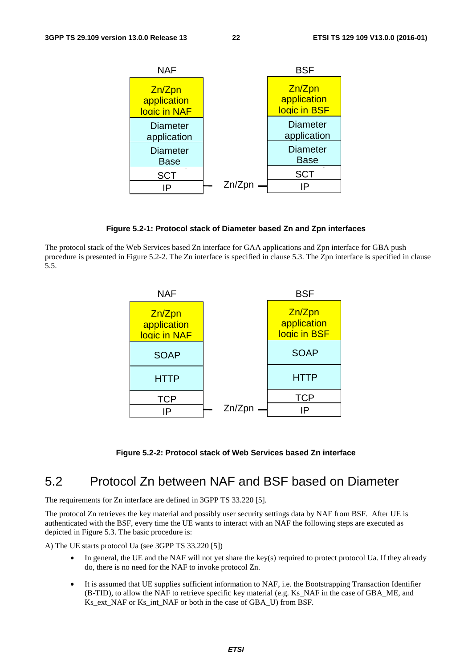

**Figure 5.2-1: Protocol stack of Diameter based Zn and Zpn interfaces** 

The protocol stack of the Web Services based Zn interface for GAA applications and Zpn interface for GBA push procedure is presented in Figure 5.2-2. The Zn interface is specified in clause 5.3. The Zpn interface is specified in clause 5.5.



**Figure 5.2-2: Protocol stack of Web Services based Zn interface** 

### 5.2 Protocol Zn between NAF and BSF based on Diameter

The requirements for Zn interface are defined in 3GPP TS 33.220 [5].

The protocol Zn retrieves the key material and possibly user security settings data by NAF from BSF. After UE is authenticated with the BSF, every time the UE wants to interact with an NAF the following steps are executed as depicted in Figure 5.3. The basic procedure is:

A) The UE starts protocol Ua (see 3GPP TS 33.220 [5])

- In general, the UE and the NAF will not yet share the key(s) required to protect protocol Ua. If they already do, there is no need for the NAF to invoke protocol Zn.
- It is assumed that UE supplies sufficient information to NAF, i.e. the Bootstrapping Transaction Identifier (B-TID), to allow the NAF to retrieve specific key material (e.g. Ks\_NAF in the case of GBA\_ME, and Ks ext NAF or Ks int NAF or both in the case of GBA U) from BSF.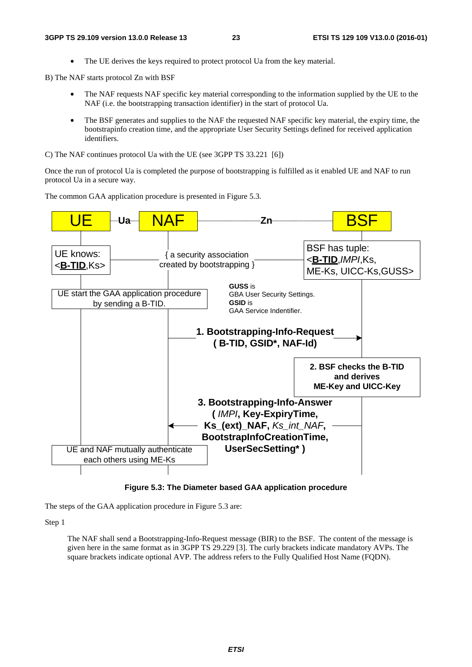• The UE derives the keys required to protect protocol Ua from the key material.

B) The NAF starts protocol Zn with BSF

- The NAF requests NAF specific key material corresponding to the information supplied by the UE to the NAF (i.e. the bootstrapping transaction identifier) in the start of protocol Ua.
- The BSF generates and supplies to the NAF the requested NAF specific key material, the expiry time, the bootstrapinfo creation time, and the appropriate User Security Settings defined for received application identifiers.

C) The NAF continues protocol Ua with the UE (see 3GPP TS 33.221 [6])

Once the run of protocol Ua is completed the purpose of bootstrapping is fulfilled as it enabled UE and NAF to run protocol Ua in a secure way.

The common GAA application procedure is presented in Figure 5.3.



**Figure 5.3: The Diameter based GAA application procedure** 

The steps of the GAA application procedure in Figure 5.3 are:

Step 1

 The NAF shall send a Bootstrapping-Info-Request message (BIR) to the BSF. The content of the message is given here in the same format as in 3GPP TS 29.229 [3]. The curly brackets indicate mandatory AVPs. The square brackets indicate optional AVP. The address refers to the Fully Qualified Host Name (FQDN).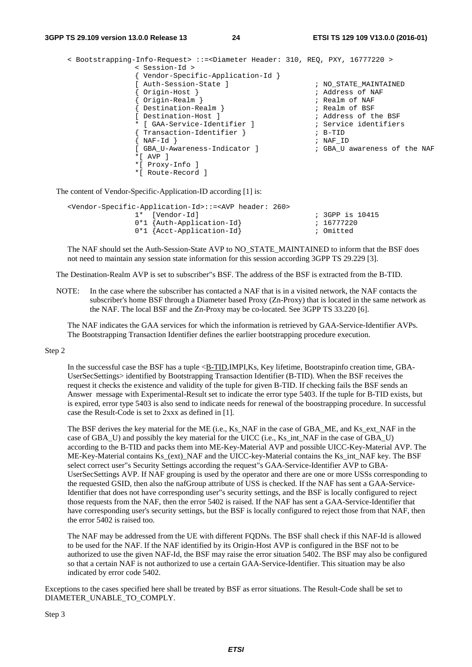```
< Bootstrapping-Info-Request> ::=<Diameter Header: 310, REQ, PXY, 16777220 > 
             < Session-Id > 
             { Vendor-Specific-Application-Id } 
             [ Auth-Session-State ] \overline{a} , NO STATE MAINTAINED
             { Origin-Host } ; Address of NAF 
             { Origin-Realm } ; Realm of NAF 
             { Destination-Realm } <br> [ Destination-Host ] <br> ; Address of t
                                                ; Address of the BSF
             * [ GAA-Service-Identifier ] ; Service identifiers 
             { Transaction-Identifier } ; B-TID 
             \overrightarrow{MAF-Id} ; NAF\_ID[ GBA_U-Awareness-Indicator ] ; GBA_U awareness of the NAF 
             *[ AVP ] 
             *[ Proxy-Info ] 
             *[ Route-Record ]
```
The content of Vendor-Specific-Application-ID according [1] is:

| <vendor-specific-application-id>::=<avp 260="" header:=""></avp></vendor-specific-application-id> |                 |
|---------------------------------------------------------------------------------------------------|-----------------|
| 1* [Vendor-Id]                                                                                    | ; 3GPP is 10415 |
| $0*1$ {Auth-Application-Id}                                                                       | ; 16777220      |
| $0*1$ {Acct-Application-Id}                                                                       | ; Omitted       |

 The NAF should set the Auth-Session-State AVP to NO\_STATE\_MAINTAINED to inform that the BSF does not need to maintain any session state information for this session according 3GPP TS 29.229 [3].

The Destination-Realm AVP is set to subscriber"s BSF. The address of the BSF is extracted from the B-TID.

NOTE: In the case where the subscriber has contacted a NAF that is in a visited network, the NAF contacts the subscriber's home BSF through a Diameter based Proxy (Zn-Proxy) that is located in the same network as the NAF. The local BSF and the Zn-Proxy may be co-located. See 3GPP TS 33.220 [6].

 The NAF indicates the GAA services for which the information is retrieved by GAA-Service-Identifier AVPs. The Bootstrapping Transaction Identifier defines the earlier bootstrapping procedure execution.

#### Step 2

In the successful case the BSF has a tuple  $\langle$ B-TID,IMPI,Ks, Key lifetime, Bootstrapinfo creation time, GBA-UserSecSettings> identified by Bootstrapping Transaction Identifier (B-TID). When the BSF receives the request it checks the existence and validity of the tuple for given B-TID. If checking fails the BSF sends an Answer message with Experimental-Result set to indicate the error type 5403. If the tuple for B-TID exists, but is expired, error type 5403 is also send to indicate needs for renewal of the boostrapping procedure. In successful case the Result-Code is set to 2xxx as defined in [1].

The BSF derives the key material for the ME (i.e., Ks\_NAF in the case of GBA\_ME, and Ks\_ext\_NAF in the case of GBA\_U) and possibly the key material for the UICC (i.e., Ks\_int\_NAF in the case of GBA\_U) according to the B-TID and packs them into ME-Key-Material AVP and possible UICC-Key-Material AVP. The ME-Key-Material contains Ks (ext) NAF and the UICC-key-Material contains the Ks int NAF key. The BSF select correct user"s Security Settings according the request"s GAA-Service-Identifier AVP to GBA-UserSecSettings AVP. If NAF grouping is used by the operator and there are one or more USSs corresponding to the requested GSID, then also the nafGroup attribute of USS is checked. If the NAF has sent a GAA-Service-Identifier that does not have corresponding user"s security settings, and the BSF is locally configured to reject those requests from the NAF, then the error 5402 is raised. If the NAF has sent a GAA-Service-Identifier that have corresponding user's security settings, but the BSF is locally configured to reject those from that NAF, then the error 5402 is raised too.

 The NAF may be addressed from the UE with different FQDNs. The BSF shall check if this NAF-Id is allowed to be used for the NAF. If the NAF identified by its Origin-Host AVP is configured in the BSF not to be authorized to use the given NAF-Id, the BSF may raise the error situation 5402. The BSF may also be configured so that a certain NAF is not authorized to use a certain GAA-Service-Identifier. This situation may be also indicated by error code 5402.

Exceptions to the cases specified here shall be treated by BSF as error situations. The Result-Code shall be set to DIAMETER\_UNABLE\_TO\_COMPLY.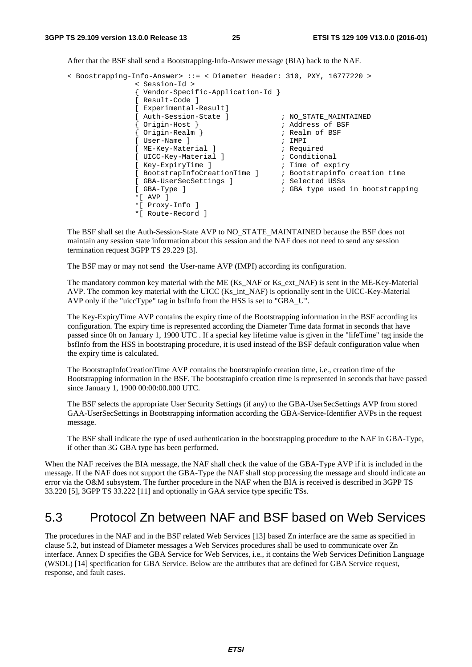After that the BSF shall send a Bootstrapping-Info-Answer message (BIA) back to the NAF.

```
< Boostrapping-Info-Answer> ::= < Diameter Header: 310, PXY, 16777220 > 
                < Session-Id > 
                { Vendor-Specific-Application-Id } 
                [ Result-Code ] 
                [ Experimental-Result] 
               [ Auth-Session-State ] \qquad \qquad ; \text{ NO\_STATE\_MAINTAINED}{ Origin-Host } ; Address of BSF 
                { Origin-Host }<br>{ Origin-Realm } <br>[ User-Name ] <br>; Realm of BSF
                [ User-Name ]
               [ ME-Key-Material ] \qquad \qquad ; Required
               [ UICC-Key-Material ] \qquad \qquad ; Conditional
                [ Key-ExpiryTime ] ; Time of expiry 
                [ BootstrapInfoCreationTime ] ; Bootstrapinfo creation time 
                [ GBA-UserSecSettings ]
                [ GBA-Type ] ; GBA type used in bootstrapping 
                *[ AVP ] 
                *[ Proxy-Info ] 
                *[ Route-Record ]
```
 The BSF shall set the Auth-Session-State AVP to NO\_STATE\_MAINTAINED because the BSF does not maintain any session state information about this session and the NAF does not need to send any session termination request 3GPP TS 29.229 [3].

The BSF may or may not send the User-name AVP (IMPI) according its configuration.

The mandatory common key material with the ME (Ks\_NAF or Ks\_ext\_NAF) is sent in the ME-Key-Material AVP. The common key material with the UICC (Ks\_int\_NAF) is optionally sent in the UICC-Key-Material AVP only if the "uiccType" tag in bsfInfo from the HSS is set to "GBA\_U".

 The Key-ExpiryTime AVP contains the expiry time of the Bootstrapping information in the BSF according its configuration. The expiry time is represented according the Diameter Time data format in seconds that have passed since 0h on January 1, 1900 UTC . If a special key lifetime value is given in the "lifeTime" tag inside the bsfInfo from the HSS in bootstraping procedure, it is used instead of the BSF default configuration value when the expiry time is calculated.

 The BootstrapInfoCreationTime AVP contains the bootstrapinfo creation time, i.e., creation time of the Bootstrapping information in the BSF. The bootstrapinfo creation time is represented in seconds that have passed since January 1, 1900 00:00:00.000 UTC.

 The BSF selects the appropriate User Security Settings (if any) to the GBA-UserSecSettings AVP from stored GAA-UserSecSettings in Bootstrapping information according the GBA-Service-Identifier AVPs in the request message.

 The BSF shall indicate the type of used authentication in the bootstrapping procedure to the NAF in GBA-Type, if other than 3G GBA type has been performed.

When the NAF receives the BIA message, the NAF shall check the value of the GBA-Type AVP if it is included in the message. If the NAF does not support the GBA-Type the NAF shall stop processing the message and should indicate an error via the O&M subsystem. The further procedure in the NAF when the BIA is received is described in 3GPP TS 33.220 [5], 3GPP TS 33.222 [11] and optionally in GAA service type specific TSs.

### 5.3 Protocol Zn between NAF and BSF based on Web Services

The procedures in the NAF and in the BSF related Web Services [13] based Zn interface are the same as specified in clause 5.2, but instead of Diameter messages a Web Services procedures shall be used to communicate over Zn interface. Annex D specifies the GBA Service for Web Services, i.e., it contains the Web Services Definition Language (WSDL) [14] specification for GBA Service. Below are the attributes that are defined for GBA Service request, response, and fault cases.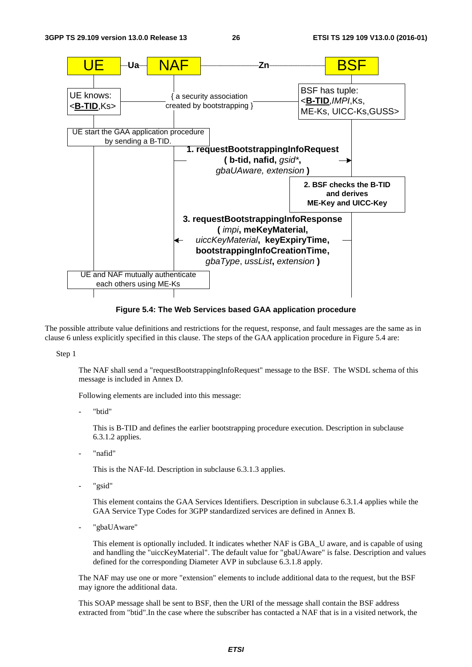

**Figure 5.4: The Web Services based GAA application procedure** 

The possible attribute value definitions and restrictions for the request, response, and fault messages are the same as in clause 6 unless explicitly specified in this clause. The steps of the GAA application procedure in Figure 5.4 are:

Step 1

 The NAF shall send a "requestBootstrappingInfoRequest" message to the BSF. The WSDL schema of this message is included in Annex D.

Following elements are included into this message:

"btid"

This is B-TID and defines the earlier bootstrapping procedure execution. Description in subclause 6.3.1.2 applies.

"nafid"

This is the NAF-Id. Description in subclause 6.3.1.3 applies.

"gsid"

This element contains the GAA Services Identifiers. Description in subclause 6.3.1.4 applies while the GAA Service Type Codes for 3GPP standardized services are defined in Annex B.

"gbaUAware"

This element is optionally included. It indicates whether NAF is GBA\_U aware, and is capable of using and handling the "uiccKeyMaterial". The default value for "gbaUAware" is false. Description and values defined for the corresponding Diameter AVP in subclause 6.3.1.8 apply.

The NAF may use one or more "extension" elements to include additional data to the request, but the BSF may ignore the additional data.

This SOAP message shall be sent to BSF, then the URI of the message shall contain the BSF address extracted from "btid".In the case where the subscriber has contacted a NAF that is in a visited network, the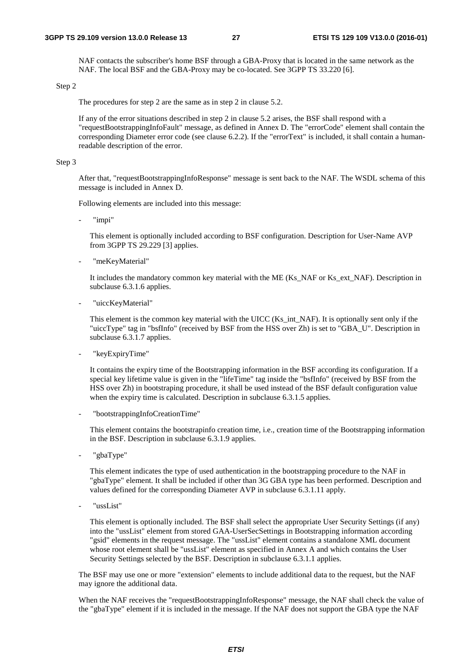NAF contacts the subscriber's home BSF through a GBA-Proxy that is located in the same network as the NAF. The local BSF and the GBA-Proxy may be co-located. See 3GPP TS 33.220 [6].

#### Step 2

The procedures for step 2 are the same as in step 2 in clause 5.2.

 If any of the error situations described in step 2 in clause 5.2 arises, the BSF shall respond with a "requestBootstrappingInfoFault" message, as defined in Annex D. The "errorCode" element shall contain the corresponding Diameter error code (see clause 6.2.2). If the "errorText" is included, it shall contain a humanreadable description of the error.

#### Step 3

 After that, "requestBootstrappingInfoResponse" message is sent back to the NAF. The WSDL schema of this message is included in Annex D.

Following elements are included into this message:

"impi"

This element is optionally included according to BSF configuration. Description for User-Name AVP from 3GPP TS 29.229 [3] applies.

"meKeyMaterial"

It includes the mandatory common key material with the ME (Ks\_NAF or Ks\_ext\_NAF). Description in subclause 6.3.1.6 applies.

"uiccKeyMaterial"

This element is the common key material with the UICC (Ks\_int\_NAF). It is optionally sent only if the "uiccType" tag in "bsfInfo" (received by BSF from the HSS over Zh) is set to "GBA\_U". Description in subclause 6.3.1.7 applies.

"keyExpiryTime"

It contains the expiry time of the Bootstrapping information in the BSF according its configuration. If a special key lifetime value is given in the "lifeTime" tag inside the "bsfInfo" (received by BSF from the HSS over Zh) in bootstraping procedure, it shall be used instead of the BSF default configuration value when the expiry time is calculated. Description in subclause 6.3.1.5 applies.

- "bootstrappingInfoCreationTime"

This element contains the bootstrapinfo creation time, i.e., creation time of the Bootstrapping information in the BSF. Description in subclause 6.3.1.9 applies.

"gbaType"

This element indicates the type of used authentication in the bootstrapping procedure to the NAF in "gbaType" element. It shall be included if other than 3G GBA type has been performed. Description and values defined for the corresponding Diameter AVP in subclause 6.3.1.11 apply.

"ussList"

This element is optionally included. The BSF shall select the appropriate User Security Settings (if any) into the "ussList" element from stored GAA-UserSecSettings in Bootstrapping information according "gsid" elements in the request message. The "ussList" element contains a standalone XML document whose root element shall be "ussList" element as specified in Annex A and which contains the User Security Settings selected by the BSF. Description in subclause 6.3.1.1 applies.

 The BSF may use one or more "extension" elements to include additional data to the request, but the NAF may ignore the additional data.

When the NAF receives the "requestBootstrappingInfoResponse" message, the NAF shall check the value of the "gbaType" element if it is included in the message. If the NAF does not support the GBA type the NAF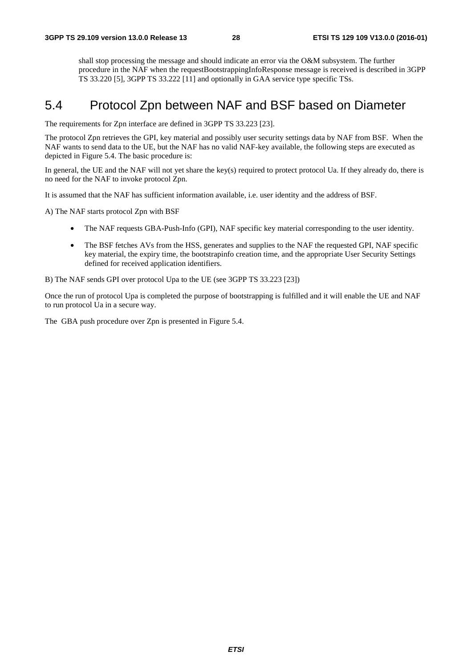shall stop processing the message and should indicate an error via the O&M subsystem. The further procedure in the NAF when the requestBootstrappingInfoResponse message is received is described in 3GPP TS 33.220 [5], 3GPP TS 33.222 [11] and optionally in GAA service type specific TSs.

# 5.4 Protocol Zpn between NAF and BSF based on Diameter

The requirements for Zpn interface are defined in 3GPP TS 33.223 [23].

The protocol Zpn retrieves the GPI, key material and possibly user security settings data by NAF from BSF. When the NAF wants to send data to the UE, but the NAF has no valid NAF-key available, the following steps are executed as depicted in Figure 5.4. The basic procedure is:

In general, the UE and the NAF will not yet share the key(s) required to protect protocol Ua. If they already do, there is no need for the NAF to invoke protocol Zpn.

It is assumed that the NAF has sufficient information available, i.e. user identity and the address of BSF.

A) The NAF starts protocol Zpn with BSF

- The NAF requests GBA-Push-Info (GPI), NAF specific key material corresponding to the user identity.
- The BSF fetches AVs from the HSS, generates and supplies to the NAF the requested GPI, NAF specific key material, the expiry time, the bootstrapinfo creation time, and the appropriate User Security Settings defined for received application identifiers.

B) The NAF sends GPI over protocol Upa to the UE (see 3GPP TS 33.223 [23])

Once the run of protocol Upa is completed the purpose of bootstrapping is fulfilled and it will enable the UE and NAF to run protocol Ua in a secure way.

The GBA push procedure over Zpn is presented in Figure 5.4.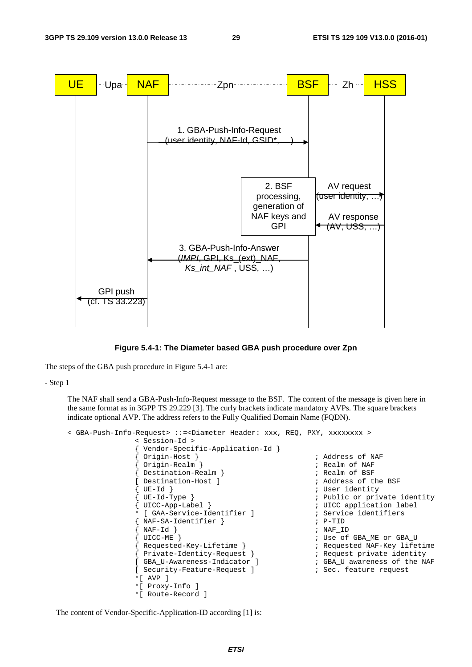

**Figure 5.4-1: The Diameter based GBA push procedure over Zpn** 

The steps of the GBA push procedure in Figure 5.4-1 are:

- Step 1

 The NAF shall send a GBA-Push-Info-Request message to the BSF. The content of the message is given here in the same format as in 3GPP TS 29.229 [3]. The curly brackets indicate mandatory AVPs. The square brackets indicate optional AVP. The address refers to the Fully Qualified Domain Name (FQDN).

```
< GBA-Push-Info-Request> ::=<Diameter Header: xxx, REQ, PXY, xxxxxxxx > 
                   < Session-Id > 
                    { Vendor-Specific-Application-Id } 
                   { Origin-Host } ; Address of NAF 
                   { Origin-Realm } \qquad \qquad ; Realm of NAF
                   { Destination-Realm }<br>
[ Destination-Host ] <br>
; Address of t
                   [ Destination-Host ] \begin{array}{ccc} 1 & \cdots & \cdots & \cdots \\ 1 & \cdots & \cdots & \cdots \\ 1 & \cdots & \cdots & \cdots \\ 1 & \cdots & \cdots & \cdots \\ 1 & \cdots & \cdots & \cdots \\ 1 & \cdots & \cdots & \cdots \end{array}; User identity
                   { UE-Id-Type } ; Public or private identity 
                   { UICC-App-Label } ; UICC application label 
                   * [ GAA-Service-Identifier ]                     ; Service identifiers<br>{ NAF-SA-Identifier }                       ; P-TID
                   {EXA-Identifier }\begin{array}{c} \text{NAF-Id} \\ \end{array} ; NAF\_ID{ UICC-ME } ; Use of GBA_ME or GBA_U 
                   { Requested-Key-Lifetime } ; Requested NAF-Key lifetime 
                   { Private-Identity-Request } \begin{array}{ccc} \cdot & \cdot & \cdot \\ \downarrow & \cdot & \cdot \\ \downarrow & \cdot & \cdot \\ \end{array} ; Request private identity
                   [ GBA_U-Awareness-Indicator ] ; GBA_U awareness of the NAF 
                   [ Security-Feature-Request ] ; Sec. feature request 
                   *[ AVP ] 
                   *[ Proxy-Info ] 
                   *[ Route-Record ]
```
The content of Vendor-Specific-Application-ID according [1] is: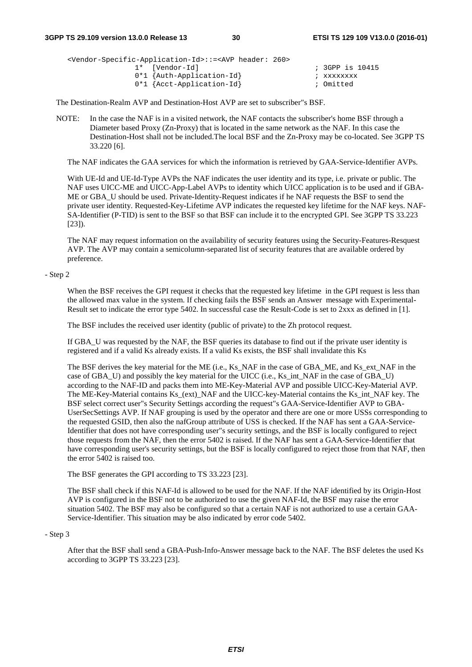| <vendor-specific-application-id>::=<avp 260="" header:=""></avp></vendor-specific-application-id> |                 |
|---------------------------------------------------------------------------------------------------|-----------------|
| 1* [Vendor-Id]                                                                                    | ; 3GPP is 10415 |
| $0*1$ {Auth-Application-Id}                                                                       | ; xxxxxxxx      |
| $0*1$ {Acct-Application-Id}                                                                       | ; Omitted       |

The Destination-Realm AVP and Destination-Host AVP are set to subscriber"s BSF.

NOTE: In the case the NAF is in a visited network, the NAF contacts the subscriber's home BSF through a Diameter based Proxy (Zn-Proxy) that is located in the same network as the NAF. In this case the Destination-Host shall not be included.The local BSF and the Zn-Proxy may be co-located. See 3GPP TS 33.220 [6].

The NAF indicates the GAA services for which the information is retrieved by GAA-Service-Identifier AVPs.

 With UE-Id and UE-Id-Type AVPs the NAF indicates the user identity and its type, i.e. private or public. The NAF uses UICC-ME and UICC-App-Label AVPs to identity which UICC application is to be used and if GBA-ME or GBA\_U should be used. Private-Identity-Request indicates if he NAF requests the BSF to send the private user identity. Requested-Key-Lifetime AVP indicates the requested key lifetime for the NAF keys. NAF-SA-Identifier (P-TID) is sent to the BSF so that BSF can include it to the encrypted GPI. See 3GPP TS 33.223 [23]).

 The NAF may request information on the availability of security features using the Security-Features-Resquest AVP. The AVP may contain a semicolumn-separated list of security features that are available ordered by preference.

- Step 2

When the BSF receives the GPI request it checks that the requested key lifetime in the GPI request is less than the allowed max value in the system. If checking fails the BSF sends an Answer message with Experimental-Result set to indicate the error type 5402. In successful case the Result-Code is set to 2xxx as defined in [1].

The BSF includes the received user identity (public of private) to the Zh protocol request.

 If GBA\_U was requested by the NAF, the BSF queries its database to find out if the private user identity is registered and if a valid Ks already exists. If a valid Ks exists, the BSF shall invalidate this Ks

The BSF derives the key material for the ME (i.e., Ks\_NAF in the case of GBA\_ME, and Ks\_ext\_NAF in the case of GBA\_U) and possibly the key material for the UICC (i.e., Ks\_int\_NAF in the case of GBA\_U) according to the NAF-ID and packs them into ME-Key-Material AVP and possible UICC-Key-Material AVP. The ME-Key-Material contains Ks\_(ext)\_NAF and the UICC-key-Material contains the Ks\_int\_NAF key. The BSF select correct user"s Security Settings according the request"s GAA-Service-Identifier AVP to GBA-UserSecSettings AVP. If NAF grouping is used by the operator and there are one or more USSs corresponding to the requested GSID, then also the nafGroup attribute of USS is checked. If the NAF has sent a GAA-Service-Identifier that does not have corresponding user"s security settings, and the BSF is locally configured to reject those requests from the NAF, then the error 5402 is raised. If the NAF has sent a GAA-Service-Identifier that have corresponding user's security settings, but the BSF is locally configured to reject those from that NAF, then the error 5402 is raised too.

The BSF generates the GPI according to TS 33.223 [23].

 The BSF shall check if this NAF-Id is allowed to be used for the NAF. If the NAF identified by its Origin-Host AVP is configured in the BSF not to be authorized to use the given NAF-Id, the BSF may raise the error situation 5402. The BSF may also be configured so that a certain NAF is not authorized to use a certain GAA-Service-Identifier. This situation may be also indicated by error code 5402.

#### - Step 3

 After that the BSF shall send a GBA-Push-Info-Answer message back to the NAF. The BSF deletes the used Ks according to 3GPP TS 33.223 [23].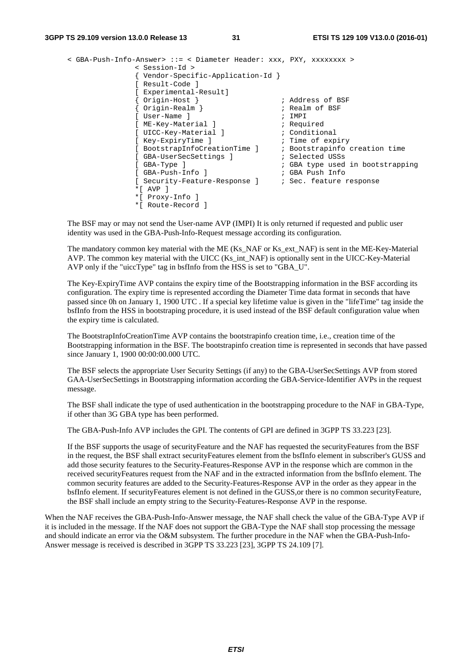#### **3GPP TS 29.109 version 13.0.0 Release 13 31 ETSI TS 129 109 V13.0.0 (2016-01)**

```
< GBA-Push-Info-Answer> ::= < Diameter Header: xxx, PXY, xxxxxxxx > 
              < Session-Id > 
              { Vendor-Specific-Application-Id } 
              [ Result-Code ] 
              [ Experimental-Result] 
              { Origin-Host } ; Address of BSF 
              { Origin-Realm } ; Realm of BSF 
              [ User-Name ] \qquad \qquad ; \text{ IMPI}[ ME-Key-Material ] \qquad \qquad ; Required
              [ UICC-Key-Material ] \qquad \qquad ; Conditional
              [ Key-ExpiryTime ] ; Time of expiry 
              [ BootstrapInfoCreationTime ] ; Bootstrapinfo creation time 
              [ GBA-UserSecSettings ] \qquad \qquad ; Selected USSs
              [ GBA-Type ] \qquad \qquad ; GBA type used in bootstrapping
              [ GBA-Push-Info ] ; GBA Push Info 
              [ Security-Feature-Response ] \qquad ; Sec. feature response
              *[ AVP ]
              *[ Proxy-Info ] 
              *[ Route-Record ]
```
 The BSF may or may not send the User-name AVP (IMPI) It is only returned if requested and public user identity was used in the GBA-Push-Info-Request message according its configuration.

The mandatory common key material with the ME (Ks\_NAF or Ks\_ext\_NAF) is sent in the ME-Key-Material AVP. The common key material with the UICC (Ks\_int\_NAF) is optionally sent in the UICC-Key-Material AVP only if the "uiccType" tag in bsfInfo from the HSS is set to "GBA\_U".

 The Key-ExpiryTime AVP contains the expiry time of the Bootstrapping information in the BSF according its configuration. The expiry time is represented according the Diameter Time data format in seconds that have passed since 0h on January 1, 1900 UTC . If a special key lifetime value is given in the "lifeTime" tag inside the bsfInfo from the HSS in bootstraping procedure, it is used instead of the BSF default configuration value when the expiry time is calculated.

 The BootstrapInfoCreationTime AVP contains the bootstrapinfo creation time, i.e., creation time of the Bootstrapping information in the BSF. The bootstrapinfo creation time is represented in seconds that have passed since January 1, 1900 00:00:00.000 UTC.

 The BSF selects the appropriate User Security Settings (if any) to the GBA-UserSecSettings AVP from stored GAA-UserSecSettings in Bootstrapping information according the GBA-Service-Identifier AVPs in the request message.

 The BSF shall indicate the type of used authentication in the bootstrapping procedure to the NAF in GBA-Type, if other than 3G GBA type has been performed.

The GBA-Push-Info AVP includes the GPI. The contents of GPI are defined in 3GPP TS 33.223 [23].

 If the BSF supports the usage of securityFeature and the NAF has requested the securityFeatures from the BSF in the request, the BSF shall extract securityFeatures element from the bsfInfo element in subscriber's GUSS and add those security features to the Security-Features-Response AVP in the response which are common in the received securityFeatures request from the NAF and in the extracted information from the bsfInfo element. The common security features are added to the Security-Features-Response AVP in the order as they appear in the bsfInfo element. If securityFeatures element is not defined in the GUSS,or there is no common securityFeature, the BSF shall include an empty string to the Security-Features-Response AVP in the response.

When the NAF receives the GBA-Push-Info-Answer message, the NAF shall check the value of the GBA-Type AVP if it is included in the message. If the NAF does not support the GBA-Type the NAF shall stop processing the message and should indicate an error via the O&M subsystem. The further procedure in the NAF when the GBA-Push-Info-Answer message is received is described in 3GPP TS 33.223 [23], 3GPP TS 24.109 [7].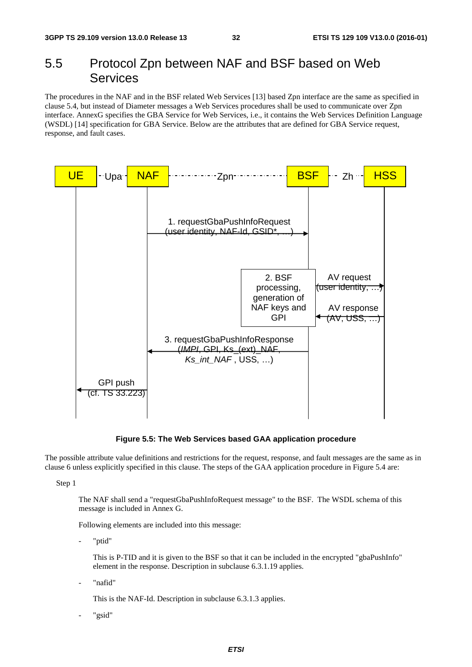# 5.5 Protocol Zpn between NAF and BSF based on Web Services

The procedures in the NAF and in the BSF related Web Services [13] based Zpn interface are the same as specified in clause 5.4, but instead of Diameter messages a Web Services procedures shall be used to communicate over Zpn interface. AnnexG specifies the GBA Service for Web Services, i.e., it contains the Web Services Definition Language (WSDL) [14] specification for GBA Service. Below are the attributes that are defined for GBA Service request, response, and fault cases.



**Figure 5.5: The Web Services based GAA application procedure** 

The possible attribute value definitions and restrictions for the request, response, and fault messages are the same as in clause 6 unless explicitly specified in this clause. The steps of the GAA application procedure in Figure 5.4 are:

Step 1

 The NAF shall send a "requestGbaPushInfoRequest message" to the BSF. The WSDL schema of this message is included in Annex G.

Following elements are included into this message:

"ptid"

This is P-TID and it is given to the BSF so that it can be included in the encrypted "gbaPushInfo" element in the response. Description in subclause 6.3.1.19 applies.

"nafid"

This is the NAF-Id. Description in subclause 6.3.1.3 applies.

"gsid"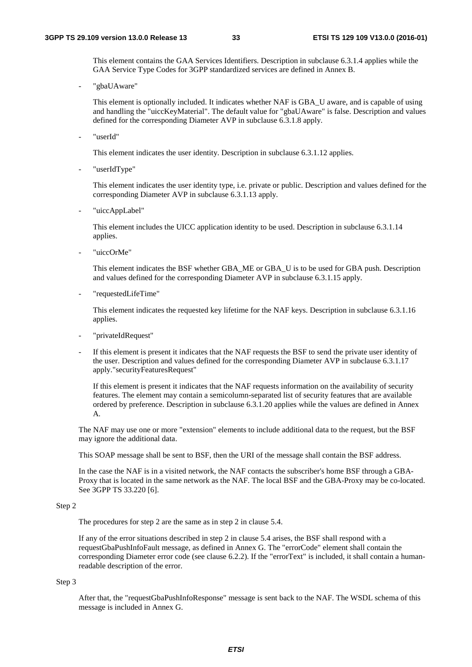This element contains the GAA Services Identifiers. Description in subclause 6.3.1.4 applies while the GAA Service Type Codes for 3GPP standardized services are defined in Annex B.

"gbaUAware"

This element is optionally included. It indicates whether NAF is GBA\_U aware, and is capable of using and handling the "uiccKeyMaterial". The default value for "gbaUAware" is false. Description and values defined for the corresponding Diameter AVP in subclause 6.3.1.8 apply.

"userId"

This element indicates the user identity. Description in subclause 6.3.1.12 applies.

"userIdType"

This element indicates the user identity type, i.e. private or public. Description and values defined for the corresponding Diameter AVP in subclause 6.3.1.13 apply.

"uiccAppLabel"

This element includes the UICC application identity to be used. Description in subclause 6.3.1.14 applies.

"uiccOrMe"

This element indicates the BSF whether GBA\_ME or GBA\_U is to be used for GBA push. Description and values defined for the corresponding Diameter AVP in subclause 6.3.1.15 apply.

- "requestedLifeTime"

This element indicates the requested key lifetime for the NAF keys. Description in subclause 6.3.1.16 applies.

- "privateIdRequest"
- If this element is present it indicates that the NAF requests the BSF to send the private user identity of the user. Description and values defined for the corresponding Diameter AVP in subclause 6.3.1.17 apply."securityFeaturesRequest"

If this element is present it indicates that the NAF requests information on the availability of security features. The element may contain a semicolumn-separated list of security features that are available ordered by preference. Description in subclause 6.3.1.20 applies while the values are defined in Annex A.

 The NAF may use one or more "extension" elements to include additional data to the request, but the BSF may ignore the additional data.

This SOAP message shall be sent to BSF, then the URI of the message shall contain the BSF address.

In the case the NAF is in a visited network, the NAF contacts the subscriber's home BSF through a GBA-Proxy that is located in the same network as the NAF. The local BSF and the GBA-Proxy may be co-located. See 3GPP TS 33.220 [6].

#### Step 2

The procedures for step 2 are the same as in step 2 in clause 5.4.

If any of the error situations described in step 2 in clause 5.4 arises, the BSF shall respond with a requestGbaPushInfoFault message, as defined in Annex G. The "errorCode" element shall contain the corresponding Diameter error code (see clause 6.2.2). If the "errorText" is included, it shall contain a humanreadable description of the error.

#### Step 3

 After that, the "requestGbaPushInfoResponse" message is sent back to the NAF. The WSDL schema of this message is included in Annex G.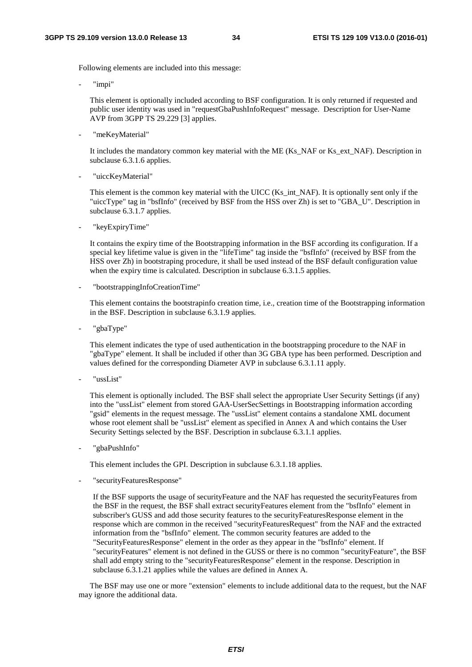Following elements are included into this message:

"impi"

This element is optionally included according to BSF configuration. It is only returned if requested and public user identity was used in "requestGbaPushInfoRequest" message. Description for User-Name AVP from 3GPP TS 29.229 [3] applies.

"meKeyMaterial"

It includes the mandatory common key material with the ME (Ks\_NAF or Ks\_ext\_NAF). Description in subclause 6.3.1.6 applies.

"uiccKeyMaterial"

This element is the common key material with the UICC (Ks\_int\_NAF). It is optionally sent only if the "uiccType" tag in "bsfInfo" (received by BSF from the HSS over Zh) is set to "GBA\_U". Description in subclause 6.3.1.7 applies.

"keyExpiryTime"

It contains the expiry time of the Bootstrapping information in the BSF according its configuration. If a special key lifetime value is given in the "lifeTime" tag inside the "bsfInfo" (received by BSF from the HSS over Zh) in bootstraping procedure, it shall be used instead of the BSF default configuration value when the expiry time is calculated. Description in subclause 6.3.1.5 applies.

- "bootstrappingInfoCreationTime"

This element contains the bootstrapinfo creation time, i.e., creation time of the Bootstrapping information in the BSF. Description in subclause 6.3.1.9 applies.

"gbaType"

This element indicates the type of used authentication in the bootstrapping procedure to the NAF in "gbaType" element. It shall be included if other than 3G GBA type has been performed. Description and values defined for the corresponding Diameter AVP in subclause 6.3.1.11 apply.

"ussList"

This element is optionally included. The BSF shall select the appropriate User Security Settings (if any) into the "ussList" element from stored GAA-UserSecSettings in Bootstrapping information according "gsid" elements in the request message. The "ussList" element contains a standalone XML document whose root element shall be "ussList" element as specified in Annex A and which contains the User Security Settings selected by the BSF. Description in subclause 6.3.1.1 applies.

"gbaPushInfo"

This element includes the GPI. Description in subclause 6.3.1.18 applies.

- "securityFeaturesResponse"

If the BSF supports the usage of securityFeature and the NAF has requested the securityFeatures from the BSF in the request, the BSF shall extract securityFeatures element from the "bsfInfo" element in subscriber's GUSS and add those security features to the securityFeaturesResponse element in the response which are common in the received "securityFeaturesRequest" from the NAF and the extracted information from the "bsfInfo" element. The common security features are added to the "SecurityFeaturesResponse" element in the order as they appear in the "bsfInfo" element. If "securityFeatures" element is not defined in the GUSS or there is no common "securityFeature", the BSF shall add empty string to the "securityFeaturesResponse" element in the response. Description in subclause 6.3.1.21 applies while the values are defined in Annex A.

 The BSF may use one or more "extension" elements to include additional data to the request, but the NAF may ignore the additional data.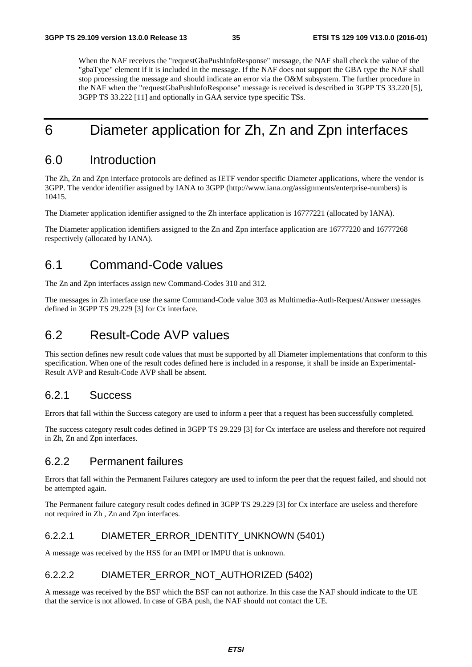When the NAF receives the "requestGbaPushInfoResponse" message, the NAF shall check the value of the "gbaType" element if it is included in the message. If the NAF does not support the GBA type the NAF shall stop processing the message and should indicate an error via the O&M subsystem. The further procedure in the NAF when the "requestGbaPushInfoResponse" message is received is described in 3GPP TS 33.220 [5], 3GPP TS 33.222 [11] and optionally in GAA service type specific TSs.

# 6 Diameter application for Zh, Zn and Zpn interfaces

### 6.0 Introduction

The Zh, Zn and Zpn interface protocols are defined as IETF vendor specific Diameter applications, where the vendor is 3GPP. The vendor identifier assigned by IANA to 3GPP (http://www.iana.org/assignments/enterprise-numbers) is 10415.

The Diameter application identifier assigned to the Zh interface application is 16777221 (allocated by IANA).

The Diameter application identifiers assigned to the Zn and Zpn interface application are 16777220 and 16777268 respectively (allocated by IANA).

# 6.1 Command-Code values

The Zn and Zpn interfaces assign new Command-Codes 310 and 312.

The messages in Zh interface use the same Command-Code value 303 as Multimedia-Auth-Request/Answer messages defined in 3GPP TS 29.229 [3] for Cx interface.

### 6.2 Result-Code AVP values

This section defines new result code values that must be supported by all Diameter implementations that conform to this specification. When one of the result codes defined here is included in a response, it shall be inside an Experimental-Result AVP and Result-Code AVP shall be absent.

### 6.2.1 Success

Errors that fall within the Success category are used to inform a peer that a request has been successfully completed.

The success category result codes defined in 3GPP TS 29.229 [3] for Cx interface are useless and therefore not required in Zh, Zn and Zpn interfaces.

### 6.2.2 Permanent failures

Errors that fall within the Permanent Failures category are used to inform the peer that the request failed, and should not be attempted again.

The Permanent failure category result codes defined in 3GPP TS 29.229 [3] for Cx interface are useless and therefore not required in Zh , Zn and Zpn interfaces.

#### 6.2.2.1 DIAMETER\_ERROR\_IDENTITY\_UNKNOWN (5401)

A message was received by the HSS for an IMPI or IMPU that is unknown.

### 6.2.2.2 DIAMETER\_ERROR\_NOT\_AUTHORIZED (5402)

A message was received by the BSF which the BSF can not authorize. In this case the NAF should indicate to the UE that the service is not allowed. In case of GBA push, the NAF should not contact the UE.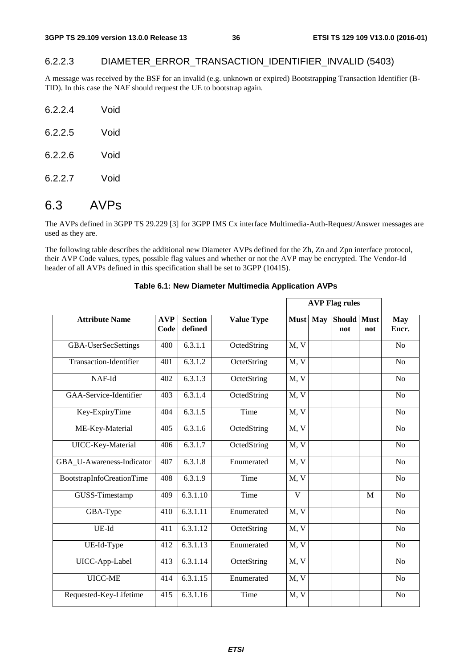### 6.2.2.3 DIAMETER\_ERROR\_TRANSACTION\_IDENTIFIER\_INVALID (5403)

A message was received by the BSF for an invalid (e.g. unknown or expired) Bootstrapping Transaction Identifier (B-TID). In this case the NAF should request the UE to bootstrap again.

| 6.2.2.4 | Void |
|---------|------|
| 6.2.2.5 | Void |
| 6.2.2.6 | Void |
| 6.2.2.7 | Void |

## 6.3 AVPs

The AVPs defined in 3GPP TS 29.229 [3] for 3GPP IMS Cx interface Multimedia-Auth-Request/Answer messages are used as they are.

The following table describes the additional new Diameter AVPs defined for the Zh, Zn and Zpn interface protocol, their AVP Code values, types, possible flag values and whether or not the AVP may be encrypted. The Vendor-Id header of all AVPs defined in this specification shall be set to 3GPP (10415).

|                               |                    |                           |                   | <b>AVP Flag rules</b> |     |                    |     |                     |
|-------------------------------|--------------------|---------------------------|-------------------|-----------------------|-----|--------------------|-----|---------------------|
| <b>Attribute Name</b>         | <b>AVP</b><br>Code | <b>Section</b><br>defined | <b>Value Type</b> | <b>Must</b>           | May | Should Must<br>not | not | <b>May</b><br>Encr. |
| GBA-UserSecSettings           | 400                | $6.\overline{3}.1.1$      | OctedString       | M, V                  |     |                    |     | N <sub>o</sub>      |
| <b>Transaction-Identifier</b> | 401                | $6.\overline{3}.1.2$      | OctetString       | M, V                  |     |                    |     | N <sub>o</sub>      |
| NAF-Id                        | 402                | 6.3.1.3                   | OctetString       | M, V                  |     |                    |     | N <sub>o</sub>      |
| GAA-Service-Identifier        | 403                | 6.3.1.4                   | OctedString       | M, V                  |     |                    |     | N <sub>o</sub>      |
| Key-ExpiryTime                | 404                | 6.3.1.5                   | Time              | M, V                  |     |                    |     | N <sub>o</sub>      |
| ME-Key-Material               | 405                | $6.\overline{3}.1.6$      | OctedString       | M, V                  |     |                    |     | N <sub>o</sub>      |
| UICC-Key-Material             | 406                | 6.3.1.7                   | OctedString       | M, V                  |     |                    |     | N <sub>o</sub>      |
| GBA U-Awareness-Indicator     | 407                | 6.3.1.8                   | Enumerated        | M, V                  |     |                    |     | N <sub>o</sub>      |
| BootstrapInfoCreationTime     | 408                | 6.3.1.9                   | Time              | $\overline{M, V}$     |     |                    |     | N <sub>o</sub>      |
| GUSS-Timestamp                | 409                | 6.3.1.10                  | Time              | $\mathbf{V}$          |     |                    | M   | N <sub>o</sub>      |
| GBA-Type                      | 410                | 6.3.1.11                  | Enumerated        | M, V                  |     |                    |     | N <sub>o</sub>      |
| UE-Id                         | 411                | 6.3.1.12                  | OctetString       | M, V                  |     |                    |     | N <sub>o</sub>      |
| UE-Id-Type                    | 412                | 6.3.1.13                  | Enumerated        | M, V                  |     |                    |     | N <sub>o</sub>      |
| UICC-App-Label                | 413                | $\overline{6.3.1.14}$     | OctetString       | M, V                  |     |                    |     | N <sub>o</sub>      |
| UICC-ME                       | 414                | $\overline{6.3.1.15}$     | Enumerated        | M, V                  |     |                    |     | N <sub>o</sub>      |
| Requested-Key-Lifetime        | 415                | 6.3.1.16                  | Time              | M, V                  |     |                    |     | N <sub>o</sub>      |

### **Table 6.1: New Diameter Multimedia Application AVPs**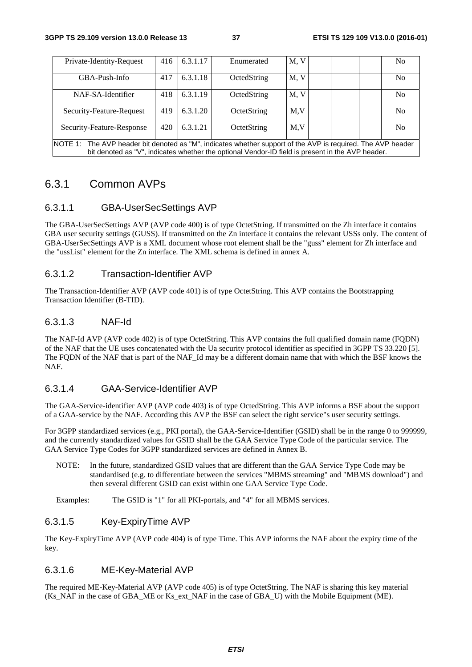| Private-Identity-Request                                                                                                                                                                                        | 416 | 6.3.1.17 | Enumerated  | M, V |  | No             |
|-----------------------------------------------------------------------------------------------------------------------------------------------------------------------------------------------------------------|-----|----------|-------------|------|--|----------------|
| GBA-Push-Info                                                                                                                                                                                                   | 417 | 6.3.1.18 | OctedString | M, V |  | No             |
| NAF-SA-Identifier                                                                                                                                                                                               | 418 | 6.3.1.19 | OctedString | M, V |  | N <sub>0</sub> |
| Security-Feature-Request                                                                                                                                                                                        | 419 | 6.3.1.20 | OctetString | M,V  |  | No             |
| Security-Feature-Response                                                                                                                                                                                       | 420 | 6.3.1.21 | OctetString | M.V  |  | N <sub>0</sub> |
| NOTE 1: The AVP header bit denoted as "M", indicates whether support of the AVP is required. The AVP header<br>bit denoted as "V", indicates whether the optional Vendor-ID field is present in the AVP header. |     |          |             |      |  |                |

## 6.3.1 Common AVPs

### 6.3.1.1 GBA-UserSecSettings AVP

The GBA-UserSecSettings AVP (AVP code 400) is of type OctetString. If transmitted on the Zh interface it contains GBA user security settings (GUSS). If transmitted on the Zn interface it contains the relevant USSs only. The content of GBA-UserSecSettings AVP is a XML document whose root element shall be the "guss" element for Zh interface and the "ussList" element for the Zn interface. The XML schema is defined in annex A.

### 6.3.1.2 Transaction-Identifier AVP

The Transaction-Identifier AVP (AVP code 401) is of type OctetString. This AVP contains the Bootstrapping Transaction Identifier (B-TID).

### 6.3.1.3 NAF-Id

The NAF-Id AVP (AVP code 402) is of type OctetString. This AVP contains the full qualified domain name (FQDN) of the NAF that the UE uses concatenated with the Ua security protocol identifier as specified in 3GPP TS 33.220 [5]. The FQDN of the NAF that is part of the NAF\_Id may be a different domain name that with which the BSF knows the NAF.

#### 6.3.1.4 GAA-Service-Identifier AVP

The GAA-Service-identifier AVP (AVP code 403) is of type OctedString. This AVP informs a BSF about the support of a GAA-service by the NAF. According this AVP the BSF can select the right service"s user security settings.

For 3GPP standardized services (e.g., PKI portal), the GAA-Service-Identifier (GSID) shall be in the range 0 to 999999, and the currently standardized values for GSID shall be the GAA Service Type Code of the particular service. The GAA Service Type Codes for 3GPP standardized services are defined in Annex B.

NOTE: In the future, standardized GSID values that are different than the GAA Service Type Code may be standardised (e.g. to differentiate between the services "MBMS streaming" and "MBMS download") and then several different GSID can exist within one GAA Service Type Code.

Examples: The GSID is "1" for all PKI-portals, and "4" for all MBMS services.

### 6.3.1.5 Key-ExpiryTime AVP

The Key-ExpiryTime AVP (AVP code 404) is of type Time. This AVP informs the NAF about the expiry time of the key.

### 6.3.1.6 ME-Key-Material AVP

The required ME-Key-Material AVP (AVP code 405) is of type OctetString. The NAF is sharing this key material (Ks\_NAF in the case of GBA\_ME or Ks\_ext\_NAF in the case of GBA\_U) with the Mobile Equipment (ME).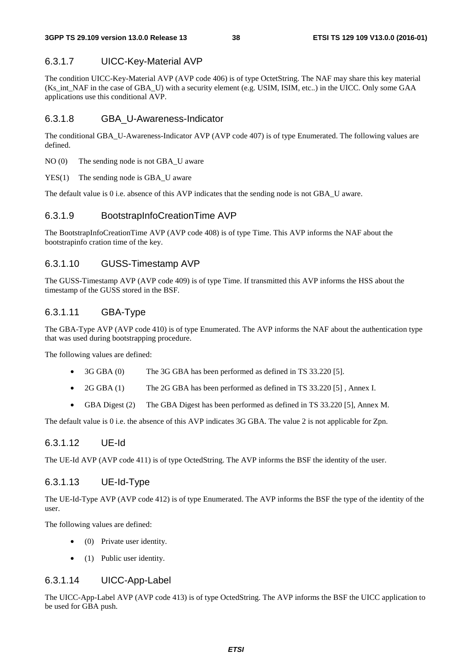### 6.3.1.7 UICC-Key-Material AVP

The condition UICC-Key-Material AVP (AVP code 406) is of type OctetString. The NAF may share this key material (Ks\_int\_NAF in the case of GBA\_U) with a security element (e.g. USIM, ISIM, etc..) in the UICC. Only some GAA applications use this conditional AVP.

#### 6.3.1.8 GBA\_U-Awareness-Indicator

The conditional GBA\_U-Awareness-Indicator AVP (AVP code 407) is of type Enumerated. The following values are defined.

NO (0) The sending node is not GBA U aware

YES(1) The sending node is GBA U aware

The default value is 0 i.e. absence of this AVP indicates that the sending node is not GBA\_U aware.

### 6.3.1.9 BootstrapInfoCreationTime AVP

The BootstrapInfoCreationTime AVP (AVP code 408) is of type Time. This AVP informs the NAF about the bootstrapinfo cration time of the key.

### 6.3.1.10 GUSS-Timestamp AVP

The GUSS-Timestamp AVP (AVP code 409) is of type Time. If transmitted this AVP informs the HSS about the timestamp of the GUSS stored in the BSF.

### 6.3.1.11 GBA-Type

The GBA-Type AVP (AVP code 410) is of type Enumerated. The AVP informs the NAF about the authentication type that was used during bootstrapping procedure.

The following values are defined:

- 3G GBA (0) The 3G GBA has been performed as defined in TS 33.220 [5].
- 2G GBA (1) The 2G GBA has been performed as defined in TS 33.220 [5], Annex I.
- GBA Digest (2) The GBA Digest has been performed as defined in TS 33.220 [5], Annex M.

The default value is 0 i.e. the absence of this AVP indicates 3G GBA. The value 2 is not applicable for Zpn.

### 6.3.1.12 UE-Id

The UE-Id AVP (AVP code 411) is of type OctedString. The AVP informs the BSF the identity of the user.

#### 6.3.1.13 UE-Id-Type

The UE-Id-Type AVP (AVP code 412) is of type Enumerated. The AVP informs the BSF the type of the identity of the user.

The following values are defined:

- (0) Private user identity.
- (1) Public user identity.

#### 6.3.1.14 UICC-App-Label

The UICC-App-Label AVP (AVP code 413) is of type OctedString. The AVP informs the BSF the UICC application to be used for GBA push.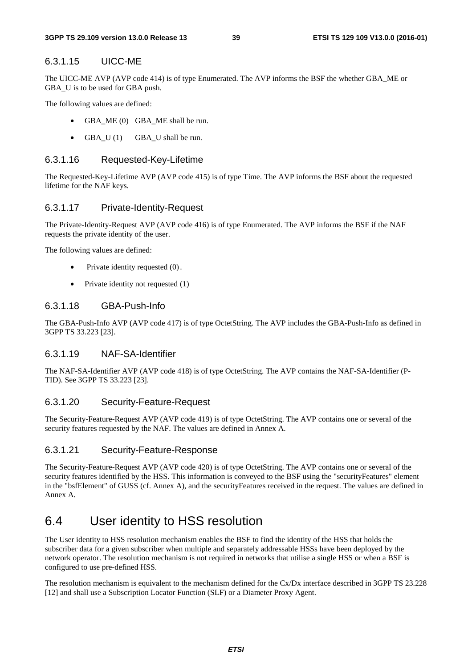#### 6.3.1.15 UICC-ME

The UICC-ME AVP (AVP code 414) is of type Enumerated. The AVP informs the BSF the whether GBA\_ME or GBA U is to be used for GBA push.

The following values are defined:

- GBA\_ME (0) GBA\_ME shall be run.
- GBA  $U(1)$  GBA U shall be run.

#### 6.3.1.16 Requested-Key-Lifetime

The Requested-Key-Lifetime AVP (AVP code 415) is of type Time. The AVP informs the BSF about the requested lifetime for the NAF keys.

#### 6.3.1.17 Private-Identity-Request

The Private-Identity-Request AVP (AVP code 416) is of type Enumerated. The AVP informs the BSF if the NAF requests the private identity of the user.

The following values are defined:

- Private identity requested  $(0)$ .
- Private identity not requested (1)

#### 6.3.1.18 GBA-Push-Info

The GBA-Push-Info AVP (AVP code 417) is of type OctetString. The AVP includes the GBA-Push-Info as defined in 3GPP TS 33.223 [23].

### 6.3.1.19 NAF-SA-Identifier

The NAF-SA-Identifier AVP (AVP code 418) is of type OctetString. The AVP contains the NAF-SA-Identifier (P-TID). See 3GPP TS 33.223 [23].

#### 6.3.1.20 Security-Feature-Request

The Security-Feature-Request AVP (AVP code 419) is of type OctetString. The AVP contains one or several of the security features requested by the NAF. The values are defined in Annex A.

### 6.3.1.21 Security-Feature-Response

The Security-Feature-Request AVP (AVP code 420) is of type OctetString. The AVP contains one or several of the security features identified by the HSS. This information is conveyed to the BSF using the "securityFeatures" element in the "bsfElement" of GUSS (cf. Annex A), and the securityFeatures received in the request. The values are defined in Annex A.

## 6.4 User identity to HSS resolution

The User identity to HSS resolution mechanism enables the BSF to find the identity of the HSS that holds the subscriber data for a given subscriber when multiple and separately addressable HSSs have been deployed by the network operator. The resolution mechanism is not required in networks that utilise a single HSS or when a BSF is configured to use pre-defined HSS.

The resolution mechanism is equivalent to the mechanism defined for the Cx/Dx interface described in 3GPP TS 23.228 [12] and shall use a Subscription Locator Function (SLF) or a Diameter Proxy Agent.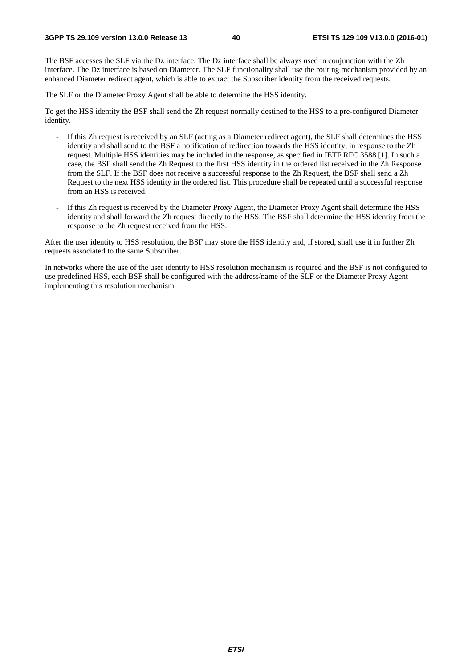The BSF accesses the SLF via the Dz interface. The Dz interface shall be always used in conjunction with the Zh interface. The Dz interface is based on Diameter. The SLF functionality shall use the routing mechanism provided by an enhanced Diameter redirect agent, which is able to extract the Subscriber identity from the received requests.

The SLF or the Diameter Proxy Agent shall be able to determine the HSS identity.

To get the HSS identity the BSF shall send the Zh request normally destined to the HSS to a pre-configured Diameter identity.

- If this Zh request is received by an SLF (acting as a Diameter redirect agent), the SLF shall determines the HSS identity and shall send to the BSF a notification of redirection towards the HSS identity, in response to the Zh request. Multiple HSS identities may be included in the response, as specified in IETF RFC 3588 [1]. In such a case, the BSF shall send the Zh Request to the first HSS identity in the ordered list received in the Zh Response from the SLF. If the BSF does not receive a successful response to the Zh Request, the BSF shall send a Zh Request to the next HSS identity in the ordered list. This procedure shall be repeated until a successful response from an HSS is received.
- If this Zh request is received by the Diameter Proxy Agent, the Diameter Proxy Agent shall determine the HSS identity and shall forward the Zh request directly to the HSS. The BSF shall determine the HSS identity from the response to the Zh request received from the HSS.

After the user identity to HSS resolution, the BSF may store the HSS identity and, if stored, shall use it in further Zh requests associated to the same Subscriber.

In networks where the use of the user identity to HSS resolution mechanism is required and the BSF is not configured to use predefined HSS, each BSF shall be configured with the address/name of the SLF or the Diameter Proxy Agent implementing this resolution mechanism.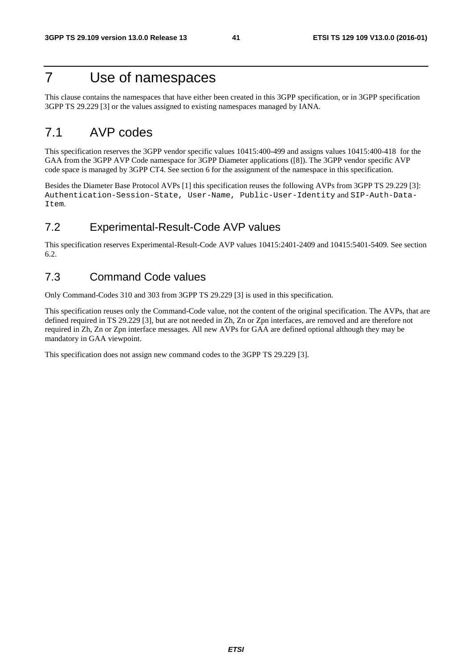## 7 Use of namespaces

This clause contains the namespaces that have either been created in this 3GPP specification, or in 3GPP specification 3GPP TS 29.229 [3] or the values assigned to existing namespaces managed by IANA.

## 7.1 AVP codes

This specification reserves the 3GPP vendor specific values 10415:400-499 and assigns values 10415:400-418 for the GAA from the 3GPP AVP Code namespace for 3GPP Diameter applications ([8]). The 3GPP vendor specific AVP code space is managed by 3GPP CT4. See section 6 for the assignment of the namespace in this specification.

Besides the Diameter Base Protocol AVPs [1] this specification reuses the following AVPs from 3GPP TS 29.229 [3]: Authentication-Session-State, User-Name, Public-User-Identity and SIP-Auth-Data-Item.

## 7.2 Experimental-Result-Code AVP values

This specification reserves Experimental-Result-Code AVP values 10415:2401-2409 and 10415:5401-5409. See section 6.2.

## 7.3 Command Code values

Only Command-Codes 310 and 303 from 3GPP TS 29.229 [3] is used in this specification.

This specification reuses only the Command-Code value, not the content of the original specification. The AVPs, that are defined required in TS 29.229 [3], but are not needed in Zh, Zn or Zpn interfaces, are removed and are therefore not required in Zh, Zn or Zpn interface messages. All new AVPs for GAA are defined optional although they may be mandatory in GAA viewpoint.

This specification does not assign new command codes to the 3GPP TS 29.229 [3].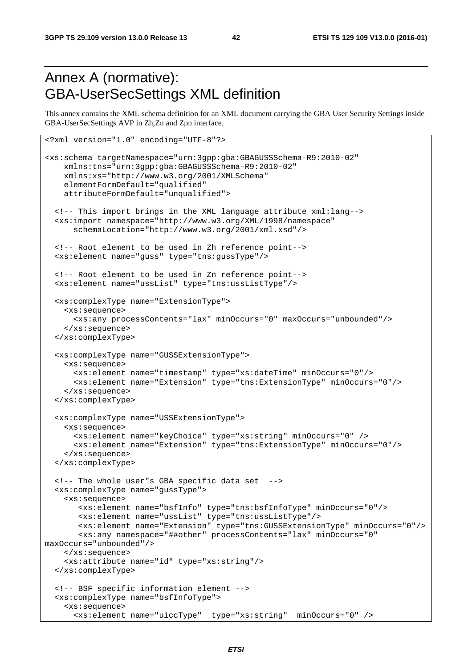# Annex A (normative): GBA-UserSecSettings XML definition

<?xml version="1.0" encoding="UTF-8"?>

This annex contains the XML schema definition for an XML document carrying the GBA User Security Settings inside GBA-UserSecSettings AVP in Zh,Zn and Zpn interface.

```
<xs:schema targetNamespace="urn:3gpp:gba:GBAGUSSSchema-R9:2010-02" 
     xmlns:tns="urn:3gpp:gba:GBAGUSSSchema-R9:2010-02" 
     xmlns:xs="http://www.w3.org/2001/XMLSchema" 
     elementFormDefault="qualified" 
     attributeFormDefault="unqualified"> 
   <!-- This import brings in the XML language attribute xml:lang--> 
   <xs:import namespace="http://www.w3.org/XML/1998/namespace" 
       schemaLocation="http://www.w3.org/2001/xml.xsd"/> 
   <!-- Root element to be used in Zh reference point--> 
   <xs:element name="guss" type="tns:gussType"/> 
   <!-- Root element to be used in Zn reference point--> 
   <xs:element name="ussList" type="tns:ussListType"/> 
   <xs:complexType name="ExtensionType"> 
     <xs:sequence> 
       <xs:any processContents="lax" minOccurs="0" maxOccurs="unbounded"/> 
     </xs:sequence> 
   </xs:complexType> 
   <xs:complexType name="GUSSExtensionType"> 
     <xs:sequence> 
       <xs:element name="timestamp" type="xs:dateTime" minOccurs="0"/> 
       <xs:element name="Extension" type="tns:ExtensionType" minOccurs="0"/> 
     </xs:sequence> 
   </xs:complexType> 
   <xs:complexType name="USSExtensionType"> 
     <xs:sequence> 
       <xs:element name="keyChoice" type="xs:string" minOccurs="0" /> 
       <xs:element name="Extension" type="tns:ExtensionType" minOccurs="0"/> 
     </xs:sequence> 
   </xs:complexType> 
   <!-- The whole user"s GBA specific data set --> 
   <xs:complexType name="gussType"> 
     <xs:sequence> 
        <xs:element name="bsfInfo" type="tns:bsfInfoType" minOccurs="0"/> 
        <xs:element name="ussList" type="tns:ussListType"/> 
        <xs:element name="Extension" type="tns:GUSSExtensionType" minOccurs="0"/> 
        <xs:any namespace="##other" processContents="lax" minOccurs="0" 
maxOccurs="unbounded"/> 
     </xs:sequence> 
     <xs:attribute name="id" type="xs:string"/> 
   </xs:complexType> 
   <!-- BSF specific information element --> 
   <xs:complexType name="bsfInfoType"> 
     <xs:sequence> 
       <xs:element name="uiccType" type="xs:string" minOccurs="0" />
```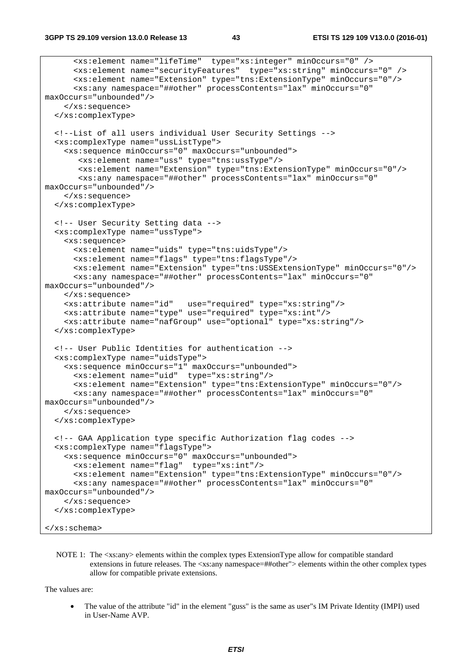```
 <xs:element name="lifeTime" type="xs:integer" minOccurs="0" /> 
       <xs:element name="securityFeatures" type="xs:string" minOccurs="0" /> 
       <xs:element name="Extension" type="tns:ExtensionType" minOccurs="0"/> 
       <xs:any namespace="##other" processContents="lax" minOccurs="0" 
maxOccurs="unbounded"/> 
     </xs:sequence> 
   </xs:complexType> 
   <!--List of all users individual User Security Settings --> 
   <xs:complexType name="ussListType"> 
     <xs:sequence minOccurs="0" maxOccurs="unbounded"> 
        <xs:element name="uss" type="tns:ussType"/> 
        <xs:element name="Extension" type="tns:ExtensionType" minOccurs="0"/> 
        <xs:any namespace="##other" processContents="lax" minOccurs="0" 
maxOccurs="unbounded"/> 
    </xs:sequence> 
   </xs:complexType> 
   <!-- User Security Setting data --> 
   <xs:complexType name="ussType"> 
     <xs:sequence> 
       <xs:element name="uids" type="tns:uidsType"/> 
       <xs:element name="flags" type="tns:flagsType"/> 
       <xs:element name="Extension" type="tns:USSExtensionType" minOccurs="0"/> 
       <xs:any namespace="##other" processContents="lax" minOccurs="0" 
maxOccurs="unbounded"/> 
     </xs:sequence> 
     <xs:attribute name="id" use="required" type="xs:string"/> 
     <xs:attribute name="type" use="required" type="xs:int"/> 
     <xs:attribute name="nafGroup" use="optional" type="xs:string"/> 
   </xs:complexType> 
   <!-- User Public Identities for authentication --> 
   <xs:complexType name="uidsType"> 
     <xs:sequence minOccurs="1" maxOccurs="unbounded"> 
       <xs:element name="uid" type="xs:string"/> 
       <xs:element name="Extension" type="tns:ExtensionType" minOccurs="0"/> 
       <xs:any namespace="##other" processContents="lax" minOccurs="0" 
maxOccurs="unbounded"/> 
    </xs:sequence> 
   </xs:complexType> 
   <!-- GAA Application type specific Authorization flag codes --> 
   <xs:complexType name="flagsType"> 
     <xs:sequence minOccurs="0" maxOccurs="unbounded"> 
       <xs:element name="flag" type="xs:int"/> 
       <xs:element name="Extension" type="tns:ExtensionType" minOccurs="0"/> 
       <xs:any namespace="##other" processContents="lax" minOccurs="0" 
maxOccurs="unbounded"/> 
     </xs:sequence> 
   </xs:complexType> 
</xs:schema>
```
NOTE 1: The  $\langle x \rangle$  elements within the complex types ExtensionType allow for compatible standard extensions in future releases. The <xs:any namespace=##other"> elements within the other complex types allow for compatible private extensions.

The values are:

• The value of the attribute "id" in the element "guss" is the same as user"s IM Private Identity (IMPI) used in User-Name AVP.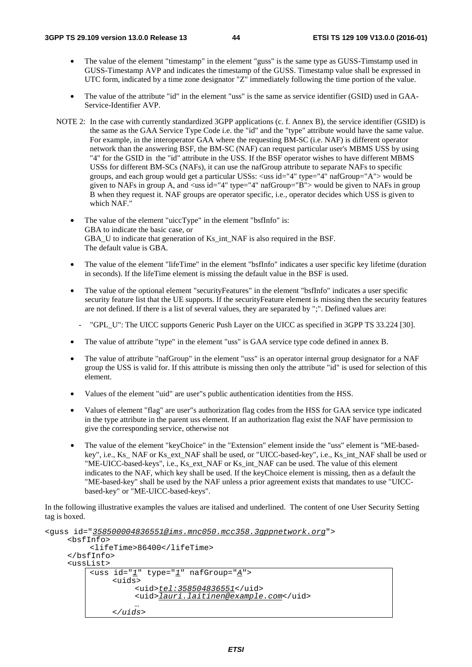- The value of the element "timestamp" in the element "guss" is the same type as GUSS-Timstamp used in GUSS-Timestamp AVP and indicates the timestamp of the GUSS. Timestamp value shall be expressed in UTC form, indicated by a time zone designator "Z" immediately following the time portion of the value.
- The value of the attribute "id" in the element "uss" is the same as service identifier (GSID) used in GAA-Service-Identifier AVP.
- NOTE 2: In the case with currently standardized 3GPP applications (c. f. Annex B), the service identifier (GSID) is the same as the GAA Service Type Code i.e. the "id" and the "type" attribute would have the same value. For example, in the interoperator GAA where the requesting BM-SC (i.e. NAF) is different operator network than the answering BSF, the BM-SC (NAF) can request particular user's MBMS USS by using "4" for the GSID in the "id" attribute in the USS. If the BSF operator wishes to have different MBMS USSs for different BM-SCs (NAFs), it can use the nafGroup attribute to separate NAFs to specific groups, and each group would get a particular USSs: <uss id="4" type="4" nafGroup="A"> would be given to NAFs in group A, and <uss id="4" type="4" nafGroup="B"> would be given to NAFs in group B when they request it. NAF groups are operator specific, i.e., operator decides which USS is given to which NAF."
	- The value of the element "uiccType" in the element "bsfInfo" is: GBA to indicate the basic case, or GBA\_U to indicate that generation of Ks\_int\_NAF is also required in the BSF. The default value is GBA.
	- The value of the element "lifeTime" in the element "bsfInfo" indicates a user specific key lifetime (duration in seconds). If the lifeTime element is missing the default value in the BSF is used.
	- The value of the optional element "securityFeatures" in the element "bsfInfo" indicates a user specific security feature list that the UE supports. If the securityFeature element is missing then the security features are not defined. If there is a list of several values, they are separated by ";". Defined values are:
	- "GPL\_U": The UICC supports Generic Push Layer on the UICC as specified in 3GPP TS 33.224 [30].
	- The value of attribute "type" in the element "uss" is GAA service type code defined in annex B.
	- The value of attribute "nafGroup" in the element "uss" is an operator internal group designator for a NAF group the USS is valid for. If this attribute is missing then only the attribute "id" is used for selection of this element.
	- Values of the element "uid" are user"s public authentication identities from the HSS.
	- Values of element "flag" are user"s authorization flag codes from the HSS for GAA service type indicated in the type attribute in the parent uss element. If an authorization flag exist the NAF have permission to give the corresponding service, otherwise not
	- The value of the element "keyChoice" in the "Extension" element inside the "uss" element is "ME-basedkey", i.e., Ks\_ NAF or Ks\_ext\_NAF shall be used, or "UICC-based-key", i.e., Ks\_int\_NAF shall be used or "ME-UICC-based-keys", i.e., Ks\_ext\_NAF or Ks\_int\_NAF can be used. The value of this element indicates to the NAF, which key shall be used. If the keyChoice element is missing, then as a default the "ME-based-key" shall be used by the NAF unless a prior agreement exists that mandates to use "UICCbased-key" or "ME-UICC-based-keys".

In the following illustrative examples the values are italised and underlined. The content of one User Security Setting tag is boxed.

```
<guss id="358500004836551@ims.mnc050.mcc358.3gppnetwork.org"> 
     <bsfInfo> 
          <lifeTime>86400</lifeTime> 
      </bsfInfo> 
      <ussList> 
         <uss id="1" type="1" nafGroup="A"> 
               <uids> 
                     <uid>tel:358504836551</uid>
                    <uid>lauri.laitinen@example.com</uid>
           … 
               </uids>
```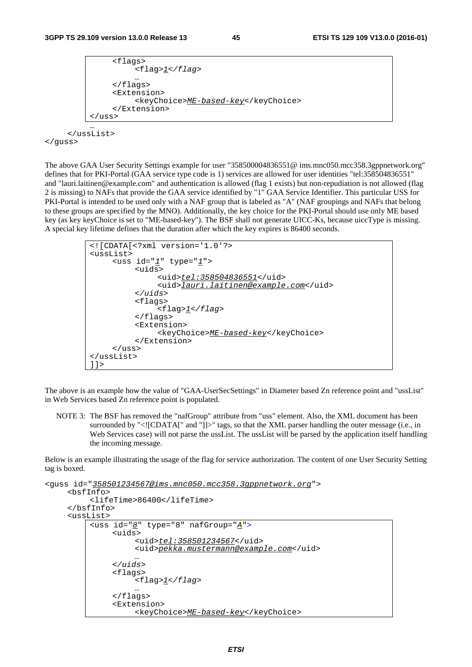```
 <flags> 
                    <flag>1</flag> 
          … 
              </flags> 
               <Extension> 
                    <keyChoice>ME-based-key</keyChoice> 
               </Extension> 
           </uss> 
 …
```
 </ussList> </guss>

The above GAA User Security Settings example for user "358500004836551@ ims.mnc050.mcc358.3gppnetwork.org" defines that for PKI-Portal (GAA service type code is 1) services are allowed for user identities "tel:358504836551" and "lauri.laitinen@example.com" and authentication is allowed (flag 1 exists) but non-repudiation is not allowed (flag 2 is missing) to NAFs that provide the GAA service identified by "1" GAA Service Identifier. This particular USS for PKI-Portal is intended to be used only with a NAF group that is labeled as "A" (NAF groupings and NAFs that belong to these groups are specified by the MNO). Additionally, the key choice for the PKI-Portal should use only ME based key (as key keyChoice is set to "ME-based-key"). The BSF shall not generate UICC-Ks, because uiccType is missing. A special key lifetime defines that the duration after which the key expires is 86400 seconds.

```
<![CDATA[<?xml version='1.0'?> 
<ussList> 
      <uss id="1" type="1"> 
            <uids> 
                 <uid>tel:358504836551</uid>
                 <uid>lauri.laitinen@example.com</uid>
            </uids>
            <flags> 
                 <flag>1</flag> 
            </flags> 
            <Extension> 
                 <keyChoice>ME-based-key</keyChoice> 
           </Extension> 
      </uss> 
</ussList> 
]]>
```
The above is an example how the value of "GAA-UserSecSettings" in Diameter based Zn reference point and "ussList" in Web Services based Zn reference point is populated.

NOTE 3: The BSF has removed the "nafGroup" attribute from "uss" element. Also, the XML document has been surrounded by "<![CDATA[" and "]]>" tags, so that the XML parser handling the outer message (i.e., in Web Services case) will not parse the ussList. The ussList will be parsed by the application itself handling the incoming message.

Below is an example illustrating the usage of the flag for service authorization. The content of one User Security Setting tag is boxed.

```
<guss id="358501234567@ims.mnc050.mcc358.3gppnetwork.org"> 
      <bsfInfo> 
           <lifeTime>86400</lifeTime> 
      </bsfInfo> 
      <ussList> 
          <uss id="8" type="8" nafGroup="A">
                <uids> 
                     <uid>tel:358501234567</uid>
                    <uid>pekka.mustermann@example.com</uid> … 
                </uids>
                <flags> 
                     <flag>1</flag> 
           … 
               </flags> 
                <Extension> 
                     <keyChoice>ME-based-key</keyChoice>
```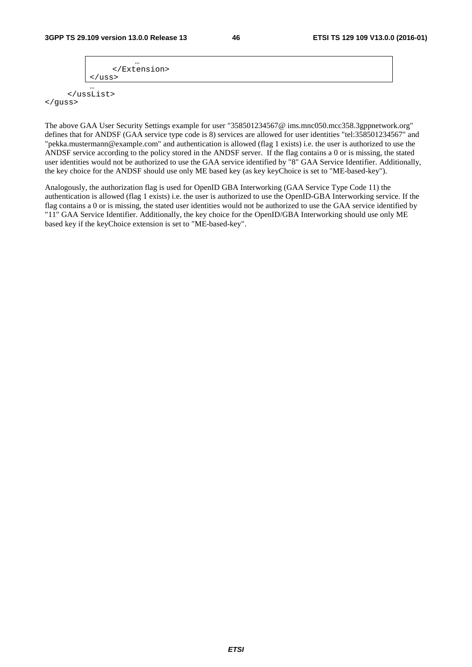</guss>

```
 … 
            </Extension> 
        /uss>
 … 
    </ussList>
```
The above GAA User Security Settings example for user "358501234567@ ims.mnc050.mcc358.3gppnetwork.org" defines that for ANDSF (GAA service type code is 8) services are allowed for user identities "tel:358501234567" and "pekka.mustermann@example.com" and authentication is allowed (flag 1 exists) i.e. the user is authorized to use the ANDSF service according to the policy stored in the ANDSF server. If the flag contains a 0 or is missing, the stated user identities would not be authorized to use the GAA service identified by "8" GAA Service Identifier. Additionally, the key choice for the ANDSF should use only ME based key (as key keyChoice is set to "ME-based-key").

Analogously, the authorization flag is used for OpenID GBA Interworking (GAA Service Type Code 11) the authentication is allowed (flag 1 exists) i.e. the user is authorized to use the OpenID-GBA Interworking service. If the flag contains a 0 or is missing, the stated user identities would not be authorized to use the GAA service identified by "11" GAA Service Identifier. Additionally, the key choice for the OpenID/GBA Interworking should use only ME based key if the keyChoice extension is set to "ME-based-key".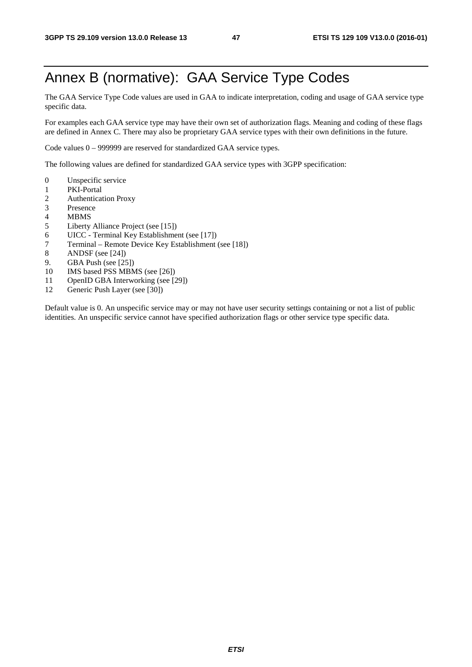# Annex B (normative): GAA Service Type Codes

The GAA Service Type Code values are used in GAA to indicate interpretation, coding and usage of GAA service type specific data.

For examples each GAA service type may have their own set of authorization flags. Meaning and coding of these flags are defined in Annex C. There may also be proprietary GAA service types with their own definitions in the future.

Code values 0 – 999999 are reserved for standardized GAA service types.

The following values are defined for standardized GAA service types with 3GPP specification:

- 0 Unspecific service
- 1 PKI-Portal
- 2 Authentication Proxy<br>3 Presence
- **Presence**
- 4 MBMS
- 5 Liberty Alliance Project (see [15])
- 6 UICC Terminal Key Establishment (see [17])
- 7 Terminal Remote Device Key Establishment (see [18])
- 8 ANDSF (see [24])
- 9. GBA Push (see [25])
- 10 IMS based PSS MBMS (see [26])
- 11 OpenID GBA Interworking (see [29])<br>12 Generic Push Laver (see [30])
- Generic Push Layer (see [30])

Default value is 0. An unspecific service may or may not have user security settings containing or not a list of public identities. An unspecific service cannot have specified authorization flags or other service type specific data.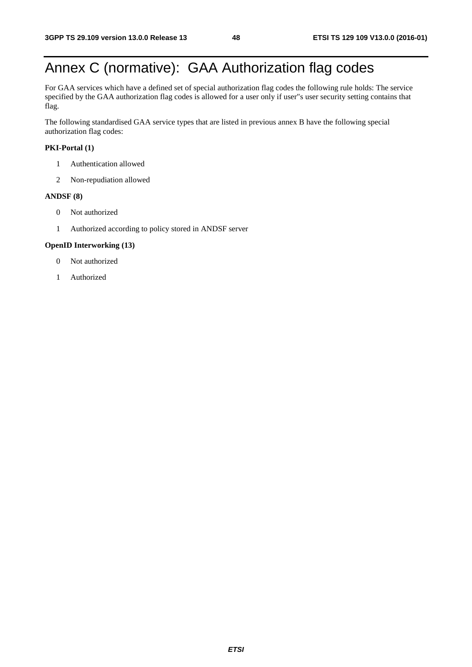# Annex C (normative): GAA Authorization flag codes

For GAA services which have a defined set of special authorization flag codes the following rule holds: The service specified by the GAA authorization flag codes is allowed for a user only if user"s user security setting contains that flag.

The following standardised GAA service types that are listed in previous annex B have the following special authorization flag codes:

#### **PKI-Portal (1)**

- 1 Authentication allowed
- 2 Non-repudiation allowed

#### **ANDSF (8)**

- 0 Not authorized
- 1 Authorized according to policy stored in ANDSF server

#### **OpenID Interworking (13)**

- 0 Not authorized
- 1 Authorized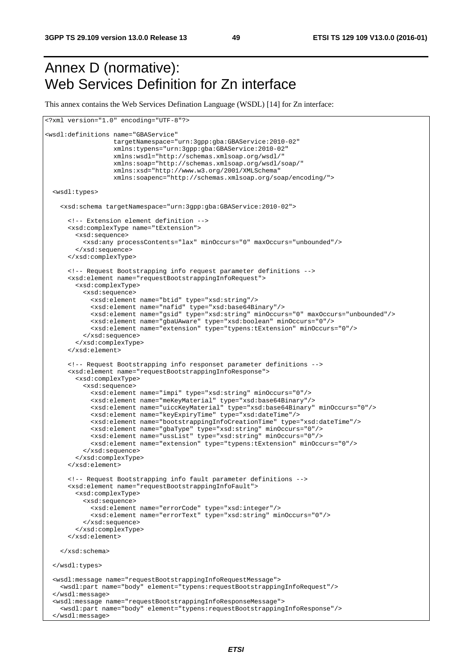## Annex D (normative): Web Services Definition for Zn interface

This annex contains the Web Services Defination Language (WSDL) [14] for Zn interface:

```
<?xml version="1.0" encoding="UTF-8"?> 
<wsdl:definitions name="GBAService" 
                   targetNamespace="urn:3gpp:gba:GBAService:2010-02" 
                   xmlns:typens="urn:3gpp:gba:GBAService:2010-02" 
                   xmlns:wsdl="http://schemas.xmlsoap.org/wsdl/" 
                   xmlns:soap="http://schemas.xmlsoap.org/wsdl/soap/" 
                   xmlns:xsd="http://www.w3.org/2001/XMLSchema" 
                   xmlns:soapenc="http://schemas.xmlsoap.org/soap/encoding/"> 
  <wsdl:types> 
    <xsd:schema targetNamespace="urn:3gpp:gba:GBAService:2010-02"> 
      <!-- Extension element definition --> 
      <xsd:complexType name="tExtension"> 
        <xsd:sequence> 
          <xsd:any processContents="lax" minOccurs="0" maxOccurs="unbounded"/> 
        </xsd:sequence> 
      </xsd:complexType> 
       <!-- Request Bootstrapping info request parameter definitions --> 
       <xsd:element name="requestBootstrappingInfoRequest"> 
         <xsd:complexType> 
           <xsd:sequence> 
             <xsd:element name="btid" type="xsd:string"/> 
             <xsd:element name="nafid" type="xsd:base64Binary"/> 
             <xsd:element name="gsid" type="xsd:string" minOccurs="0" maxOccurs="unbounded"/> 
             <xsd:element name="gbaUAware" type="xsd:boolean" minOccurs="0"/> 
             <xsd:element name="extension" type="typens:tExtension" minOccurs="0"/> 
           </xsd:sequence> 
         </xsd:complexType> 
       </xsd:element> 
       <!-- Request Bootstrapping info responset parameter definitions --> 
       <xsd:element name="requestBootstrappingInfoResponse"> 
         <xsd:complexType> 
           <xsd:sequence> 
             <xsd:element name="impi" type="xsd:string" minOccurs="0"/> 
             <xsd:element name="meKeyMaterial" type="xsd:base64Binary"/> 
             <xsd:element name="uiccKeyMaterial" type="xsd:base64Binary" minOccurs="0"/> 
             <xsd:element name="keyExpiryTime" type="xsd:dateTime"/> 
             <xsd:element name="bootstrappingInfoCreationTime" type="xsd:dateTime"/> 
             <xsd:element name="gbaType" type="xsd:string" minOccurs="0"/> 
             <xsd:element name="ussList" type="xsd:string" minOccurs="0"/> 
             <xsd:element name="extension" type="typens:tExtension" minOccurs="0"/> 
           </xsd:sequence> 
         </xsd:complexType> 
       </xsd:element> 
       <!-- Request Bootstrapping info fault parameter definitions --> 
       <xsd:element name="requestBootstrappingInfoFault"> 
         <xsd:complexType> 
          <xsd:sequence> 
             <xsd:element name="errorCode" type="xsd:integer"/> 
             <xsd:element name="errorText" type="xsd:string" minOccurs="0"/> 
           </xsd:sequence> 
         </xsd:complexType> 
       </xsd:element> 
    </xsd:schema> 
  </wsdl:types> 
  <wsdl:message name="requestBootstrappingInfoRequestMessage"> 
    <wsdl:part name="body" element="typens:requestBootstrappingInfoRequest"/> 
  </wsdl:message> 
  <wsdl:message name="requestBootstrappingInfoResponseMessage"> 
     <wsdl:part name="body" element="typens:requestBootstrappingInfoResponse"/> 
   </wsdl:message>
```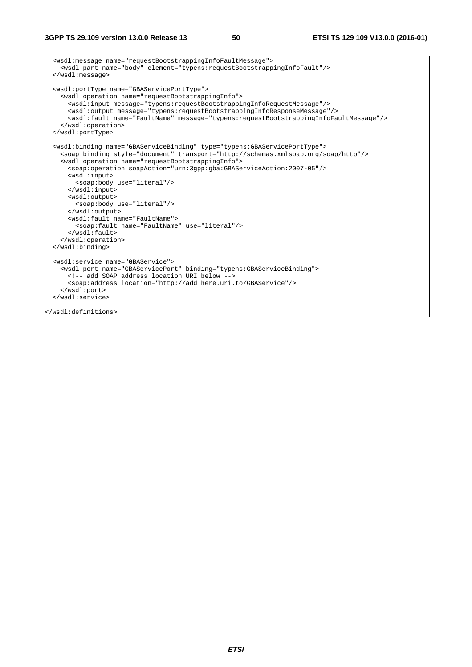```
 <wsdl:message name="requestBootstrappingInfoFaultMessage"> 
    <wsdl:part name="body" element="typens:requestBootstrappingInfoFault"/> 
  </wsdl:message> 
  <wsdl:portType name="GBAServicePortType"> 
    <wsdl:operation name="requestBootstrappingInfo"> 
      <wsdl:input message="typens:requestBootstrappingInfoRequestMessage"/> 
      <wsdl:output message="typens:requestBootstrappingInfoResponseMessage"/> 
      <wsdl:fault name="FaultName" message="typens:requestBootstrappingInfoFaultMessage"/> 
    </wsdl:operation> 
  </wsdl:portType> 
  <wsdl:binding name="GBAServiceBinding" type="typens:GBAServicePortType"> 
    <soap:binding style="document" transport="http://schemas.xmlsoap.org/soap/http"/> 
    <wsdl:operation name="requestBootstrappingInfo"> 
      <soap:operation soapAction="urn:3gpp:gba:GBAServiceAction:2007-05"/> 
      <wsdl:input> 
        <soap:body use="literal"/> 
      </wsdl:input> 
      <wsdl:output> 
        <soap:body use="literal"/> 
      </wsdl:output> 
      <wsdl:fault name="FaultName"> 
        <soap:fault name="FaultName" use="literal"/> 
       </wsdl:fault> 
    </wsdl:operation> 
  </wsdl:binding> 
  <wsdl:service name="GBAService"> 
    <wsdl:port name="GBAServicePort" binding="typens:GBAServiceBinding"> 
      <!-- add SOAP address location URI below --> 
      <soap:address location="http://add.here.uri.to/GBAService"/> 
    </wsdl:port> 
  </wsdl:service> 
</wsdl:definitions>
```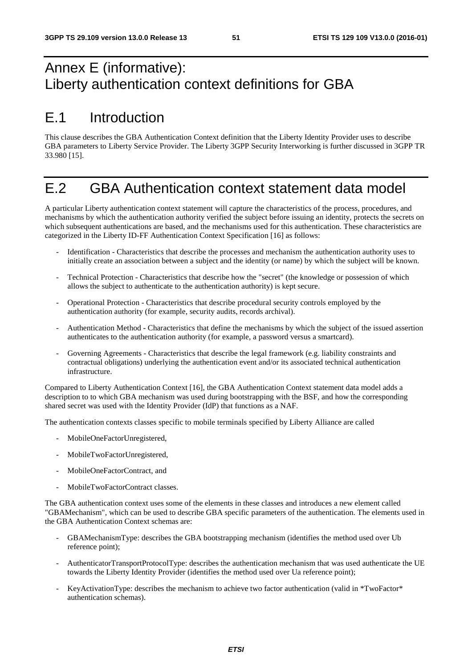# Annex E (informative): Liberty authentication context definitions for GBA

# E.1 Introduction

This clause describes the GBA Authentication Context definition that the Liberty Identity Provider uses to describe GBA parameters to Liberty Service Provider. The Liberty 3GPP Security Interworking is further discussed in 3GPP TR 33.980 [15].

# E.2 GBA Authentication context statement data model

A particular Liberty authentication context statement will capture the characteristics of the process, procedures, and mechanisms by which the authentication authority verified the subject before issuing an identity, protects the secrets on which subsequent authentications are based, and the mechanisms used for this authentication. These characteristics are categorized in the Liberty ID-FF Authentication Context Specification [16] as follows:

- Identification Characteristics that describe the processes and mechanism the authentication authority uses to initially create an association between a subject and the identity (or name) by which the subject will be known.
- Technical Protection Characteristics that describe how the "secret" (the knowledge or possession of which allows the subject to authenticate to the authentication authority) is kept secure.
- Operational Protection Characteristics that describe procedural security controls employed by the authentication authority (for example, security audits, records archival).
- Authentication Method Characteristics that define the mechanisms by which the subject of the issued assertion authenticates to the authentication authority (for example, a password versus a smartcard).
- Governing Agreements Characteristics that describe the legal framework (e.g. liability constraints and contractual obligations) underlying the authentication event and/or its associated technical authentication infrastructure.

Compared to Liberty Authentication Context [16], the GBA Authentication Context statement data model adds a description to to which GBA mechanism was used during bootstrapping with the BSF, and how the corresponding shared secret was used with the Identity Provider (IdP) that functions as a NAF.

The authentication contexts classes specific to mobile terminals specified by Liberty Alliance are called

- MobileOneFactorUnregistered,
- MobileTwoFactorUnregistered,
- MobileOneFactorContract, and
- MobileTwoFactorContract classes.

The GBA authentication context uses some of the elements in these classes and introduces a new element called "GBAMechanism", which can be used to describe GBA specific parameters of the authentication. The elements used in the GBA Authentication Context schemas are:

- GBAMechanismType: describes the GBA bootstrapping mechanism (identifies the method used over Ub reference point);
- AuthenticatorTransportProtocolType: describes the authentication mechanism that was used authenticate the UE towards the Liberty Identity Provider (identifies the method used over Ua reference point);
- KeyActivationType: describes the mechanism to achieve two factor authentication (valid in \*TwoFactor\* authentication schemas).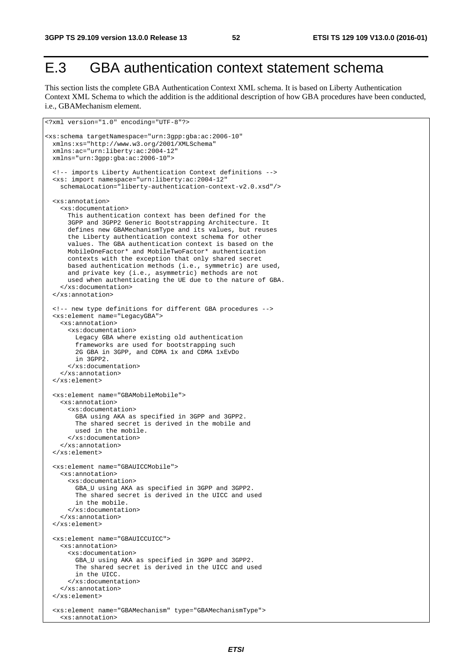<?xml version="1.0" encoding="UTF-8"?>

# E.3 GBA authentication context statement schema

This section lists the complete GBA Authentication Context XML schema. It is based on Liberty Authentication Context XML Schema to which the addition is the additional description of how GBA procedures have been conducted, i.e., GBAMechanism element.

```
<xs:schema targetNamespace="urn:3gpp:gba:ac:2006-10" 
  xmlns:xs="http://www.w3.org/2001/XMLSchema" 
  xmlns:ac="urn:liberty:ac:2004-12" 
  xmlns="urn:3gpp:gba:ac:2006-10"> 
   <!-- imports Liberty Authentication Context definitions --> 
   <xs: import namespace="urn:liberty:ac:2004-12" 
    schemaLocation="liberty-authentication-context-v2.0.xsd"/> 
   <xs:annotation> 
     <xs:documentation> 
       This authentication context has been defined for the 
       3GPP and 3GPP2 Generic Bootstrapping Architecture. It 
       defines new GBAMechanismType and its values, but reuses 
       the Liberty authentication context schema for other 
       values. The GBA authentication context is based on the 
       MobileOneFactor* and MobileTwoFactor* authentication 
       contexts with the exception that only shared secret 
       based authentication methods (i.e., symmetric) are used, 
       and private key (i.e., asymmetric) methods are not 
       used when authenticating the UE due to the nature of GBA. 
     </xs:documentation> 
   </xs:annotation> 
   <!-- new type definitions for different GBA procedures --> 
   <xs:element name="LegacyGBA"> 
     <xs:annotation> 
       <xs:documentation> 
         Legacy GBA where existing old authentication 
         frameworks are used for bootstrapping such 
         2G GBA in 3GPP, and CDMA 1x and CDMA 1xEvDo 
         in 3GPP2. 
       </xs:documentation> 
     </xs:annotation> 
   </xs:element> 
   <xs:element name="GBAMobileMobile"> 
     <xs:annotation> 
       <xs:documentation> 
         GBA using AKA as specified in 3GPP and 3GPP2. 
         The shared secret is derived in the mobile and 
         used in the mobile. 
       </xs:documentation> 
     </xs:annotation> 
   </xs:element> 
   <xs:element name="GBAUICCMobile"> 
     <xs:annotation> 
       <xs:documentation> 
         GBA_U using AKA as specified in 3GPP and 3GPP2. 
         The shared secret is derived in the UICC and used 
         in the mobile. 
       </xs:documentation> 
     </xs:annotation> 
   </xs:element> 
   <xs:element name="GBAUICCUICC"> 
     <xs:annotation> 
       <xs:documentation> 
         GBA_U using AKA as specified in 3GPP and 3GPP2. 
         The shared secret is derived in the UICC and used 
         in the UICC. 
       </xs:documentation> 
     </xs:annotation> 
   </xs:element> 
   <xs:element name="GBAMechanism" type="GBAMechanismType"> 
     <xs:annotation>
```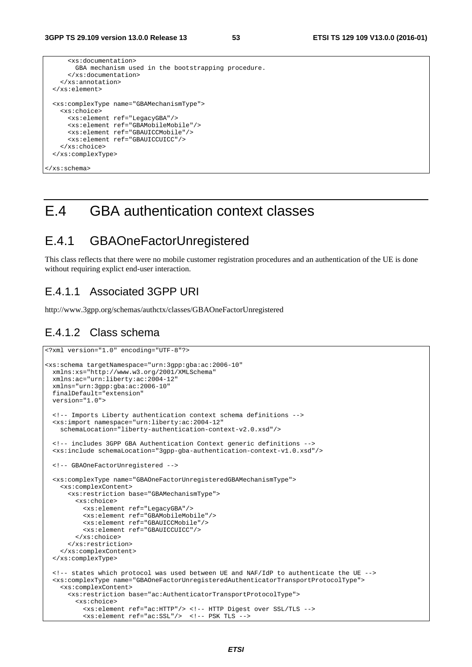```
 <xs:documentation> 
        GBA mechanism used in the bootstrapping procedure. 
      </xs:documentation> 
    </xs:annotation> 
 </xs:element> 
 <xs:complexType name="GBAMechanismType"> 
   <xs:choice> 
      <xs:element ref="LegacyGBA"/> 
      <xs:element ref="GBAMobileMobile"/> 
      <xs:element ref="GBAUICCMobile"/> 
      <xs:element ref="GBAUICCUICC"/> 
    </xs:choice> 
 </xs:complexType> 
</xs:schema>
```
## E.4 GBA authentication context classes

## E.4.1 GBAOneFactorUnregistered

This class reflects that there were no mobile customer registration procedures and an authentication of the UE is done without requiring explict end-user interaction.

## E.4.1.1 Associated 3GPP URI

http://www.3gpp.org/schemas/authctx/classes/GBAOneFactorUnregistered

### E.4.1.2 Class schema

```
<?xml version="1.0" encoding="UTF-8"?> 
<xs:schema targetNamespace="urn:3gpp:gba:ac:2006-10" 
  xmlns:xs="http://www.w3.org/2001/XMLSchema" 
  xmlns:ac="urn:liberty:ac:2004-12" 
  xmlns="urn:3gpp:gba:ac:2006-10" 
  finalDefault="extension" 
  version="1.0"> 
  <!-- Imports Liberty authentication context schema definitions --> 
  <xs:import namespace="urn:liberty:ac:2004-12" 
    schemaLocation="liberty-authentication-context-v2.0.xsd"/> 
  <!-- includes 3GPP GBA Authentication Context generic definitions --> 
  <xs:include schemaLocation="3gpp-gba-authentication-context-v1.0.xsd"/> 
  <!-- GBAOneFactorUnregistered --> 
  <xs:complexType name="GBAOneFactorUnregisteredGBAMechanismType"> 
    <xs:complexContent> 
      <xs:restriction base="GBAMechanismType"> 
         <xs:choice> 
          <xs:element ref="LegacyGBA"/> 
           <xs:element ref="GBAMobileMobile"/> 
          <xs:element ref="GBAUICCMobile"/> 
          <xs:element ref="GBAUICCUICC"/> 
         </xs:choice> 
      </xs:restriction> 
    </xs:complexContent> 
  </xs:complexType> 
  <!-- states which protocol was used between UE and NAF/IdP to authenticate the UE --> 
  <xs:complexType name="GBAOneFactorUnregisteredAuthenticatorTransportProtocolType"> 
    <xs:complexContent> 
      <xs:restriction base="ac:AuthenticatorTransportProtocolType"> 
         <xs:choice> 
           <xs:element ref="ac:HTTP"/> <!-- HTTP Digest over SSL/TLS --> 
           <xs:element ref="ac:SSL"/> <!-- PSK TLS -->
```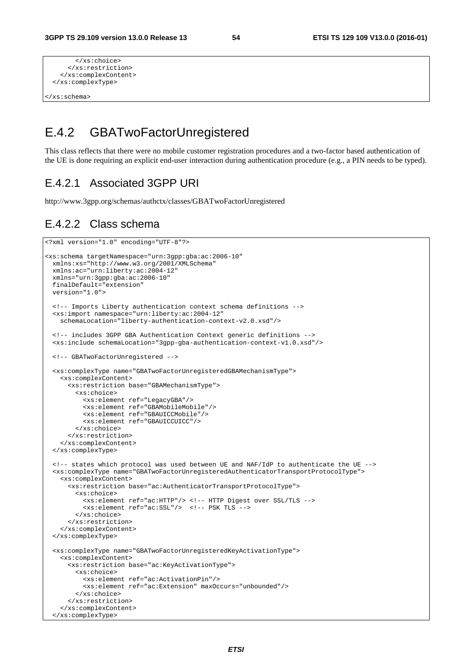```
 </xs:choice> 
     </xs:restriction> 
   </xs:complexContent> 
 </xs:complexType>
```
</xs:schema>

## E.4.2 GBATwoFactorUnregistered

This class reflects that there were no mobile customer registration procedures and a two-factor based authentication of the UE is done requiring an explicit end-user interaction during authentication procedure (e.g., a PIN needs to be typed).

### E.4.2.1 Associated 3GPP URI

http://www.3gpp.org/schemas/authctx/classes/GBATwoFactorUnregistered

## E.4.2.2 Class schema

```
<?xml version="1.0" encoding="UTF-8"?> 
<xs:schema targetNamespace="urn:3gpp:gba:ac:2006-10" 
   xmlns:xs="http://www.w3.org/2001/XMLSchema" 
   xmlns:ac="urn:liberty:ac:2004-12" 
   xmlns="urn:3gpp:gba:ac:2006-10" 
   finalDefault="extension" 
   version="1.0"> 
   <!-- Imports Liberty authentication context schema definitions --> 
   <xs:import namespace="urn:liberty:ac:2004-12" 
     schemaLocation="liberty-authentication-context-v2.0.xsd"/> 
   <!-- includes 3GPP GBA Authentication Context generic definitions --> 
   <xs:include schemaLocation="3gpp-gba-authentication-context-v1.0.xsd"/> 
   <!-- GBATwoFactorUnregistered --> 
   <xs:complexType name="GBATwoFactorUnregisteredGBAMechanismType"> 
     <xs:complexContent> 
       <xs:restriction base="GBAMechanismType"> 
         <xs:choice> 
           <xs:element ref="LegacyGBA"/> 
           <xs:element ref="GBAMobileMobile"/> 
           <xs:element ref="GBAUICCMobile"/> 
           <xs:element ref="GBAUICCUICC"/> 
         </xs:choice> 
       </xs:restriction> 
     </xs:complexContent> 
   </xs:complexType> 
   <!-- states which protocol was used between UE and NAF/IdP to authenticate the UE --> 
   <xs:complexType name="GBATwoFactorUnregisteredAuthenticatorTransportProtocolType"> 
     <xs:complexContent> 
       <xs:restriction base="ac:AuthenticatorTransportProtocolType"> 
         <xs:choice> 
           <xs:element ref="ac:HTTP"/> <!-- HTTP Digest over SSL/TLS --> 
           <xs:element ref="ac:SSL"/> <!-- PSK TLS --> 
         </xs:choice> 
       </xs:restriction> 
     </xs:complexContent> 
   </xs:complexType> 
   <xs:complexType name="GBATwoFactorUnregisteredKeyActivationType"> 
    <xs:complexContent> 
       <xs:restriction base="ac:KeyActivationType"> 
         <xs:choice> 
           <xs:element ref="ac:ActivationPin"/> 
           <xs:element ref="ac:Extension" maxOccurs="unbounded"/> 
         </xs:choice> 
       </xs:restriction> 
     </xs:complexContent> 
   </xs:complexType>
```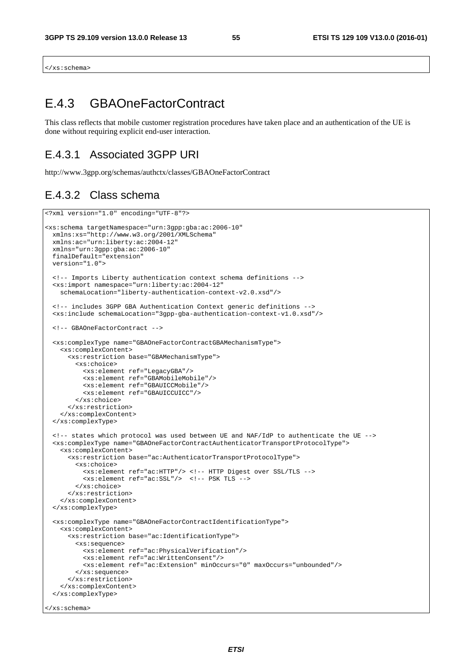</xs:schema>

## E.4.3 GBAOneFactorContract

This class reflects that mobile customer registration procedures have taken place and an authentication of the UE is done without requiring explicit end-user interaction.

## E.4.3.1 Associated 3GPP URI

http://www.3gpp.org/schemas/authctx/classes/GBAOneFactorContract

### E.4.3.2 Class schema

```
<?xml version="1.0" encoding="UTF-8"?> 
<xs:schema targetNamespace="urn:3gpp:gba:ac:2006-10" 
  xmlns:xs="http://www.w3.org/2001/XMLSchema" 
  xmlns:ac="urn:liberty:ac:2004-12" 
  xmlns="urn:3gpp:gba:ac:2006-10" 
  finalDefault="extension" 
  version="1.0"> 
  <!-- Imports Liberty authentication context schema definitions --> 
  <xs:import namespace="urn:liberty:ac:2004-12" 
    schemaLocation="liberty-authentication-context-v2.0.xsd"/> 
  <!-- includes 3GPP GBA Authentication Context generic definitions --> 
  <xs:include schemaLocation="3gpp-gba-authentication-context-v1.0.xsd"/> 
  <!-- GBAOneFactorContract --> 
  <xs:complexType name="GBAOneFactorContractGBAMechanismType"> 
    <xs:complexContent> 
      <xs:restriction base="GBAMechanismType"> 
         <xs:choice> 
           <xs:element ref="LegacyGBA"/> 
           <xs:element ref="GBAMobileMobile"/> 
           <xs:element ref="GBAUICCMobile"/> 
           <xs:element ref="GBAUICCUICC"/> 
         </xs:choice> 
      </xs:restriction> 
    </xs:complexContent> 
  </xs:complexType> 
  <!-- states which protocol was used between UE and NAF/IdP to authenticate the UE --> 
  <xs:complexType name="GBAOneFactorContractAuthenticatorTransportProtocolType"> 
    <xs:complexContent> 
       <xs:restriction base="ac:AuthenticatorTransportProtocolType"> 
         <xs:choice> 
           <xs:element ref="ac:HTTP"/> <!-- HTTP Digest over SSL/TLS --> 
           <xs:element ref="ac:SSL"/> <!-- PSK TLS --> 
         </xs:choice> 
       </xs:restriction> 
    </xs:complexContent> 
  </xs:complexType> 
  <xs:complexType name="GBAOneFactorContractIdentificationType"> 
    <xs:complexContent> 
       <xs:restriction base="ac:IdentificationType"> 
         <xs:sequence> 
           <xs:element ref="ac:PhysicalVerification"/> 
           <xs:element ref="ac:WrittenConsent"/> 
           <xs:element ref="ac:Extension" minOccurs="0" maxOccurs="unbounded"/> 
         </xs:sequence> 
       </xs:restriction> 
     </xs:complexContent> 
   </xs:complexType> 
</xs:schema>
```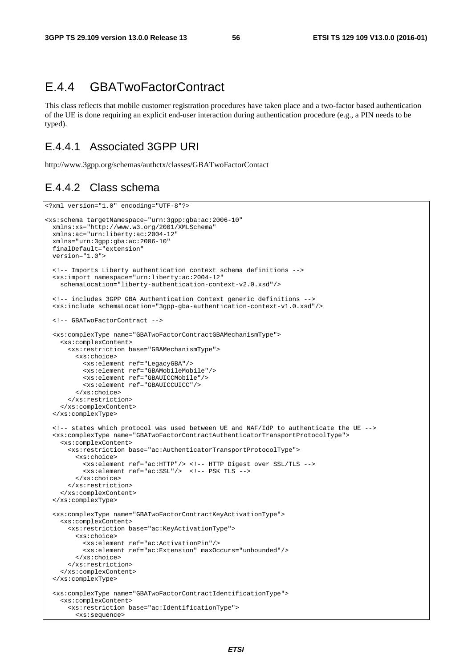## E.4.4 GBATwoFactorContract

This class reflects that mobile customer registration procedures have taken place and a two-factor based authentication of the UE is done requiring an explicit end-user interaction during authentication procedure (e.g., a PIN needs to be typed).

## E.4.4.1 Associated 3GPP URI

<?xml version="1.0" encoding="UTF-8"?>

http://www.3gpp.org/schemas/authctx/classes/GBATwoFactorContact

### E.4.4.2 Class schema

```
<xs:schema targetNamespace="urn:3gpp:gba:ac:2006-10" 
  xmlns:xs="http://www.w3.org/2001/XMLSchema" 
  xmlns:ac="urn:liberty:ac:2004-12" 
  xmlns="urn:3gpp:gba:ac:2006-10" 
  finalDefault="extension" 
  version="1.0"> 
   <!-- Imports Liberty authentication context schema definitions --> 
  <xs:import namespace="urn:liberty:ac:2004-12" 
    schemaLocation="liberty-authentication-context-v2.0.xsd"/> 
  <!-- includes 3GPP GBA Authentication Context generic definitions --> 
   <xs:include schemaLocation="3gpp-gba-authentication-context-v1.0.xsd"/> 
   <!-- GBATwoFactorContract --> 
  <xs:complexType name="GBATwoFactorContractGBAMechanismType"> 
     <xs:complexContent> 
       <xs:restriction base="GBAMechanismType"> 
         <xs:choice> 
           <xs:element ref="LegacyGBA"/> 
           <xs:element ref="GBAMobileMobile"/> 
           <xs:element ref="GBAUICCMobile"/> 
           <xs:element ref="GBAUICCUICC"/> 
         </xs:choice> 
       </xs:restriction> 
     </xs:complexContent> 
   </xs:complexType> 
   <!-- states which protocol was used between UE and NAF/IdP to authenticate the UE --> 
   <xs:complexType name="GBATwoFactorContractAuthenticatorTransportProtocolType"> 
     <xs:complexContent> 
       <xs:restriction base="ac:AuthenticatorTransportProtocolType"> 
         <xs:choice> 
           <xs:element ref="ac:HTTP"/> <!-- HTTP Digest over SSL/TLS --> 
           <xs:element ref="ac:SSL"/> <!-- PSK TLS --> 
         </xs:choice> 
       </xs:restriction> 
     </xs:complexContent> 
   </xs:complexType> 
   <xs:complexType name="GBATwoFactorContractKeyActivationType"> 
    <xs:complexContent> 
       <xs:restriction base="ac:KeyActivationType"> 
         <xs:choice> 
           <xs:element ref="ac:ActivationPin"/> 
           <xs:element ref="ac:Extension" maxOccurs="unbounded"/> 
         </xs:choice> 
       </xs:restriction> 
     </xs:complexContent> 
   </xs:complexType> 
   <xs:complexType name="GBATwoFactorContractIdentificationType"> 
     <xs:complexContent> 
       <xs:restriction base="ac:IdentificationType"> 
         <xs:sequence>
```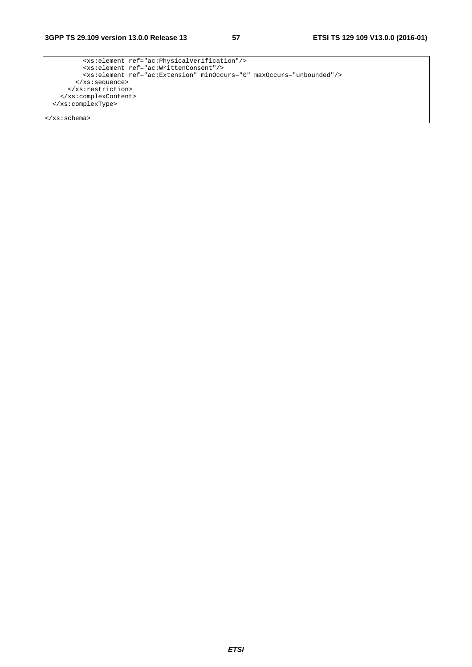*ETSI* 

```
 <xs:element ref="ac:PhysicalVerification"/> 
 <xs:element ref="ac:WrittenConsent"/> 
          <xs:element ref="ac:Extension" minOccurs="0" maxOccurs="unbounded"/> 
        </xs:sequence> 
      </xs:restriction> 
    </xs:complexContent> 
  </xs:complexType> 
</xs:schema>
```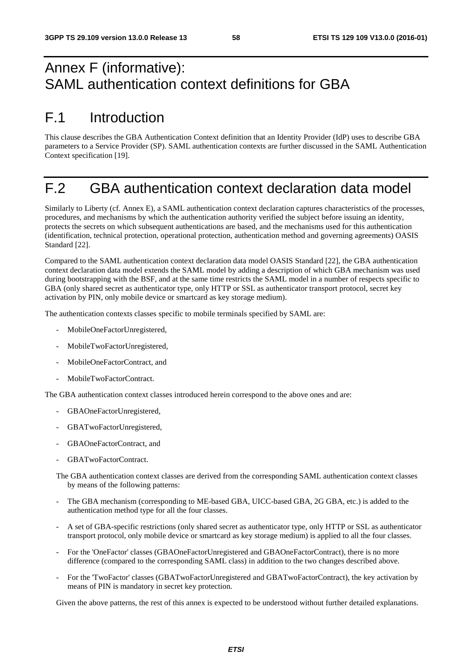# Annex F (informative): SAML authentication context definitions for GBA

# F.1 Introduction

This clause describes the GBA Authentication Context definition that an Identity Provider (IdP) uses to describe GBA parameters to a Service Provider (SP). SAML authentication contexts are further discussed in the SAML Authentication Context specification [19].

## F.2 GBA authentication context declaration data model

Similarly to Liberty (cf. Annex E), a SAML authentication context declaration captures characteristics of the processes, procedures, and mechanisms by which the authentication authority verified the subject before issuing an identity, protects the secrets on which subsequent authentications are based, and the mechanisms used for this authentication (identification, technical protection, operational protection, authentication method and governing agreements) OASIS Standard [22].

Compared to the SAML authentication context declaration data model OASIS Standard [22], the GBA authentication context declaration data model extends the SAML model by adding a description of which GBA mechanism was used during bootstrapping with the BSF, and at the same time restricts the SAML model in a number of respects specific to GBA (only shared secret as authenticator type, only HTTP or SSL as authenticator transport protocol, secret key activation by PIN, only mobile device or smartcard as key storage medium).

The authentication contexts classes specific to mobile terminals specified by SAML are:

- MobileOneFactorUnregistered,
- MobileTwoFactorUnregistered,
- MobileOneFactorContract, and
- MobileTwoFactorContract.

The GBA authentication context classes introduced herein correspond to the above ones and are:

- GBAOneFactorUnregistered,
- GBATwoFactorUnregistered,
- GBAOneFactorContract, and
- GBATwoFactorContract.

The GBA authentication context classes are derived from the corresponding SAML authentication context classes by means of the following patterns:

- The GBA mechanism (corresponding to ME-based GBA, UICC-based GBA, 2G GBA, etc.) is added to the authentication method type for all the four classes.
- A set of GBA-specific restrictions (only shared secret as authenticator type, only HTTP or SSL as authenticator transport protocol, only mobile device or smartcard as key storage medium) is applied to all the four classes.
- For the 'OneFactor' classes (GBAOneFactorUnregistered and GBAOneFactorContract), there is no more difference (compared to the corresponding SAML class) in addition to the two changes described above.
- For the 'TwoFactor' classes (GBATwoFactorUnregistered and GBATwoFactorContract), the key activation by means of PIN is mandatory in secret key protection.

Given the above patterns, the rest of this annex is expected to be understood without further detailed explanations.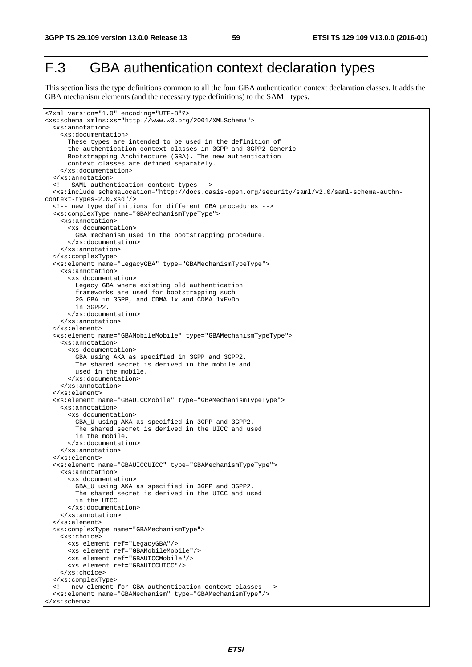# F.3 GBA authentication context declaration types

This section lists the type definitions common to all the four GBA authentication context declaration classes. It adds the GBA mechanism elements (and the necessary type definitions) to the SAML types.

```
<?xml version="1.0" encoding="UTF-8"?> 
<xs:schema xmlns:xs="http://www.w3.org/2001/XMLSchema"> 
  <xs:annotation> 
     <xs:documentation> 
       These types are intended to be used in the definition of 
       the authentication context classes in 3GPP and 3GPP2 Generic 
      Bootstrapping Architecture (GBA). The new authentication 
       context classes are defined separately. 
     </xs:documentation> 
   </xs:annotation> 
   <!-- SAML authentication context types --> 
   <xs:include schemaLocation="http://docs.oasis-open.org/security/saml/v2.0/saml-schema-authn-
context-types-2.0.xsd"/> 
   <!-- new type definitions for different GBA procedures --> 
  <xs:complexType name="GBAMechanismTypeType"> 
     <xs:annotation> 
       <xs:documentation> 
         GBA mechanism used in the bootstrapping procedure. 
       </xs:documentation> 
     </xs:annotation> 
   </xs:complexType> 
   <xs:element name="LegacyGBA" type="GBAMechanismTypeType"> 
     <xs:annotation> 
       <xs:documentation> 
         Legacy GBA where existing old authentication 
         frameworks are used for bootstrapping such 
         2G GBA in 3GPP, and CDMA 1x and CDMA 1xEvDo 
         in 3GPP2. 
       </xs:documentation> 
     </xs:annotation> 
   </xs:element> 
   <xs:element name="GBAMobileMobile" type="GBAMechanismTypeType"> 
     <xs:annotation> 
       <xs:documentation> 
         GBA using AKA as specified in 3GPP and 3GPP2. 
         The shared secret is derived in the mobile and 
         used in the mobile. 
       </xs:documentation> 
     </xs:annotation> 
   </xs:element> 
   <xs:element name="GBAUICCMobile" type="GBAMechanismTypeType"> 
     <xs:annotation> 
       <xs:documentation> 
         GBA_U using AKA as specified in 3GPP and 3GPP2. 
         The shared secret is derived in the UICC and used 
         in the mobile. 
       </xs:documentation> 
     </xs:annotation> 
   </xs:element> 
   <xs:element name="GBAUICCUICC" type="GBAMechanismTypeType"> 
     <xs:annotation> 
       <xs:documentation> 
         GBA_U using AKA as specified in 3GPP and 3GPP2. 
         The shared secret is derived in the UICC and used 
        in the UICC.
       </xs:documentation> 
     </xs:annotation> 
   </xs:element> 
   <xs:complexType name="GBAMechanismType"> 
     <xs:choice> 
       <xs:element ref="LegacyGBA"/> 
       <xs:element ref="GBAMobileMobile"/> 
       <xs:element ref="GBAUICCMobile"/> 
       <xs:element ref="GBAUICCUICC"/> 
     </xs:choice> 
   </xs:complexType> 
   <!-- new element for GBA authentication context classes --> 
   <xs:element name="GBAMechanism" type="GBAMechanismType"/> 
</xs:schema>
```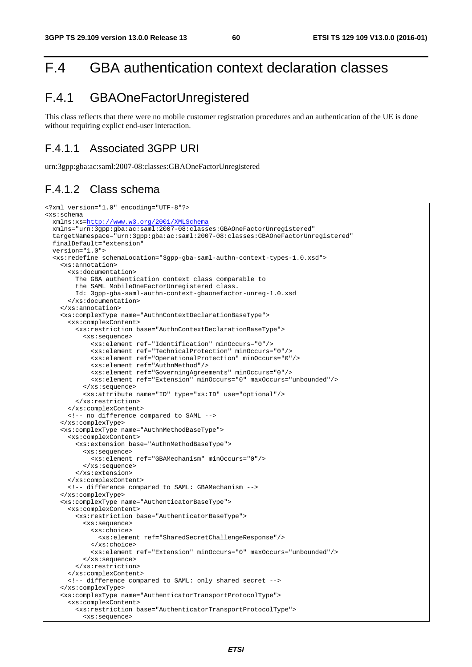# F.4 GBA authentication context declaration classes

## F.4.1 GBAOneFactorUnregistered

This class reflects that there were no mobile customer registration procedures and an authentication of the UE is done without requiring explict end-user interaction.

### F.4.1.1 Associated 3GPP URI

urn:3gpp:gba:ac:saml:2007-08:classes:GBAOneFactorUnregistered

### F.4.1.2 Class schema

```
<?xml version="1.0" encoding="UTF-8"?> 
<xs:schema 
  xmlns:xs=http://www.w3.org/2001/XMLSchema
  xmlns="urn:3gpp:gba:ac:saml:2007-08:classes:GBAOneFactorUnregistered" 
  targetNamespace="urn:3gpp:gba:ac:saml:2007-08:classes:GBAOneFactorUnregistered" 
  finalDefault="extension" 
  version="1.0"> 
   <xs:redefine schemaLocation="3gpp-gba-saml-authn-context-types-1.0.xsd"> 
     <xs:annotation> 
       <xs:documentation> 
         The GBA authentication context class comparable to 
         the SAML MobileOneFactorUnregistered class. 
         Id: 3gpp-gba-saml-authn-context-gbaonefactor-unreg-1.0.xsd 
       </xs:documentation> 
     </xs:annotation> 
     <xs:complexType name="AuthnContextDeclarationBaseType"> 
       <xs:complexContent> 
         <xs:restriction base="AuthnContextDeclarationBaseType"> 
           <xs:sequence> 
             <xs:element ref="Identification" minOccurs="0"/> 
             <xs:element ref="TechnicalProtection" minOccurs="0"/> 
             <xs:element ref="OperationalProtection" minOccurs="0"/> 
             <xs:element ref="AuthnMethod"/> 
             <xs:element ref="GoverningAgreements" minOccurs="0"/> 
             <xs:element ref="Extension" minOccurs="0" maxOccurs="unbounded"/> 
           </xs:sequence> 
           <xs:attribute name="ID" type="xs:ID" use="optional"/> 
         </xs:restriction> 
       </xs:complexContent> 
       <!-- no difference compared to SAML --> 
     </xs:complexType> 
     <xs:complexType name="AuthnMethodBaseType"> 
       <xs:complexContent> 
         <xs:extension base="AuthnMethodBaseType"> 
           <xs:sequence> 
             <xs:element ref="GBAMechanism" minOccurs="0"/> 
           </xs:sequence> 
         </xs:extension> 
       </xs:complexContent> 
       <!-- difference compared to SAML: GBAMechanism --> 
     </xs:complexType> 
     <xs:complexType name="AuthenticatorBaseType"> 
       <xs:complexContent> 
         <xs:restriction base="AuthenticatorBaseType"> 
           <xs:sequence> 
             <xs:choice> 
               <xs:element ref="SharedSecretChallengeResponse"/> 
             </xs:choice> 
             <xs:element ref="Extension" minOccurs="0" maxOccurs="unbounded"/> 
           </xs:sequence> 
         </xs:restriction> 
       </xs:complexContent> 
       <!-- difference compared to SAML: only shared secret --> 
     </xs:complexType> 
     <xs:complexType name="AuthenticatorTransportProtocolType"> 
       <xs:complexContent> 
         <xs:restriction base="AuthenticatorTransportProtocolType"> 
           <xs:sequence>
```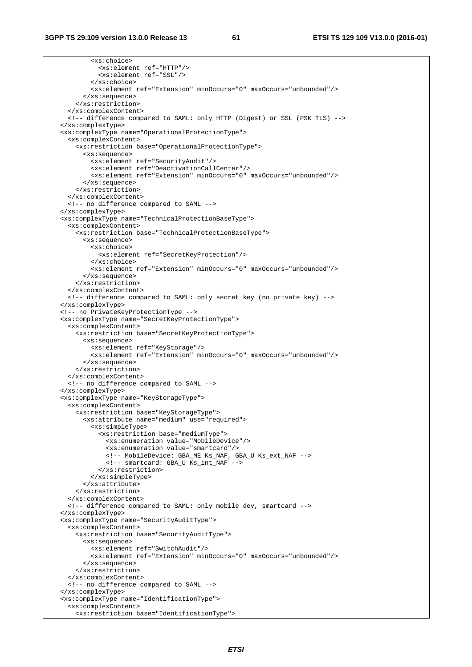```
 <xs:choice> 
            <xs:element ref="HTTP"/> 
            <xs:element ref="SSL"/> 
         </xs:choice> 
         <xs:element ref="Extension" minOccurs="0" maxOccurs="unbounded"/> 
       </xs:sequence> 
     </xs:restriction> 
   </xs:complexContent> 
   <!-- difference compared to SAML: only HTTP (Digest) or SSL (PSK TLS) --> 
 </xs:complexType> 
 <xs:complexType name="OperationalProtectionType"> 
   <xs:complexContent> 
     <xs:restriction base="OperationalProtectionType"> 
       <xs:sequence> 
         <xs:element ref="SecurityAudit"/> 
          <xs:element ref="DeactivationCallCenter"/> 
         <xs:element ref="Extension" minOccurs="0" maxOccurs="unbounded"/> 
       </xs:sequence> 
     </xs:restriction> 
   </xs:complexContent> 
   <!-- no difference compared to SAML --> 
 </xs:complexType> 
 <xs:complexType name="TechnicalProtectionBaseType"> 
   <xs:complexContent> 
     <xs:restriction base="TechnicalProtectionBaseType"> 
       <xs:sequence> 
         <xs:choice> 
            <xs:element ref="SecretKeyProtection"/> 
         </xs:choice> 
         <xs:element ref="Extension" minOccurs="0" maxOccurs="unbounded"/> 
       </xs:sequence> 
     </xs:restriction> 
   </xs:complexContent> 
   <!-- difference compared to SAML: only secret key (no private key) --> 
 </xs:complexType> 
 <!-- no PrivateKeyProtectionType --> 
 <xs:complexType name="SecretKeyProtectionType"> 
   <xs:complexContent> 
     <xs:restriction base="SecretKeyProtectionType"> 
       <xs:sequence> 
         <xs:element ref="KeyStorage"/> 
          <xs:element ref="Extension" minOccurs="0" maxOccurs="unbounded"/> 
       </xs:sequence> 
     </xs:restriction> 
   </xs:complexContent> 
   <!-- no difference compared to SAML --> 
 </xs:complexType> 
 <xs:complexType name="KeyStorageType"> 
   <xs:complexContent> 
     <xs:restriction base="KeyStorageType"> 
       <xs:attribute name="medium" use="required"> 
         <xs:simpleType> 
           <xs:restriction base="mediumType"> 
              <xs:enumeration value="MobileDevice"/> 
              <xs:enumeration value="smartcard"/> 
             <!-- MobileDevice: GBA_ME Ks_NAF, GBA_U Ks_ext_NAF --> 
             <!-- smartcard: GBA_U Ks_int_NAF --> 
           </xs:restriction> 
         </xs:simpleType> 
       </xs:attribute> 
     </xs:restriction> 
   </xs:complexContent> 
   <!-- difference compared to SAML: only mobile dev, smartcard --> 
 </xs:complexType> 
 <xs:complexType name="SecurityAuditType"> 
   <xs:complexContent> 
     <xs:restriction base="SecurityAuditType"> 
       <xs:sequence> 
         <xs:element ref="SwitchAudit"/> 
         <xs:element ref="Extension" minOccurs="0" maxOccurs="unbounded"/> 
       </xs:sequence> 
     </xs:restriction> 
   </xs:complexContent> 
   <!-- no difference compared to SAML --> 
 </xs:complexType> 
 <xs:complexType name="IdentificationType"> 
   <xs:complexContent> 
     <xs:restriction base="IdentificationType">
```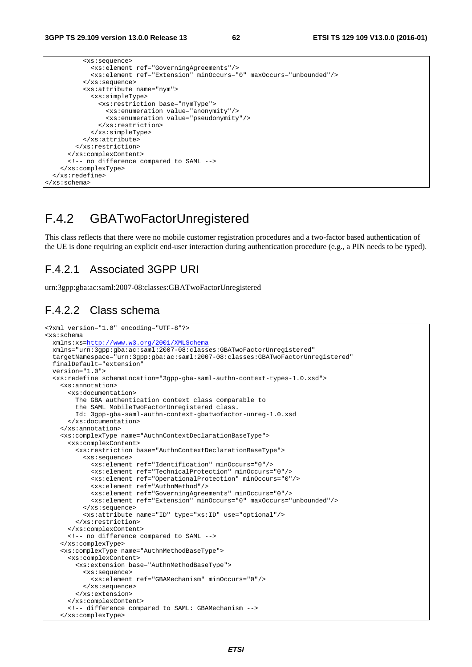| <xs:sequence></xs:sequence>                                                   |
|-------------------------------------------------------------------------------|
| <xs:element ref="GoverningAgreements"></xs:element>                           |
| <xs:element maxoccurs="unbounded" minoccurs="0" ref="Extension"></xs:element> |
| $\langle xs : \text{sequence} \rangle$                                        |
| <xs:attribute name="nym"></xs:attribute>                                      |
| <xs:simpletype></xs:simpletype>                                               |
| <xs:restriction base="nymType"></xs:restriction>                              |
| <xs:enumeration value="anonymity"></xs:enumeration>                           |
| <xs:enumeration value="pseudonymity"></xs:enumeration>                        |
|                                                                               |
|                                                                               |
|                                                                               |
|                                                                               |
|                                                                               |
| no difference compared to SAML                                                |
|                                                                               |
| $\langle x s : redefine \rangle$                                              |
| $\langle xs:schema \rangle$                                                   |

## F.4.2 GBATwoFactorUnregistered

This class reflects that there were no mobile customer registration procedures and a two-factor based authentication of the UE is done requiring an explicit end-user interaction during authentication procedure (e.g., a PIN needs to be typed).

### F.4.2.1 Associated 3GPP URI

urn:3gpp:gba:ac:saml:2007-08:classes:GBATwoFactorUnregistered

## F.4.2.2 Class schema

```
<?xml version="1.0" encoding="UTF-8"?> 
<xs:schema 
  xmlns:xs=http://www.w3.org/2001/XMLSchema
  xmlns="urn:3gpp:gba:ac:saml:2007-08:classes:GBATwoFactorUnregistered" 
  targetNamespace="urn:3gpp:gba:ac:saml:2007-08:classes:GBATwoFactorUnregistered" 
  finalDefault="extension" 
  version="1.0"> 
   <xs:redefine schemaLocation="3gpp-gba-saml-authn-context-types-1.0.xsd"> 
     <xs:annotation> 
       <xs:documentation> 
         The GBA authentication context class comparable to 
         the SAML MobileTwoFactorUnregistered class. 
         Id: 3gpp-gba-saml-authn-context-gbatwofactor-unreg-1.0.xsd 
       </xs:documentation> 
     </xs:annotation> 
     <xs:complexType name="AuthnContextDeclarationBaseType"> 
       <xs:complexContent> 
         <xs:restriction base="AuthnContextDeclarationBaseType"> 
           <xs:sequence> 
             <xs:element ref="Identification" minOccurs="0"/> 
             <xs:element ref="TechnicalProtection" minOccurs="0"/> 
             <xs:element ref="OperationalProtection" minOccurs="0"/> 
             <xs:element ref="AuthnMethod"/> 
             <xs:element ref="GoverningAgreements" minOccurs="0"/> 
             <xs:element ref="Extension" minOccurs="0" maxOccurs="unbounded"/> 
           </xs:sequence> 
           <xs:attribute name="ID" type="xs:ID" use="optional"/> 
         </xs:restriction> 
       </xs:complexContent> 
       <!-- no difference compared to SAML --> 
     </xs:complexType> 
     <xs:complexType name="AuthnMethodBaseType"> 
       <xs:complexContent> 
         <xs:extension base="AuthnMethodBaseType"> 
           <xs:sequence> 
             <xs:element ref="GBAMechanism" minOccurs="0"/> 
           </xs:sequence> 
         </xs:extension> 
       </xs:complexContent> 
       <!-- difference compared to SAML: GBAMechanism --> 
     </xs:complexType>
```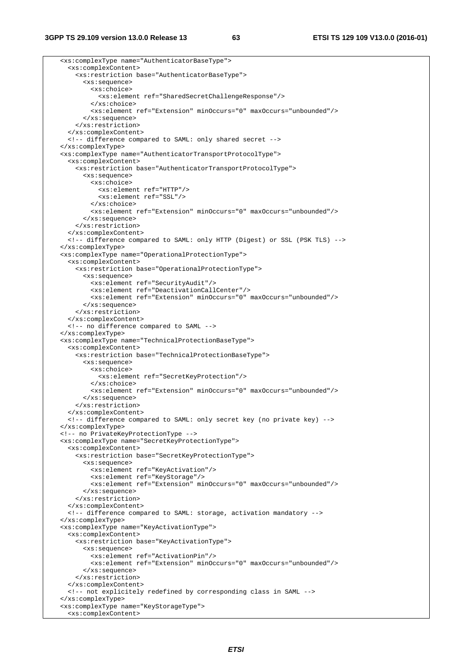<xs:complexType name="AuthenticatorBaseType"> <xs:complexContent> <xs:restriction base="AuthenticatorBaseType"> <xs:sequence> <xs:choice> <xs:element ref="SharedSecretChallengeResponse"/> </xs:choice> <xs:element ref="Extension" minOccurs="0" maxOccurs="unbounded"/> </xs:sequence> </xs:restriction> </xs:complexContent> <!-- difference compared to SAML: only shared secret --> </xs:complexType> <xs:complexType name="AuthenticatorTransportProtocolType"> <xs:complexContent> <xs:restriction base="AuthenticatorTransportProtocolType"> <xs:sequence> <xs:choice> <xs:element ref="HTTP"/> <xs:element ref="SSL"/> </xs:choice> <xs:element ref="Extension" minOccurs="0" maxOccurs="unbounded"/> </xs:sequence> </xs:restriction> </xs:complexContent> <!-- difference compared to SAML: only HTTP (Digest) or SSL (PSK TLS) --> </xs:complexType> <xs:complexType name="OperationalProtectionType"> <xs:complexContent> <xs:restriction base="OperationalProtectionType"> <xs:sequence> <xs:element ref="SecurityAudit"/> <xs:element ref="DeactivationCallCenter"/> <xs:element ref="Extension" minOccurs="0" maxOccurs="unbounded"/> </xs:sequence> </xs:restriction> </xs:complexContent> <!-- no difference compared to SAML --> </xs:complexType> <xs:complexType name="TechnicalProtectionBaseType"> <xs:complexContent> <xs:restriction base="TechnicalProtectionBaseType"> <xs:sequence> <xs:choice> <xs:element ref="SecretKeyProtection"/> </xs:choice> <xs:element ref="Extension" minOccurs="0" maxOccurs="unbounded"/> </xs:sequence> </xs:restriction> </xs:complexContent> <!-- difference compared to SAML: only secret key (no private key) --> </xs:complexType> <!-- no PrivateKeyProtectionType --> <xs:complexType name="SecretKeyProtectionType"> <xs:complexContent> <xs:restriction base="SecretKeyProtectionType"> <xs:sequence> <xs:element ref="KeyActivation"/> <xs:element ref="KeyStorage"/> <xs:element ref="Extension" minOccurs="0" maxOccurs="unbounded"/> </xs:sequence> </xs:restriction> </xs:complexContent> <!-- difference compared to SAML: storage, activation mandatory --> </xs:complexType> <xs:complexType name="KeyActivationType"> <xs:complexContent> <xs:restriction base="KeyActivationType"> <xs:sequence> <xs:element ref="ActivationPin"/> <xs:element ref="Extension" minOccurs="0" maxOccurs="unbounded"/> </xs:sequence> </xs:restriction> </xs:complexContent> <!-- not explicitely redefined by corresponding class in SAML --> </xs:complexType> <xs:complexType name="KeyStorageType"> <xs:complexContent>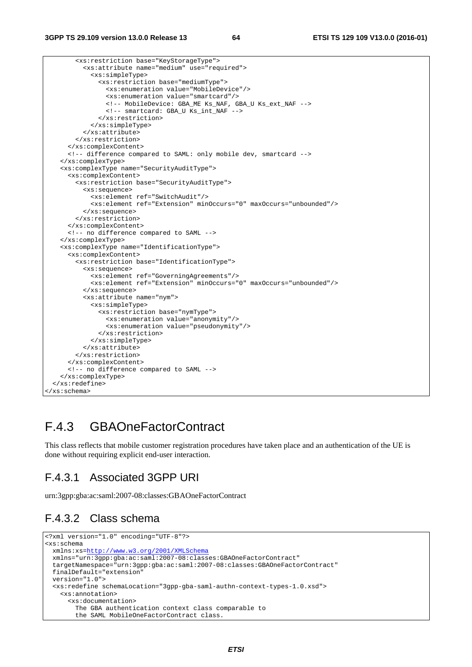```
 <xs:restriction base="KeyStorageType"> 
           <xs:attribute name="medium" use="required"> 
             <xs:simpleType> 
               <xs:restriction base="mediumType"> 
                 <xs:enumeration value="MobileDevice"/> 
                 <xs:enumeration value="smartcard"/> 
                 <!-- MobileDevice: GBA_ME Ks_NAF, GBA_U Ks_ext_NAF --> 
                 <!-- smartcard: GBA_U Ks_int_NAF --> 
               </xs:restriction> 
             </xs:simpleType> 
           </xs:attribute> 
        </xs:restriction> 
      </xs:complexContent> 
      <!-- difference compared to SAML: only mobile dev, smartcard --> 
    </xs:complexType> 
    <xs:complexType name="SecurityAuditType"> 
      <xs:complexContent> 
        <xs:restriction base="SecurityAuditType"> 
          <xs:sequence> 
             <xs:element ref="SwitchAudit"/> 
             <xs:element ref="Extension" minOccurs="0" maxOccurs="unbounded"/> 
          </xs:sequence> 
        </xs:restriction> 
      </xs:complexContent> 
      <!-- no difference compared to SAML --> 
    </xs:complexType> 
    <xs:complexType name="IdentificationType"> 
      <xs:complexContent> 
         <xs:restriction base="IdentificationType"> 
          <xs:sequence> 
             <xs:element ref="GoverningAgreements"/> 
             <xs:element ref="Extension" minOccurs="0" maxOccurs="unbounded"/> 
          </xs:sequence> 
           <xs:attribute name="nym"> 
             <xs:simpleType> 
               <xs:restriction base="nymType"> 
                 <xs:enumeration value="anonymity"/> 
                 <xs:enumeration value="pseudonymity"/> 
               </xs:restriction> 
             </xs:simpleType> 
           </xs:attribute> 
        </xs:restriction> 
      </xs:complexContent> 
      <!-- no difference compared to SAML --> 
    </xs:complexType> 
  </xs:redefine> 
</xs:schema>
```
## F.4.3 GBAOneFactorContract

This class reflects that mobile customer registration procedures have taken place and an authentication of the UE is done without requiring explicit end-user interaction.

## F.4.3.1 Associated 3GPP URI

urn:3gpp:gba:ac:saml:2007-08:classes:GBAOneFactorContract

## F.4.3.2 Class schema

```
<?xml version="1.0" encoding="UTF-8"?> 
<xs:schema 
  xmlns:xs=http://www.w3.org/2001/XMLSchema
  xmlns="urn:3gpp:gba:ac:saml:2007-08:classes:GBAOneFactorContract" 
  targetNamespace="urn:3gpp:gba:ac:saml:2007-08:classes:GBAOneFactorContract" 
  finalDefault="extension" 
  version="1.0"> 
  <xs:redefine schemaLocation="3gpp-gba-saml-authn-context-types-1.0.xsd"> 
    <xs:annotation> 
       <xs:documentation> 
         The GBA authentication context class comparable to 
         the SAML MobileOneFactorContract class.
```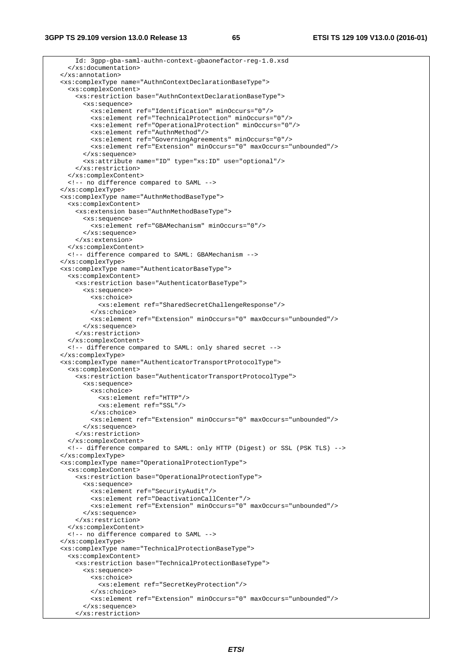**3GPP TS 29.109 version 13.0.0 Release 13 65 ETSI TS 129 109 V13.0.0 (2016-01)**

 Id: 3gpp-gba-saml-authn-context-gbaonefactor-reg-1.0.xsd </xs:documentation> </xs:annotation> <xs:complexType name="AuthnContextDeclarationBaseType"> <xs:complexContent> <xs:restriction base="AuthnContextDeclarationBaseType"> <xs:sequence> <xs:element ref="Identification" minOccurs="0"/> <xs:element ref="TechnicalProtection" minOccurs="0"/> <xs:element ref="OperationalProtection" minOccurs="0"/> <xs:element ref="AuthnMethod"/> <xs:element ref="GoverningAgreements" minOccurs="0"/> <xs:element ref="Extension" minOccurs="0" maxOccurs="unbounded"/> </xs:sequence> <xs:attribute name="ID" type="xs:ID" use="optional"/> </xs:restriction> </xs:complexContent> <!-- no difference compared to SAML --> </xs:complexType> <xs:complexType name="AuthnMethodBaseType"> <xs:complexContent> <xs:extension base="AuthnMethodBaseType"> <xs:sequence> <xs:element ref="GBAMechanism" minOccurs="0"/> </xs:sequence> </xs:extension> </xs:complexContent> <!-- difference compared to SAML: GBAMechanism --> </xs:complexType> <xs:complexType name="AuthenticatorBaseType"> <xs:complexContent> <xs:restriction base="AuthenticatorBaseType"> <xs:sequence> <xs:choice> <xs:element ref="SharedSecretChallengeResponse"/> </xs:choice> <xs:element ref="Extension" minOccurs="0" maxOccurs="unbounded"/> </xs:sequence> </xs:restriction> </xs:complexContent> <!-- difference compared to SAML: only shared secret --> </xs:complexType> <xs:complexType name="AuthenticatorTransportProtocolType"> <xs:complexContent> <xs:restriction base="AuthenticatorTransportProtocolType"> <xs:sequence> <xs:choice> <xs:element ref="HTTP"/> <xs:element ref="SSL"/> </xs:choice> <xs:element ref="Extension" minOccurs="0" maxOccurs="unbounded"/> </xs:sequence> </xs:restriction> </xs:complexContent> <!-- difference compared to SAML: only HTTP (Digest) or SSL (PSK TLS) --> </xs:complexType> <xs:complexType name="OperationalProtectionType"> <xs:complexContent> <xs:restriction base="OperationalProtectionType"> <xs:sequence> <xs:element ref="SecurityAudit"/> <xs:element ref="DeactivationCallCenter"/> <xs:element ref="Extension" minOccurs="0" maxOccurs="unbounded"/> </xs:sequence> </xs:restriction> </xs:complexContent> <!-- no difference compared to SAML --> </xs:complexType> <xs:complexType name="TechnicalProtectionBaseType"> <xs:complexContent> <xs:restriction base="TechnicalProtectionBaseType"> <xs:sequence> <xs:choice> <xs:element ref="SecretKeyProtection"/> </xs:choice> <xs:element ref="Extension" minOccurs="0" maxOccurs="unbounded"/> </xs:sequence>

```
 </xs:restriction>
```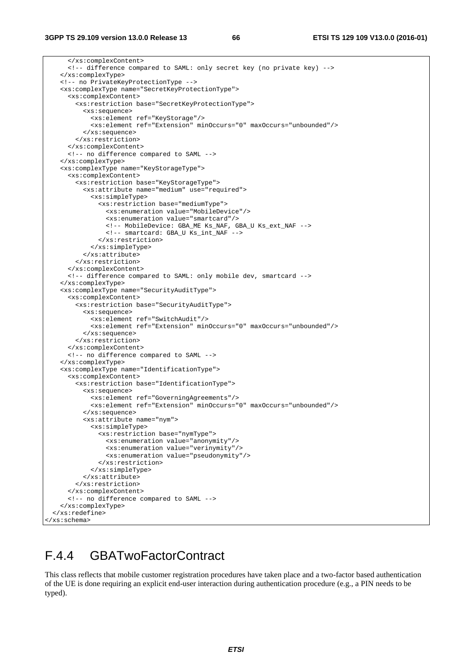</xs:complexContent> <!-- difference compared to SAML: only secret key (no private key) --> </xs:complexType> <!-- no PrivateKeyProtectionType --> <xs:complexType name="SecretKeyProtectionType"> <xs:complexContent> <xs:restriction base="SecretKeyProtectionType"> <xs:sequence> <xs:element ref="KeyStorage"/> <xs:element ref="Extension" minOccurs="0" maxOccurs="unbounded"/> </xs:sequence> </xs:restriction> </xs:complexContent> <!-- no difference compared to SAML --> </xs:complexType> <xs:complexType name="KeyStorageType"> <xs:complexContent> <xs:restriction base="KeyStorageType"> <xs:attribute name="medium" use="required"> <xs:simpleType> <xs:restriction base="mediumType"> <xs:enumeration value="MobileDevice"/> <xs:enumeration value="smartcard"/> <!-- MobileDevice: GBA\_ME Ks\_NAF, GBA\_U Ks\_ext\_NAF --> <!-- smartcard: GBA\_U Ks\_int\_NAF --> </xs:restriction> </xs:simpleType> </xs:attribute> </xs:restriction> </xs:complexContent> <!-- difference compared to SAML: only mobile dev, smartcard --> </xs:complexType> <xs:complexType name="SecurityAuditType"> <xs:complexContent> <xs:restriction base="SecurityAuditType"> <xs:sequence> <xs:element ref="SwitchAudit"/> <xs:element ref="Extension" minOccurs="0" maxOccurs="unbounded"/> </xs:sequence> </xs:restriction> </xs:complexContent> <!-- no difference compared to SAML --> </xs:complexType> <xs:complexType name="IdentificationType"> <xs:complexContent> <xs:restriction base="IdentificationType"> <xs:sequence> <xs:element ref="GoverningAgreements"/> <xs:element ref="Extension" minOccurs="0" maxOccurs="unbounded"/> </xs:sequence> <xs:attribute name="nym"> <xs:simpleType> <xs:restriction base="nymType"> <xs:enumeration value="anonymity"/> <xs:enumeration value="verinymity"/> <xs:enumeration value="pseudonymity"/> </xs:restriction> </xs:simpleType> </xs:attribute> </xs:restriction> </xs:complexContent> <!-- no difference compared to SAML --> </xs:complexType> </xs:redefine> </xs:schema>

## F.4.4 GBATwoFactorContract

This class reflects that mobile customer registration procedures have taken place and a two-factor based authentication of the UE is done requiring an explicit end-user interaction during authentication procedure (e.g., a PIN needs to be typed).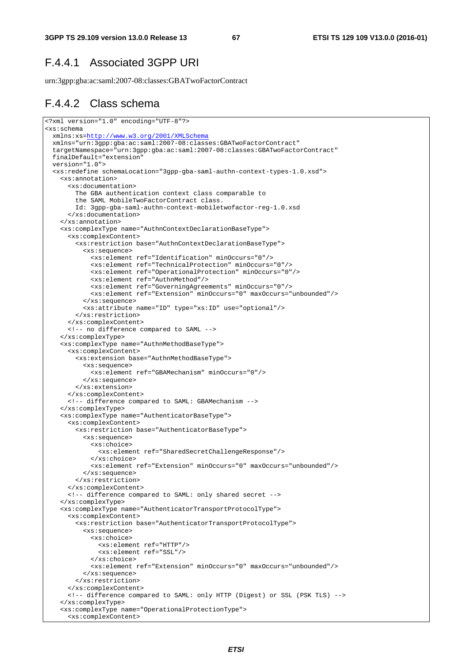## F.4.4.1 Associated 3GPP URI

urn:3gpp:gba:ac:saml:2007-08:classes:GBATwoFactorContract

### F.4.4.2 Class schema

```
<?xml version="1.0" encoding="UTF-8"?> 
<xs:schema 
  xmlns:xs=http://www.w3.org/2001/XMLSchema
  xmlns="urn:3gpp:gba:ac:saml:2007-08:classes:GBATwoFactorContract" 
   targetNamespace="urn:3gpp:gba:ac:saml:2007-08:classes:GBATwoFactorContract" 
  finalDefault="extension" 
  version="1.0"> 
  <xs:redefine schemaLocation="3gpp-gba-saml-authn-context-types-1.0.xsd"> 
     <xs:annotation> 
       <xs:documentation> 
         The GBA authentication context class comparable to 
         the SAML MobileTwoFactorContract class. 
         Id: 3gpp-gba-saml-authn-context-mobiletwofactor-reg-1.0.xsd 
       </xs:documentation> 
     </xs:annotation> 
     <xs:complexType name="AuthnContextDeclarationBaseType"> 
       <xs:complexContent> 
         <xs:restriction base="AuthnContextDeclarationBaseType"> 
           <xs:sequence> 
             <xs:element ref="Identification" minOccurs="0"/> 
             <xs:element ref="TechnicalProtection" minOccurs="0"/> 
             <xs:element ref="OperationalProtection" minOccurs="0"/> 
             <xs:element ref="AuthnMethod"/> 
             <xs:element ref="GoverningAgreements" minOccurs="0"/> 
             <xs:element ref="Extension" minOccurs="0" maxOccurs="unbounded"/> 
           </xs:sequence> 
           <xs:attribute name="ID" type="xs:ID" use="optional"/> 
         </xs:restriction> 
       </xs:complexContent> 
       <!-- no difference compared to SAML --> 
     </xs:complexType> 
     <xs:complexType name="AuthnMethodBaseType"> 
       <xs:complexContent> 
         <xs:extension base="AuthnMethodBaseType"> 
           <xs:sequence> 
             <xs:element ref="GBAMechanism" minOccurs="0"/> 
           </xs:sequence> 
         </xs:extension> 
       </xs:complexContent> 
       <!-- difference compared to SAML: GBAMechanism --> 
     </xs:complexType> 
     <xs:complexType name="AuthenticatorBaseType"> 
       <xs:complexContent> 
         <xs:restriction base="AuthenticatorBaseType"> 
           <xs:sequence> 
             <xs:choice> 
               <xs:element ref="SharedSecretChallengeResponse"/> 
             </xs:choice> 
             <xs:element ref="Extension" minOccurs="0" maxOccurs="unbounded"/> 
           </xs:sequence> 
         </xs:restriction> 
       </xs:complexContent> 
       <!-- difference compared to SAML: only shared secret --> 
     </xs:complexType> 
     <xs:complexType name="AuthenticatorTransportProtocolType"> 
       <xs:complexContent> 
         <xs:restriction base="AuthenticatorTransportProtocolType"> 
           <xs:sequence> 
             <xs:choice> 
               <xs:element ref="HTTP"/> 
               <xs:element ref="SSL"/> 
             </xs:choice> 
             <xs:element ref="Extension" minOccurs="0" maxOccurs="unbounded"/> 
           </xs:sequence> 
         </xs:restriction> 
       </xs:complexContent> 
       <!-- difference compared to SAML: only HTTP (Digest) or SSL (PSK TLS) --> 
     </xs:complexType> 
     <xs:complexType name="OperationalProtectionType"> 
       <xs:complexContent>
```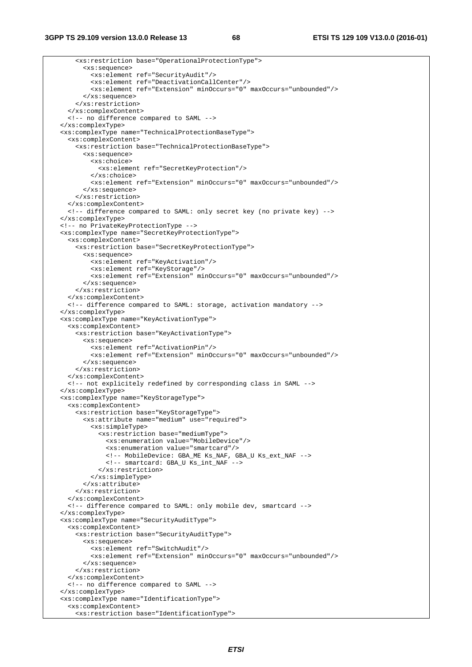```
 <xs:restriction base="OperationalProtectionType"> 
       <xs:sequence> 
         <xs:element ref="SecurityAudit"/> 
         <xs:element ref="DeactivationCallCenter"/> 
         <xs:element ref="Extension" minOccurs="0" maxOccurs="unbounded"/> 
       </xs:sequence> 
     </xs:restriction> 
   </xs:complexContent> 
   <!-- no difference compared to SAML --> 
 </xs:complexType> 
 <xs:complexType name="TechnicalProtectionBaseType"> 
   <xs:complexContent> 
     <xs:restriction base="TechnicalProtectionBaseType"> 
       <xs:sequence> 
         <xs:choice> 
            <xs:element ref="SecretKeyProtection"/> 
         </xs:choice> 
         <xs:element ref="Extension" minOccurs="0" maxOccurs="unbounded"/> 
       </xs:sequence> 
     </xs:restriction> 
   </xs:complexContent> 
   <!-- difference compared to SAML: only secret key (no private key) --> 
 </xs:complexType> 
 <!-- no PrivateKeyProtectionType --> 
 <xs:complexType name="SecretKeyProtectionType"> 
   <xs:complexContent> 
     <xs:restriction base="SecretKeyProtectionType"> 
       <xs:sequence> 
         <xs:element ref="KeyActivation"/> 
         <xs:element ref="KeyStorage"/> 
         <xs:element ref="Extension" minOccurs="0" maxOccurs="unbounded"/> 
       </xs:sequence> 
     </xs:restriction> 
   </xs:complexContent> 
   <!-- difference compared to SAML: storage, activation mandatory --> 
 </xs:complexType> 
 <xs:complexType name="KeyActivationType"> 
   <xs:complexContent> 
     <xs:restriction base="KeyActivationType"> 
       <xs:sequence> 
         <xs:element ref="ActivationPin"/> 
         <xs:element ref="Extension" minOccurs="0" maxOccurs="unbounded"/> 
       </xs:sequence> 
     </xs:restriction> 
   </xs:complexContent> 
   <!-- not explicitely redefined by corresponding class in SAML --> 
 </xs:complexType> 
 <xs:complexType name="KeyStorageType"> 
   <xs:complexContent> 
     <xs:restriction base="KeyStorageType"> 
       <xs:attribute name="medium" use="required"> 
         <xs:simpleType> 
           <xs:restriction base="mediumType"> 
              <xs:enumeration value="MobileDevice"/> 
              <xs:enumeration value="smartcard"/> 
             <!-- MobileDevice: GBA_ME Ks_NAF, GBA_U Ks_ext_NAF --> 
             <!-- smartcard: GBA_U Ks_int_NAF --> 
           </xs:restriction> 
         </xs:simpleType> 
       </xs:attribute> 
     </xs:restriction> 
   </xs:complexContent> 
   <!-- difference compared to SAML: only mobile dev, smartcard --> 
 </xs:complexType> 
 <xs:complexType name="SecurityAuditType"> 
   <xs:complexContent> 
     <xs:restriction base="SecurityAuditType"> 
       <xs:sequence> 
         <xs:element ref="SwitchAudit"/> 
         <xs:element ref="Extension" minOccurs="0" maxOccurs="unbounded"/> 
       </xs:sequence> 
     </xs:restriction> 
   </xs:complexContent> 
   <!-- no difference compared to SAML --> 
 </xs:complexType> 
 <xs:complexType name="IdentificationType"> 
   <xs:complexContent> 
     <xs:restriction base="IdentificationType">
```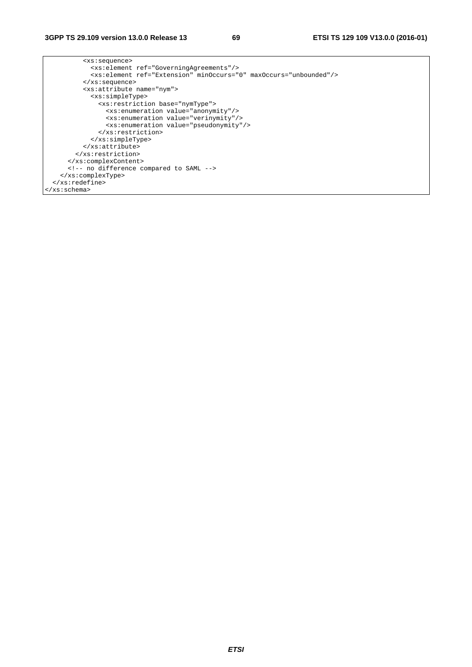| <xs:sequence></xs:sequence>                                                                                                       |
|-----------------------------------------------------------------------------------------------------------------------------------|
| <xs:element ref="GoverningAgreements"></xs:element>                                                                               |
| <xs:element_ref="extension"_minoccurs="0"_maxoccurs="unbounded"></xs:element_ref="extension"_minoccurs="0"_maxoccurs="unbounded"> |
| $\langle xs : \text{sequence} \rangle$                                                                                            |
| <xs:attribute name="nym"></xs:attribute>                                                                                          |
| <xs:simpletype></xs:simpletype>                                                                                                   |
| <xs:restriction base="nymType"></xs:restriction>                                                                                  |
| <xs:enumeration value="anonymity"></xs:enumeration>                                                                               |
| <xs:enumeration value="verinymity"></xs:enumeration>                                                                              |
| <xs:enumeration value="pseudonymity"></xs:enumeration>                                                                            |
|                                                                                                                                   |
|                                                                                                                                   |
|                                                                                                                                   |
|                                                                                                                                   |
|                                                                                                                                   |
| no difference compared to SAML                                                                                                    |
|                                                                                                                                   |
| $\langle x s : redefine \rangle$                                                                                                  |
| $\langle x s : \text{scheme}\rangle$                                                                                              |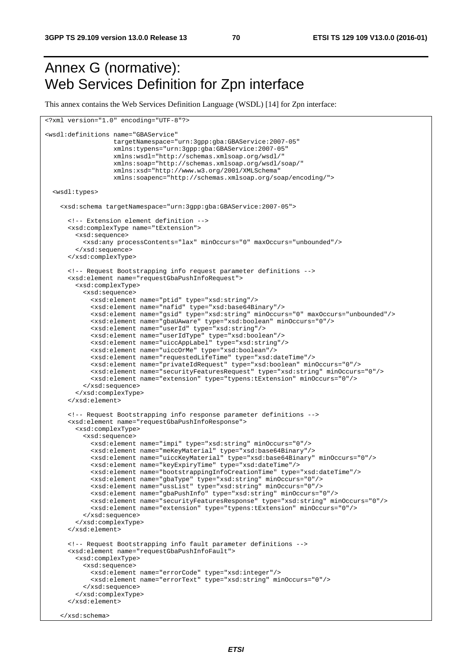## Annex G (normative): Web Services Definition for Zpn interface

This annex contains the Web Services Definition Language (WSDL) [14] for Zpn interface:

```
<?xml version="1.0" encoding="UTF-8"?> 
<wsdl:definitions name="GBAService" 
                   targetNamespace="urn:3gpp:gba:GBAService:2007-05" 
                   xmlns:typens="urn:3gpp:gba:GBAService:2007-05" 
                   xmlns:wsdl="http://schemas.xmlsoap.org/wsdl/" 
                   xmlns:soap="http://schemas.xmlsoap.org/wsdl/soap/" 
                   xmlns:xsd="http://www.w3.org/2001/XMLSchema" 
                   xmlns:soapenc="http://schemas.xmlsoap.org/soap/encoding/"> 
   <wsdl:types> 
     <xsd:schema targetNamespace="urn:3gpp:gba:GBAService:2007-05"> 
       <!-- Extension element definition --> 
       <xsd:complexType name="tExtension"> 
         <xsd:sequence> 
           <xsd:any processContents="lax" minOccurs="0" maxOccurs="unbounded"/> 
         </xsd:sequence> 
       </xsd:complexType> 
       <!-- Request Bootstrapping info request parameter definitions --> 
       <xsd:element name="requestGbaPushInfoRequest"> 
         <xsd:complexType> 
           <xsd:sequence> 
             <xsd:element name="ptid" type="xsd:string"/> 
             <xsd:element name="nafid" type="xsd:base64Binary"/> 
             <xsd:element name="gsid" type="xsd:string" minOccurs="0" maxOccurs="unbounded"/> 
             <xsd:element name="gbaUAware" type="xsd:boolean" minOccurs="0"/> 
             <xsd:element name="userId" type="xsd:string"/> 
             <xsd:element name="userIdType" type="xsd:boolean"/> 
             <xsd:element name="uiccAppLabel" type="xsd:string"/> 
             <xsd:element name="uiccOrMe" type="xsd:boolean"/> 
             <xsd:element name="requestedLifeTime" type="xsd:dateTime"/> 
            <xsd:element name="privateIdRequest" type="xsd:boolean" minOccurs="0"/> 
            <xsd:element name="securityFeaturesRequest" type="xsd:string" minOccurs="0"/> 
             <xsd:element name="extension" type="typens:tExtension" minOccurs="0"/> 
           </xsd:sequence> 
         </xsd:complexType> 
       </xsd:element> 
       <!-- Request Bootstrapping info response parameter definitions --> 
       <xsd:element name="requestGbaPushInfoResponse"> 
         <xsd:complexType> 
           <xsd:sequence> 
             <xsd:element name="impi" type="xsd:string" minOccurs="0"/> 
             <xsd:element name="meKeyMaterial" type="xsd:base64Binary"/> 
             <xsd:element name="uiccKeyMaterial" type="xsd:base64Binary" minOccurs="0"/> 
             <xsd:element name="keyExpiryTime" type="xsd:dateTime"/> 
             <xsd:element name="bootstrappingInfoCreationTime" type="xsd:dateTime"/> 
 <xsd:element name="gbaType" type="xsd:string" minOccurs="0"/> 
 <xsd:element name="ussList" type="xsd:string" minOccurs="0"/> 
             <xsd:element name="gbaPushInfo" type="xsd:string" minOccurs="0"/> 
             <xsd:element name="securityFeaturesResponse" type="xsd:string" minOccurs="0"/> 
             <xsd:element name="extension" type="typens:tExtension" minOccurs="0"/> 
           </xsd:sequence> 
         </xsd:complexType> 
       </xsd:element> 
       <!-- Request Bootstrapping info fault parameter definitions --> 
       <xsd:element name="requestGbaPushInfoFault"> 
         <xsd:complexType> 
           <xsd:sequence> 
             <xsd:element name="errorCode" type="xsd:integer"/> 
             <xsd:element name="errorText" type="xsd:string" minOccurs="0"/> 
           </xsd:sequence> 
         </xsd:complexType> 
       </xsd:element> 
     </xsd:schema>
```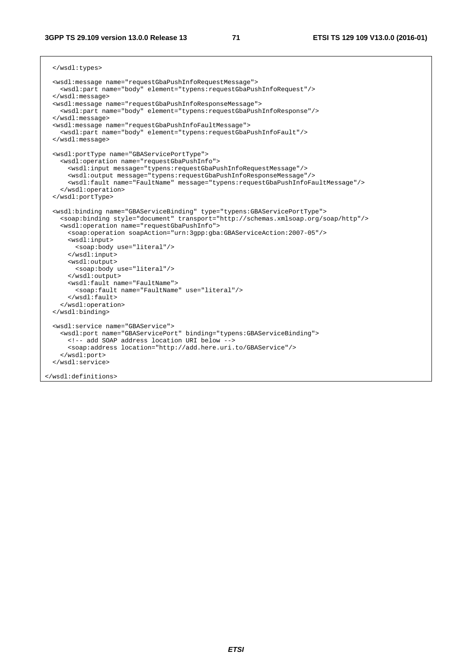#### **3GPP TS 29.109 version 13.0.0 Release 13 71 ETSI TS 129 109 V13.0.0 (2016-01)**

```
 </wsdl:types> 
 <wsdl:message name="requestGbaPushInfoRequestMessage"> 
   <wsdl:part name="body" element="typens:requestGbaPushInfoRequest"/> 
 </wsdl:message> 
 <wsdl:message name="requestGbaPushInfoResponseMessage"> 
   <wsdl:part name="body" element="typens:requestGbaPushInfoResponse"/> 
 </wsdl:message> 
 <wsdl:message name="requestGbaPushInfoFaultMessage"> 
   <wsdl:part name="body" element="typens:requestGbaPushInfoFault"/> 
 </wsdl:message> 
 <wsdl:portType name="GBAServicePortType"> 
   <wsdl:operation name="requestGbaPushInfo"> 
     <wsdl:input message="typens:requestGbaPushInfoRequestMessage"/> 
     <wsdl:output message="typens:requestGbaPushInfoResponseMessage"/> 
     <wsdl:fault name="FaultName" message="typens:requestGbaPushInfoFaultMessage"/> 
   </wsdl:operation> 
 </wsdl:portType> 
 <wsdl:binding name="GBAServiceBinding" type="typens:GBAServicePortType"> 
   <soap:binding style="document" transport="http://schemas.xmlsoap.org/soap/http"/> 
   <wsdl:operation name="requestGbaPushInfo"> 
    <soap:operation soapAction="urn:3gpp:gba:GBAServiceAction:2007-05"/> 
    <wsdl:input> 
      <soap:body use="literal"/> 
     </wsdl:input> 
     <wsdl:output> 
      <soap:body use="literal"/> 
     </wsdl:output> 
     <wsdl:fault name="FaultName"> 
       <soap:fault name="FaultName" use="literal"/> 
     </wsdl:fault> 
   </wsdl:operation> 
 </wsdl:binding> 
 <wsdl:service name="GBAService"> 
  <wsdl:port name="GBAServicePort" binding="typens:GBAServiceBinding"> 
    <!-- add SOAP address location URI below --> 
     <soap:address location="http://add.here.uri.to/GBAService"/> 
   </wsdl:port> 
 </wsdl:service>
```
</wsdl:definitions>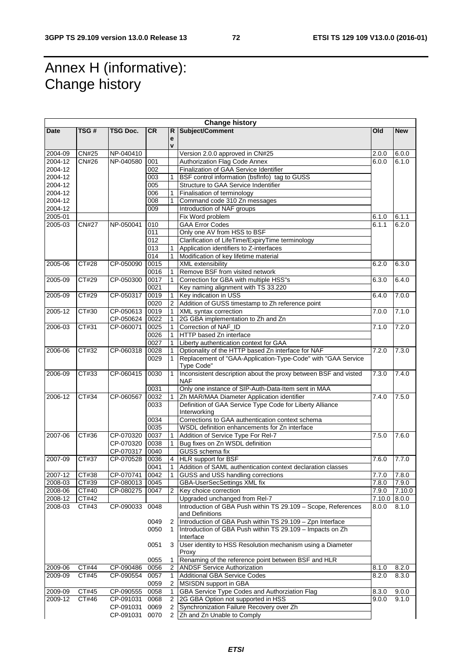## Annex H (informative): Change history

| Subject/Comment<br>TSG#<br>TSG Doc.<br><b>CR</b><br>Old<br><b>New</b><br><b>Date</b><br>R<br>e<br>$\mathbf{v}$<br><b>CN#25</b><br>2004-09<br>NP-040410<br>Version 2.0.0 approved in CN#25<br>2.0.0<br>6.0.0<br>2004-12<br>CN#26<br>NP-040580<br>Authorization Flag Code Annex<br>001<br>6.0.0<br>6.1.0<br>2004-12<br>002<br>Finalization of GAA Service Identifier<br>003<br>BSF control information (bsfInfo) tag to GUSS<br>2004-12<br>2004-12<br>005<br>Structure to GAA Service Indentifier<br>2004-12<br>006<br>Finalisation of terminology<br>1<br>$\overline{008}$<br>2004-12<br>Command code 310 Zn messages<br>2004-12<br>Introduction of NAF groups<br>009<br>2005-01<br>Fix Word problem<br>6.1.0<br>6.1.1<br><b>CN#27</b><br>010<br><b>GAA Error Codes</b><br>6.1.1<br>2005-03<br>NP-050041<br>6.2.0<br>011<br>Only one AV from HSS to BSF<br>Clarification of LifeTime/ExpiryTime terminology<br>012<br>$\overline{013}$<br>Application identifiers to Z-interfaces<br>014<br>Modification of key lifetime material<br><b>CT#28</b><br>0015<br><b>XML</b> extensibility<br>2005-06<br>CP-050090<br>6.2.0<br>6.3.0<br>Remove BSF from visited network<br>0016<br>1<br>2005-09<br>CT#29<br>CP-050300<br>0017<br>Correction for GBA with multiple HSS"s<br>6.3.0<br>6.4.0<br>0021<br>Key naming alignment with TS 33.220<br>CT#29<br>Key indication in USS<br>7.0.0<br>2005-09<br>CP-050317<br>0019<br>6.4.0<br>Addition of GUSS timestamp to Zh reference point<br>0020<br>$\overline{2}$<br>CT#30<br>CP-050613<br>0019<br>7.1.0<br>2005-12<br>XML syntax correction<br>7.0.0<br>0022<br>2G GBA implementation to Zh and Zn<br>CP-050624<br>CT#31<br>CP-060071<br>0025<br>Correction of NAF_ID<br>7.2.0<br>2006-03<br>7.1.0<br>0026<br>HTTP based Zn interface<br>0027<br>Liberty authentication context for GAA<br>CT#32<br>CP-060318<br>0028<br>Optionality of the HTTP based Zn interface for NAF<br>7.2.0<br>7.3.0<br>2006-06<br>0029<br>Replacement of "GAA-Application-Type-Code" with "GAA Service<br>Type Code"<br>Inconsistent description about the proxy between BSF and visted<br>0030<br>CT#33<br>CP-060415<br>7.3.0<br>2006-09<br>1<br>7.4.0<br><b>NAF</b><br>Only one instance of SIP-Auth-Data-Item sent in MAA<br>0031<br>CT#34<br>0032<br>Zh MAR/MAA Diameter Application identifier<br>7.4.0<br>2006-12<br>CP-060567<br>7.5.0<br>0033<br>Definition of GAA Service Type Code for Liberty Alliance<br>Interworking<br>Corrections to GAA authentication context schema<br>0034<br>0035<br>WSDL definition enhancements for Zn interface<br>CT#36<br>0037<br>2007-06<br>CP-070320<br>Addition of Service Type For Rel-7<br>7.5.0<br>7.6.0<br>0038<br>Bug fixes on Zn WSDL definition<br>CP-070320<br>GUSS schema fix<br>CP-070317<br>0040<br>CT#37<br>2007-09<br>CP-070528<br>0036<br><b>HLR support for BSF</b><br>7.6.0<br>7.7.0<br>0041<br>Addition of SAML authentication context declaration classes<br>1<br>2007-12<br>CP-070741<br>GUSS and USS handling corrections<br>7.8.0<br>CT#38<br>0042<br>7.7.0<br>CT#39<br>CP-080013<br>GBA-UserSecSettings XML fix<br>2008-03<br>0045<br>7.8.0<br>7.9.0<br>2008-06<br>CT#40<br>CP-080275<br>0047<br>Key choice correction<br>7.9.0<br>7.10.0<br>2<br>2008-12<br>CT#42<br>Upgraded unchanged from Rel-7<br>7.10.0<br>8.0.0<br>Introduction of GBA Push within TS 29.109 - Scope, References<br>CT#43<br>CP-090033<br>0048<br>2008-03<br>8.0.0<br>8.1.0<br>and Definitions<br>Introduction of GBA Push within TS 29.109 - Zpn Interface<br>0049<br>2<br>0050<br>Introduction of GBA Push within TS 29.109 - Impacts on Zh<br>$\mathbf{1}$<br>Interface<br>User identity to HSS Resolution mechanism using a Diameter<br>0051<br>3<br>Proxy<br>Renaming of the reference point between BSF and HLR<br>0055<br>1<br>CT#44<br>2009-06<br>CP-090486<br>0056<br><b>ANDSF Service Authorization</b><br>8.1.0<br>8.2.0<br>2<br>CT#45<br>2009-09<br>CP-090554<br>0057<br>Additional GBA Service Codes<br>8.2.0<br>8.3.0<br>1<br>MSISDN support in GBA<br>2<br>0059<br>CT#45<br>0058<br>GBA Service Type Codes and Authorziation Flag<br>2009-09<br>CP-090555<br>9.0.0<br>8.3.0<br>1<br>2009-12<br>CT#46<br>CP-091031<br>0068<br>2G GBA Option not supported in HSS<br>9.0.0<br>9.1.0<br>2<br>Synchronization Failure Recovery over Zh<br>CP-091031<br>0069<br>2<br>2 |  |           |      | <b>Change history</b>      |  |
|-----------------------------------------------------------------------------------------------------------------------------------------------------------------------------------------------------------------------------------------------------------------------------------------------------------------------------------------------------------------------------------------------------------------------------------------------------------------------------------------------------------------------------------------------------------------------------------------------------------------------------------------------------------------------------------------------------------------------------------------------------------------------------------------------------------------------------------------------------------------------------------------------------------------------------------------------------------------------------------------------------------------------------------------------------------------------------------------------------------------------------------------------------------------------------------------------------------------------------------------------------------------------------------------------------------------------------------------------------------------------------------------------------------------------------------------------------------------------------------------------------------------------------------------------------------------------------------------------------------------------------------------------------------------------------------------------------------------------------------------------------------------------------------------------------------------------------------------------------------------------------------------------------------------------------------------------------------------------------------------------------------------------------------------------------------------------------------------------------------------------------------------------------------------------------------------------------------------------------------------------------------------------------------------------------------------------------------------------------------------------------------------------------------------------------------------------------------------------------------------------------------------------------------------------------------------------------------------------------------------------------------------------------------------------------------------------------------------------------------------------------------------------------------------------------------------------------------------------------------------------------------------------------------------------------------------------------------------------------------------------------------------------------------------------------------------------------------------------------------------------------------------------------------------------------------------------------------------------------------------------------------------------------------------------------------------------------------------------------------------------------------------------------------------------------------------------------------------------------------------------------------------------------------------------------------------------------------------------------------------------------------------------------------------------------------------------------------------------------------------------------------------------------------------------------------------------------------------------------------------------------------------------------------------------------------------------------------------------------------------------------------------------------------------------------------------------------------------------------------------------------------------------------------------------------------------------------------------------------------------------------------------------------------------------------------------------------------------|--|-----------|------|----------------------------|--|
|                                                                                                                                                                                                                                                                                                                                                                                                                                                                                                                                                                                                                                                                                                                                                                                                                                                                                                                                                                                                                                                                                                                                                                                                                                                                                                                                                                                                                                                                                                                                                                                                                                                                                                                                                                                                                                                                                                                                                                                                                                                                                                                                                                                                                                                                                                                                                                                                                                                                                                                                                                                                                                                                                                                                                                                                                                                                                                                                                                                                                                                                                                                                                                                                                                                                                                                                                                                                                                                                                                                                                                                                                                                                                                                                                                                                                                                                                                                                                                                                                                                                                                                                                                                                                                                                                                                                         |  |           |      |                            |  |
|                                                                                                                                                                                                                                                                                                                                                                                                                                                                                                                                                                                                                                                                                                                                                                                                                                                                                                                                                                                                                                                                                                                                                                                                                                                                                                                                                                                                                                                                                                                                                                                                                                                                                                                                                                                                                                                                                                                                                                                                                                                                                                                                                                                                                                                                                                                                                                                                                                                                                                                                                                                                                                                                                                                                                                                                                                                                                                                                                                                                                                                                                                                                                                                                                                                                                                                                                                                                                                                                                                                                                                                                                                                                                                                                                                                                                                                                                                                                                                                                                                                                                                                                                                                                                                                                                                                                         |  |           |      |                            |  |
|                                                                                                                                                                                                                                                                                                                                                                                                                                                                                                                                                                                                                                                                                                                                                                                                                                                                                                                                                                                                                                                                                                                                                                                                                                                                                                                                                                                                                                                                                                                                                                                                                                                                                                                                                                                                                                                                                                                                                                                                                                                                                                                                                                                                                                                                                                                                                                                                                                                                                                                                                                                                                                                                                                                                                                                                                                                                                                                                                                                                                                                                                                                                                                                                                                                                                                                                                                                                                                                                                                                                                                                                                                                                                                                                                                                                                                                                                                                                                                                                                                                                                                                                                                                                                                                                                                                                         |  |           |      |                            |  |
|                                                                                                                                                                                                                                                                                                                                                                                                                                                                                                                                                                                                                                                                                                                                                                                                                                                                                                                                                                                                                                                                                                                                                                                                                                                                                                                                                                                                                                                                                                                                                                                                                                                                                                                                                                                                                                                                                                                                                                                                                                                                                                                                                                                                                                                                                                                                                                                                                                                                                                                                                                                                                                                                                                                                                                                                                                                                                                                                                                                                                                                                                                                                                                                                                                                                                                                                                                                                                                                                                                                                                                                                                                                                                                                                                                                                                                                                                                                                                                                                                                                                                                                                                                                                                                                                                                                                         |  |           |      |                            |  |
|                                                                                                                                                                                                                                                                                                                                                                                                                                                                                                                                                                                                                                                                                                                                                                                                                                                                                                                                                                                                                                                                                                                                                                                                                                                                                                                                                                                                                                                                                                                                                                                                                                                                                                                                                                                                                                                                                                                                                                                                                                                                                                                                                                                                                                                                                                                                                                                                                                                                                                                                                                                                                                                                                                                                                                                                                                                                                                                                                                                                                                                                                                                                                                                                                                                                                                                                                                                                                                                                                                                                                                                                                                                                                                                                                                                                                                                                                                                                                                                                                                                                                                                                                                                                                                                                                                                                         |  |           |      |                            |  |
|                                                                                                                                                                                                                                                                                                                                                                                                                                                                                                                                                                                                                                                                                                                                                                                                                                                                                                                                                                                                                                                                                                                                                                                                                                                                                                                                                                                                                                                                                                                                                                                                                                                                                                                                                                                                                                                                                                                                                                                                                                                                                                                                                                                                                                                                                                                                                                                                                                                                                                                                                                                                                                                                                                                                                                                                                                                                                                                                                                                                                                                                                                                                                                                                                                                                                                                                                                                                                                                                                                                                                                                                                                                                                                                                                                                                                                                                                                                                                                                                                                                                                                                                                                                                                                                                                                                                         |  |           |      |                            |  |
|                                                                                                                                                                                                                                                                                                                                                                                                                                                                                                                                                                                                                                                                                                                                                                                                                                                                                                                                                                                                                                                                                                                                                                                                                                                                                                                                                                                                                                                                                                                                                                                                                                                                                                                                                                                                                                                                                                                                                                                                                                                                                                                                                                                                                                                                                                                                                                                                                                                                                                                                                                                                                                                                                                                                                                                                                                                                                                                                                                                                                                                                                                                                                                                                                                                                                                                                                                                                                                                                                                                                                                                                                                                                                                                                                                                                                                                                                                                                                                                                                                                                                                                                                                                                                                                                                                                                         |  |           |      |                            |  |
|                                                                                                                                                                                                                                                                                                                                                                                                                                                                                                                                                                                                                                                                                                                                                                                                                                                                                                                                                                                                                                                                                                                                                                                                                                                                                                                                                                                                                                                                                                                                                                                                                                                                                                                                                                                                                                                                                                                                                                                                                                                                                                                                                                                                                                                                                                                                                                                                                                                                                                                                                                                                                                                                                                                                                                                                                                                                                                                                                                                                                                                                                                                                                                                                                                                                                                                                                                                                                                                                                                                                                                                                                                                                                                                                                                                                                                                                                                                                                                                                                                                                                                                                                                                                                                                                                                                                         |  |           |      |                            |  |
|                                                                                                                                                                                                                                                                                                                                                                                                                                                                                                                                                                                                                                                                                                                                                                                                                                                                                                                                                                                                                                                                                                                                                                                                                                                                                                                                                                                                                                                                                                                                                                                                                                                                                                                                                                                                                                                                                                                                                                                                                                                                                                                                                                                                                                                                                                                                                                                                                                                                                                                                                                                                                                                                                                                                                                                                                                                                                                                                                                                                                                                                                                                                                                                                                                                                                                                                                                                                                                                                                                                                                                                                                                                                                                                                                                                                                                                                                                                                                                                                                                                                                                                                                                                                                                                                                                                                         |  |           |      |                            |  |
|                                                                                                                                                                                                                                                                                                                                                                                                                                                                                                                                                                                                                                                                                                                                                                                                                                                                                                                                                                                                                                                                                                                                                                                                                                                                                                                                                                                                                                                                                                                                                                                                                                                                                                                                                                                                                                                                                                                                                                                                                                                                                                                                                                                                                                                                                                                                                                                                                                                                                                                                                                                                                                                                                                                                                                                                                                                                                                                                                                                                                                                                                                                                                                                                                                                                                                                                                                                                                                                                                                                                                                                                                                                                                                                                                                                                                                                                                                                                                                                                                                                                                                                                                                                                                                                                                                                                         |  |           |      |                            |  |
|                                                                                                                                                                                                                                                                                                                                                                                                                                                                                                                                                                                                                                                                                                                                                                                                                                                                                                                                                                                                                                                                                                                                                                                                                                                                                                                                                                                                                                                                                                                                                                                                                                                                                                                                                                                                                                                                                                                                                                                                                                                                                                                                                                                                                                                                                                                                                                                                                                                                                                                                                                                                                                                                                                                                                                                                                                                                                                                                                                                                                                                                                                                                                                                                                                                                                                                                                                                                                                                                                                                                                                                                                                                                                                                                                                                                                                                                                                                                                                                                                                                                                                                                                                                                                                                                                                                                         |  |           |      |                            |  |
|                                                                                                                                                                                                                                                                                                                                                                                                                                                                                                                                                                                                                                                                                                                                                                                                                                                                                                                                                                                                                                                                                                                                                                                                                                                                                                                                                                                                                                                                                                                                                                                                                                                                                                                                                                                                                                                                                                                                                                                                                                                                                                                                                                                                                                                                                                                                                                                                                                                                                                                                                                                                                                                                                                                                                                                                                                                                                                                                                                                                                                                                                                                                                                                                                                                                                                                                                                                                                                                                                                                                                                                                                                                                                                                                                                                                                                                                                                                                                                                                                                                                                                                                                                                                                                                                                                                                         |  |           |      |                            |  |
|                                                                                                                                                                                                                                                                                                                                                                                                                                                                                                                                                                                                                                                                                                                                                                                                                                                                                                                                                                                                                                                                                                                                                                                                                                                                                                                                                                                                                                                                                                                                                                                                                                                                                                                                                                                                                                                                                                                                                                                                                                                                                                                                                                                                                                                                                                                                                                                                                                                                                                                                                                                                                                                                                                                                                                                                                                                                                                                                                                                                                                                                                                                                                                                                                                                                                                                                                                                                                                                                                                                                                                                                                                                                                                                                                                                                                                                                                                                                                                                                                                                                                                                                                                                                                                                                                                                                         |  |           |      |                            |  |
|                                                                                                                                                                                                                                                                                                                                                                                                                                                                                                                                                                                                                                                                                                                                                                                                                                                                                                                                                                                                                                                                                                                                                                                                                                                                                                                                                                                                                                                                                                                                                                                                                                                                                                                                                                                                                                                                                                                                                                                                                                                                                                                                                                                                                                                                                                                                                                                                                                                                                                                                                                                                                                                                                                                                                                                                                                                                                                                                                                                                                                                                                                                                                                                                                                                                                                                                                                                                                                                                                                                                                                                                                                                                                                                                                                                                                                                                                                                                                                                                                                                                                                                                                                                                                                                                                                                                         |  |           |      |                            |  |
|                                                                                                                                                                                                                                                                                                                                                                                                                                                                                                                                                                                                                                                                                                                                                                                                                                                                                                                                                                                                                                                                                                                                                                                                                                                                                                                                                                                                                                                                                                                                                                                                                                                                                                                                                                                                                                                                                                                                                                                                                                                                                                                                                                                                                                                                                                                                                                                                                                                                                                                                                                                                                                                                                                                                                                                                                                                                                                                                                                                                                                                                                                                                                                                                                                                                                                                                                                                                                                                                                                                                                                                                                                                                                                                                                                                                                                                                                                                                                                                                                                                                                                                                                                                                                                                                                                                                         |  |           |      |                            |  |
|                                                                                                                                                                                                                                                                                                                                                                                                                                                                                                                                                                                                                                                                                                                                                                                                                                                                                                                                                                                                                                                                                                                                                                                                                                                                                                                                                                                                                                                                                                                                                                                                                                                                                                                                                                                                                                                                                                                                                                                                                                                                                                                                                                                                                                                                                                                                                                                                                                                                                                                                                                                                                                                                                                                                                                                                                                                                                                                                                                                                                                                                                                                                                                                                                                                                                                                                                                                                                                                                                                                                                                                                                                                                                                                                                                                                                                                                                                                                                                                                                                                                                                                                                                                                                                                                                                                                         |  |           |      |                            |  |
|                                                                                                                                                                                                                                                                                                                                                                                                                                                                                                                                                                                                                                                                                                                                                                                                                                                                                                                                                                                                                                                                                                                                                                                                                                                                                                                                                                                                                                                                                                                                                                                                                                                                                                                                                                                                                                                                                                                                                                                                                                                                                                                                                                                                                                                                                                                                                                                                                                                                                                                                                                                                                                                                                                                                                                                                                                                                                                                                                                                                                                                                                                                                                                                                                                                                                                                                                                                                                                                                                                                                                                                                                                                                                                                                                                                                                                                                                                                                                                                                                                                                                                                                                                                                                                                                                                                                         |  |           |      |                            |  |
|                                                                                                                                                                                                                                                                                                                                                                                                                                                                                                                                                                                                                                                                                                                                                                                                                                                                                                                                                                                                                                                                                                                                                                                                                                                                                                                                                                                                                                                                                                                                                                                                                                                                                                                                                                                                                                                                                                                                                                                                                                                                                                                                                                                                                                                                                                                                                                                                                                                                                                                                                                                                                                                                                                                                                                                                                                                                                                                                                                                                                                                                                                                                                                                                                                                                                                                                                                                                                                                                                                                                                                                                                                                                                                                                                                                                                                                                                                                                                                                                                                                                                                                                                                                                                                                                                                                                         |  |           |      |                            |  |
|                                                                                                                                                                                                                                                                                                                                                                                                                                                                                                                                                                                                                                                                                                                                                                                                                                                                                                                                                                                                                                                                                                                                                                                                                                                                                                                                                                                                                                                                                                                                                                                                                                                                                                                                                                                                                                                                                                                                                                                                                                                                                                                                                                                                                                                                                                                                                                                                                                                                                                                                                                                                                                                                                                                                                                                                                                                                                                                                                                                                                                                                                                                                                                                                                                                                                                                                                                                                                                                                                                                                                                                                                                                                                                                                                                                                                                                                                                                                                                                                                                                                                                                                                                                                                                                                                                                                         |  |           |      |                            |  |
|                                                                                                                                                                                                                                                                                                                                                                                                                                                                                                                                                                                                                                                                                                                                                                                                                                                                                                                                                                                                                                                                                                                                                                                                                                                                                                                                                                                                                                                                                                                                                                                                                                                                                                                                                                                                                                                                                                                                                                                                                                                                                                                                                                                                                                                                                                                                                                                                                                                                                                                                                                                                                                                                                                                                                                                                                                                                                                                                                                                                                                                                                                                                                                                                                                                                                                                                                                                                                                                                                                                                                                                                                                                                                                                                                                                                                                                                                                                                                                                                                                                                                                                                                                                                                                                                                                                                         |  |           |      |                            |  |
|                                                                                                                                                                                                                                                                                                                                                                                                                                                                                                                                                                                                                                                                                                                                                                                                                                                                                                                                                                                                                                                                                                                                                                                                                                                                                                                                                                                                                                                                                                                                                                                                                                                                                                                                                                                                                                                                                                                                                                                                                                                                                                                                                                                                                                                                                                                                                                                                                                                                                                                                                                                                                                                                                                                                                                                                                                                                                                                                                                                                                                                                                                                                                                                                                                                                                                                                                                                                                                                                                                                                                                                                                                                                                                                                                                                                                                                                                                                                                                                                                                                                                                                                                                                                                                                                                                                                         |  |           |      |                            |  |
|                                                                                                                                                                                                                                                                                                                                                                                                                                                                                                                                                                                                                                                                                                                                                                                                                                                                                                                                                                                                                                                                                                                                                                                                                                                                                                                                                                                                                                                                                                                                                                                                                                                                                                                                                                                                                                                                                                                                                                                                                                                                                                                                                                                                                                                                                                                                                                                                                                                                                                                                                                                                                                                                                                                                                                                                                                                                                                                                                                                                                                                                                                                                                                                                                                                                                                                                                                                                                                                                                                                                                                                                                                                                                                                                                                                                                                                                                                                                                                                                                                                                                                                                                                                                                                                                                                                                         |  |           |      |                            |  |
|                                                                                                                                                                                                                                                                                                                                                                                                                                                                                                                                                                                                                                                                                                                                                                                                                                                                                                                                                                                                                                                                                                                                                                                                                                                                                                                                                                                                                                                                                                                                                                                                                                                                                                                                                                                                                                                                                                                                                                                                                                                                                                                                                                                                                                                                                                                                                                                                                                                                                                                                                                                                                                                                                                                                                                                                                                                                                                                                                                                                                                                                                                                                                                                                                                                                                                                                                                                                                                                                                                                                                                                                                                                                                                                                                                                                                                                                                                                                                                                                                                                                                                                                                                                                                                                                                                                                         |  |           |      |                            |  |
|                                                                                                                                                                                                                                                                                                                                                                                                                                                                                                                                                                                                                                                                                                                                                                                                                                                                                                                                                                                                                                                                                                                                                                                                                                                                                                                                                                                                                                                                                                                                                                                                                                                                                                                                                                                                                                                                                                                                                                                                                                                                                                                                                                                                                                                                                                                                                                                                                                                                                                                                                                                                                                                                                                                                                                                                                                                                                                                                                                                                                                                                                                                                                                                                                                                                                                                                                                                                                                                                                                                                                                                                                                                                                                                                                                                                                                                                                                                                                                                                                                                                                                                                                                                                                                                                                                                                         |  |           |      |                            |  |
|                                                                                                                                                                                                                                                                                                                                                                                                                                                                                                                                                                                                                                                                                                                                                                                                                                                                                                                                                                                                                                                                                                                                                                                                                                                                                                                                                                                                                                                                                                                                                                                                                                                                                                                                                                                                                                                                                                                                                                                                                                                                                                                                                                                                                                                                                                                                                                                                                                                                                                                                                                                                                                                                                                                                                                                                                                                                                                                                                                                                                                                                                                                                                                                                                                                                                                                                                                                                                                                                                                                                                                                                                                                                                                                                                                                                                                                                                                                                                                                                                                                                                                                                                                                                                                                                                                                                         |  |           |      |                            |  |
|                                                                                                                                                                                                                                                                                                                                                                                                                                                                                                                                                                                                                                                                                                                                                                                                                                                                                                                                                                                                                                                                                                                                                                                                                                                                                                                                                                                                                                                                                                                                                                                                                                                                                                                                                                                                                                                                                                                                                                                                                                                                                                                                                                                                                                                                                                                                                                                                                                                                                                                                                                                                                                                                                                                                                                                                                                                                                                                                                                                                                                                                                                                                                                                                                                                                                                                                                                                                                                                                                                                                                                                                                                                                                                                                                                                                                                                                                                                                                                                                                                                                                                                                                                                                                                                                                                                                         |  |           |      |                            |  |
|                                                                                                                                                                                                                                                                                                                                                                                                                                                                                                                                                                                                                                                                                                                                                                                                                                                                                                                                                                                                                                                                                                                                                                                                                                                                                                                                                                                                                                                                                                                                                                                                                                                                                                                                                                                                                                                                                                                                                                                                                                                                                                                                                                                                                                                                                                                                                                                                                                                                                                                                                                                                                                                                                                                                                                                                                                                                                                                                                                                                                                                                                                                                                                                                                                                                                                                                                                                                                                                                                                                                                                                                                                                                                                                                                                                                                                                                                                                                                                                                                                                                                                                                                                                                                                                                                                                                         |  |           |      |                            |  |
|                                                                                                                                                                                                                                                                                                                                                                                                                                                                                                                                                                                                                                                                                                                                                                                                                                                                                                                                                                                                                                                                                                                                                                                                                                                                                                                                                                                                                                                                                                                                                                                                                                                                                                                                                                                                                                                                                                                                                                                                                                                                                                                                                                                                                                                                                                                                                                                                                                                                                                                                                                                                                                                                                                                                                                                                                                                                                                                                                                                                                                                                                                                                                                                                                                                                                                                                                                                                                                                                                                                                                                                                                                                                                                                                                                                                                                                                                                                                                                                                                                                                                                                                                                                                                                                                                                                                         |  |           |      |                            |  |
|                                                                                                                                                                                                                                                                                                                                                                                                                                                                                                                                                                                                                                                                                                                                                                                                                                                                                                                                                                                                                                                                                                                                                                                                                                                                                                                                                                                                                                                                                                                                                                                                                                                                                                                                                                                                                                                                                                                                                                                                                                                                                                                                                                                                                                                                                                                                                                                                                                                                                                                                                                                                                                                                                                                                                                                                                                                                                                                                                                                                                                                                                                                                                                                                                                                                                                                                                                                                                                                                                                                                                                                                                                                                                                                                                                                                                                                                                                                                                                                                                                                                                                                                                                                                                                                                                                                                         |  |           |      |                            |  |
|                                                                                                                                                                                                                                                                                                                                                                                                                                                                                                                                                                                                                                                                                                                                                                                                                                                                                                                                                                                                                                                                                                                                                                                                                                                                                                                                                                                                                                                                                                                                                                                                                                                                                                                                                                                                                                                                                                                                                                                                                                                                                                                                                                                                                                                                                                                                                                                                                                                                                                                                                                                                                                                                                                                                                                                                                                                                                                                                                                                                                                                                                                                                                                                                                                                                                                                                                                                                                                                                                                                                                                                                                                                                                                                                                                                                                                                                                                                                                                                                                                                                                                                                                                                                                                                                                                                                         |  |           |      |                            |  |
|                                                                                                                                                                                                                                                                                                                                                                                                                                                                                                                                                                                                                                                                                                                                                                                                                                                                                                                                                                                                                                                                                                                                                                                                                                                                                                                                                                                                                                                                                                                                                                                                                                                                                                                                                                                                                                                                                                                                                                                                                                                                                                                                                                                                                                                                                                                                                                                                                                                                                                                                                                                                                                                                                                                                                                                                                                                                                                                                                                                                                                                                                                                                                                                                                                                                                                                                                                                                                                                                                                                                                                                                                                                                                                                                                                                                                                                                                                                                                                                                                                                                                                                                                                                                                                                                                                                                         |  |           |      |                            |  |
|                                                                                                                                                                                                                                                                                                                                                                                                                                                                                                                                                                                                                                                                                                                                                                                                                                                                                                                                                                                                                                                                                                                                                                                                                                                                                                                                                                                                                                                                                                                                                                                                                                                                                                                                                                                                                                                                                                                                                                                                                                                                                                                                                                                                                                                                                                                                                                                                                                                                                                                                                                                                                                                                                                                                                                                                                                                                                                                                                                                                                                                                                                                                                                                                                                                                                                                                                                                                                                                                                                                                                                                                                                                                                                                                                                                                                                                                                                                                                                                                                                                                                                                                                                                                                                                                                                                                         |  |           |      |                            |  |
|                                                                                                                                                                                                                                                                                                                                                                                                                                                                                                                                                                                                                                                                                                                                                                                                                                                                                                                                                                                                                                                                                                                                                                                                                                                                                                                                                                                                                                                                                                                                                                                                                                                                                                                                                                                                                                                                                                                                                                                                                                                                                                                                                                                                                                                                                                                                                                                                                                                                                                                                                                                                                                                                                                                                                                                                                                                                                                                                                                                                                                                                                                                                                                                                                                                                                                                                                                                                                                                                                                                                                                                                                                                                                                                                                                                                                                                                                                                                                                                                                                                                                                                                                                                                                                                                                                                                         |  |           |      |                            |  |
|                                                                                                                                                                                                                                                                                                                                                                                                                                                                                                                                                                                                                                                                                                                                                                                                                                                                                                                                                                                                                                                                                                                                                                                                                                                                                                                                                                                                                                                                                                                                                                                                                                                                                                                                                                                                                                                                                                                                                                                                                                                                                                                                                                                                                                                                                                                                                                                                                                                                                                                                                                                                                                                                                                                                                                                                                                                                                                                                                                                                                                                                                                                                                                                                                                                                                                                                                                                                                                                                                                                                                                                                                                                                                                                                                                                                                                                                                                                                                                                                                                                                                                                                                                                                                                                                                                                                         |  |           |      |                            |  |
|                                                                                                                                                                                                                                                                                                                                                                                                                                                                                                                                                                                                                                                                                                                                                                                                                                                                                                                                                                                                                                                                                                                                                                                                                                                                                                                                                                                                                                                                                                                                                                                                                                                                                                                                                                                                                                                                                                                                                                                                                                                                                                                                                                                                                                                                                                                                                                                                                                                                                                                                                                                                                                                                                                                                                                                                                                                                                                                                                                                                                                                                                                                                                                                                                                                                                                                                                                                                                                                                                                                                                                                                                                                                                                                                                                                                                                                                                                                                                                                                                                                                                                                                                                                                                                                                                                                                         |  |           |      |                            |  |
|                                                                                                                                                                                                                                                                                                                                                                                                                                                                                                                                                                                                                                                                                                                                                                                                                                                                                                                                                                                                                                                                                                                                                                                                                                                                                                                                                                                                                                                                                                                                                                                                                                                                                                                                                                                                                                                                                                                                                                                                                                                                                                                                                                                                                                                                                                                                                                                                                                                                                                                                                                                                                                                                                                                                                                                                                                                                                                                                                                                                                                                                                                                                                                                                                                                                                                                                                                                                                                                                                                                                                                                                                                                                                                                                                                                                                                                                                                                                                                                                                                                                                                                                                                                                                                                                                                                                         |  |           |      |                            |  |
|                                                                                                                                                                                                                                                                                                                                                                                                                                                                                                                                                                                                                                                                                                                                                                                                                                                                                                                                                                                                                                                                                                                                                                                                                                                                                                                                                                                                                                                                                                                                                                                                                                                                                                                                                                                                                                                                                                                                                                                                                                                                                                                                                                                                                                                                                                                                                                                                                                                                                                                                                                                                                                                                                                                                                                                                                                                                                                                                                                                                                                                                                                                                                                                                                                                                                                                                                                                                                                                                                                                                                                                                                                                                                                                                                                                                                                                                                                                                                                                                                                                                                                                                                                                                                                                                                                                                         |  |           |      |                            |  |
|                                                                                                                                                                                                                                                                                                                                                                                                                                                                                                                                                                                                                                                                                                                                                                                                                                                                                                                                                                                                                                                                                                                                                                                                                                                                                                                                                                                                                                                                                                                                                                                                                                                                                                                                                                                                                                                                                                                                                                                                                                                                                                                                                                                                                                                                                                                                                                                                                                                                                                                                                                                                                                                                                                                                                                                                                                                                                                                                                                                                                                                                                                                                                                                                                                                                                                                                                                                                                                                                                                                                                                                                                                                                                                                                                                                                                                                                                                                                                                                                                                                                                                                                                                                                                                                                                                                                         |  |           |      |                            |  |
|                                                                                                                                                                                                                                                                                                                                                                                                                                                                                                                                                                                                                                                                                                                                                                                                                                                                                                                                                                                                                                                                                                                                                                                                                                                                                                                                                                                                                                                                                                                                                                                                                                                                                                                                                                                                                                                                                                                                                                                                                                                                                                                                                                                                                                                                                                                                                                                                                                                                                                                                                                                                                                                                                                                                                                                                                                                                                                                                                                                                                                                                                                                                                                                                                                                                                                                                                                                                                                                                                                                                                                                                                                                                                                                                                                                                                                                                                                                                                                                                                                                                                                                                                                                                                                                                                                                                         |  |           |      |                            |  |
|                                                                                                                                                                                                                                                                                                                                                                                                                                                                                                                                                                                                                                                                                                                                                                                                                                                                                                                                                                                                                                                                                                                                                                                                                                                                                                                                                                                                                                                                                                                                                                                                                                                                                                                                                                                                                                                                                                                                                                                                                                                                                                                                                                                                                                                                                                                                                                                                                                                                                                                                                                                                                                                                                                                                                                                                                                                                                                                                                                                                                                                                                                                                                                                                                                                                                                                                                                                                                                                                                                                                                                                                                                                                                                                                                                                                                                                                                                                                                                                                                                                                                                                                                                                                                                                                                                                                         |  |           |      |                            |  |
|                                                                                                                                                                                                                                                                                                                                                                                                                                                                                                                                                                                                                                                                                                                                                                                                                                                                                                                                                                                                                                                                                                                                                                                                                                                                                                                                                                                                                                                                                                                                                                                                                                                                                                                                                                                                                                                                                                                                                                                                                                                                                                                                                                                                                                                                                                                                                                                                                                                                                                                                                                                                                                                                                                                                                                                                                                                                                                                                                                                                                                                                                                                                                                                                                                                                                                                                                                                                                                                                                                                                                                                                                                                                                                                                                                                                                                                                                                                                                                                                                                                                                                                                                                                                                                                                                                                                         |  |           |      |                            |  |
|                                                                                                                                                                                                                                                                                                                                                                                                                                                                                                                                                                                                                                                                                                                                                                                                                                                                                                                                                                                                                                                                                                                                                                                                                                                                                                                                                                                                                                                                                                                                                                                                                                                                                                                                                                                                                                                                                                                                                                                                                                                                                                                                                                                                                                                                                                                                                                                                                                                                                                                                                                                                                                                                                                                                                                                                                                                                                                                                                                                                                                                                                                                                                                                                                                                                                                                                                                                                                                                                                                                                                                                                                                                                                                                                                                                                                                                                                                                                                                                                                                                                                                                                                                                                                                                                                                                                         |  |           |      |                            |  |
|                                                                                                                                                                                                                                                                                                                                                                                                                                                                                                                                                                                                                                                                                                                                                                                                                                                                                                                                                                                                                                                                                                                                                                                                                                                                                                                                                                                                                                                                                                                                                                                                                                                                                                                                                                                                                                                                                                                                                                                                                                                                                                                                                                                                                                                                                                                                                                                                                                                                                                                                                                                                                                                                                                                                                                                                                                                                                                                                                                                                                                                                                                                                                                                                                                                                                                                                                                                                                                                                                                                                                                                                                                                                                                                                                                                                                                                                                                                                                                                                                                                                                                                                                                                                                                                                                                                                         |  |           |      |                            |  |
|                                                                                                                                                                                                                                                                                                                                                                                                                                                                                                                                                                                                                                                                                                                                                                                                                                                                                                                                                                                                                                                                                                                                                                                                                                                                                                                                                                                                                                                                                                                                                                                                                                                                                                                                                                                                                                                                                                                                                                                                                                                                                                                                                                                                                                                                                                                                                                                                                                                                                                                                                                                                                                                                                                                                                                                                                                                                                                                                                                                                                                                                                                                                                                                                                                                                                                                                                                                                                                                                                                                                                                                                                                                                                                                                                                                                                                                                                                                                                                                                                                                                                                                                                                                                                                                                                                                                         |  |           |      |                            |  |
|                                                                                                                                                                                                                                                                                                                                                                                                                                                                                                                                                                                                                                                                                                                                                                                                                                                                                                                                                                                                                                                                                                                                                                                                                                                                                                                                                                                                                                                                                                                                                                                                                                                                                                                                                                                                                                                                                                                                                                                                                                                                                                                                                                                                                                                                                                                                                                                                                                                                                                                                                                                                                                                                                                                                                                                                                                                                                                                                                                                                                                                                                                                                                                                                                                                                                                                                                                                                                                                                                                                                                                                                                                                                                                                                                                                                                                                                                                                                                                                                                                                                                                                                                                                                                                                                                                                                         |  |           |      |                            |  |
|                                                                                                                                                                                                                                                                                                                                                                                                                                                                                                                                                                                                                                                                                                                                                                                                                                                                                                                                                                                                                                                                                                                                                                                                                                                                                                                                                                                                                                                                                                                                                                                                                                                                                                                                                                                                                                                                                                                                                                                                                                                                                                                                                                                                                                                                                                                                                                                                                                                                                                                                                                                                                                                                                                                                                                                                                                                                                                                                                                                                                                                                                                                                                                                                                                                                                                                                                                                                                                                                                                                                                                                                                                                                                                                                                                                                                                                                                                                                                                                                                                                                                                                                                                                                                                                                                                                                         |  |           |      |                            |  |
|                                                                                                                                                                                                                                                                                                                                                                                                                                                                                                                                                                                                                                                                                                                                                                                                                                                                                                                                                                                                                                                                                                                                                                                                                                                                                                                                                                                                                                                                                                                                                                                                                                                                                                                                                                                                                                                                                                                                                                                                                                                                                                                                                                                                                                                                                                                                                                                                                                                                                                                                                                                                                                                                                                                                                                                                                                                                                                                                                                                                                                                                                                                                                                                                                                                                                                                                                                                                                                                                                                                                                                                                                                                                                                                                                                                                                                                                                                                                                                                                                                                                                                                                                                                                                                                                                                                                         |  |           |      |                            |  |
|                                                                                                                                                                                                                                                                                                                                                                                                                                                                                                                                                                                                                                                                                                                                                                                                                                                                                                                                                                                                                                                                                                                                                                                                                                                                                                                                                                                                                                                                                                                                                                                                                                                                                                                                                                                                                                                                                                                                                                                                                                                                                                                                                                                                                                                                                                                                                                                                                                                                                                                                                                                                                                                                                                                                                                                                                                                                                                                                                                                                                                                                                                                                                                                                                                                                                                                                                                                                                                                                                                                                                                                                                                                                                                                                                                                                                                                                                                                                                                                                                                                                                                                                                                                                                                                                                                                                         |  |           |      |                            |  |
|                                                                                                                                                                                                                                                                                                                                                                                                                                                                                                                                                                                                                                                                                                                                                                                                                                                                                                                                                                                                                                                                                                                                                                                                                                                                                                                                                                                                                                                                                                                                                                                                                                                                                                                                                                                                                                                                                                                                                                                                                                                                                                                                                                                                                                                                                                                                                                                                                                                                                                                                                                                                                                                                                                                                                                                                                                                                                                                                                                                                                                                                                                                                                                                                                                                                                                                                                                                                                                                                                                                                                                                                                                                                                                                                                                                                                                                                                                                                                                                                                                                                                                                                                                                                                                                                                                                                         |  |           |      |                            |  |
|                                                                                                                                                                                                                                                                                                                                                                                                                                                                                                                                                                                                                                                                                                                                                                                                                                                                                                                                                                                                                                                                                                                                                                                                                                                                                                                                                                                                                                                                                                                                                                                                                                                                                                                                                                                                                                                                                                                                                                                                                                                                                                                                                                                                                                                                                                                                                                                                                                                                                                                                                                                                                                                                                                                                                                                                                                                                                                                                                                                                                                                                                                                                                                                                                                                                                                                                                                                                                                                                                                                                                                                                                                                                                                                                                                                                                                                                                                                                                                                                                                                                                                                                                                                                                                                                                                                                         |  |           |      |                            |  |
|                                                                                                                                                                                                                                                                                                                                                                                                                                                                                                                                                                                                                                                                                                                                                                                                                                                                                                                                                                                                                                                                                                                                                                                                                                                                                                                                                                                                                                                                                                                                                                                                                                                                                                                                                                                                                                                                                                                                                                                                                                                                                                                                                                                                                                                                                                                                                                                                                                                                                                                                                                                                                                                                                                                                                                                                                                                                                                                                                                                                                                                                                                                                                                                                                                                                                                                                                                                                                                                                                                                                                                                                                                                                                                                                                                                                                                                                                                                                                                                                                                                                                                                                                                                                                                                                                                                                         |  |           |      |                            |  |
|                                                                                                                                                                                                                                                                                                                                                                                                                                                                                                                                                                                                                                                                                                                                                                                                                                                                                                                                                                                                                                                                                                                                                                                                                                                                                                                                                                                                                                                                                                                                                                                                                                                                                                                                                                                                                                                                                                                                                                                                                                                                                                                                                                                                                                                                                                                                                                                                                                                                                                                                                                                                                                                                                                                                                                                                                                                                                                                                                                                                                                                                                                                                                                                                                                                                                                                                                                                                                                                                                                                                                                                                                                                                                                                                                                                                                                                                                                                                                                                                                                                                                                                                                                                                                                                                                                                                         |  |           |      |                            |  |
|                                                                                                                                                                                                                                                                                                                                                                                                                                                                                                                                                                                                                                                                                                                                                                                                                                                                                                                                                                                                                                                                                                                                                                                                                                                                                                                                                                                                                                                                                                                                                                                                                                                                                                                                                                                                                                                                                                                                                                                                                                                                                                                                                                                                                                                                                                                                                                                                                                                                                                                                                                                                                                                                                                                                                                                                                                                                                                                                                                                                                                                                                                                                                                                                                                                                                                                                                                                                                                                                                                                                                                                                                                                                                                                                                                                                                                                                                                                                                                                                                                                                                                                                                                                                                                                                                                                                         |  |           |      |                            |  |
|                                                                                                                                                                                                                                                                                                                                                                                                                                                                                                                                                                                                                                                                                                                                                                                                                                                                                                                                                                                                                                                                                                                                                                                                                                                                                                                                                                                                                                                                                                                                                                                                                                                                                                                                                                                                                                                                                                                                                                                                                                                                                                                                                                                                                                                                                                                                                                                                                                                                                                                                                                                                                                                                                                                                                                                                                                                                                                                                                                                                                                                                                                                                                                                                                                                                                                                                                                                                                                                                                                                                                                                                                                                                                                                                                                                                                                                                                                                                                                                                                                                                                                                                                                                                                                                                                                                                         |  |           |      |                            |  |
|                                                                                                                                                                                                                                                                                                                                                                                                                                                                                                                                                                                                                                                                                                                                                                                                                                                                                                                                                                                                                                                                                                                                                                                                                                                                                                                                                                                                                                                                                                                                                                                                                                                                                                                                                                                                                                                                                                                                                                                                                                                                                                                                                                                                                                                                                                                                                                                                                                                                                                                                                                                                                                                                                                                                                                                                                                                                                                                                                                                                                                                                                                                                                                                                                                                                                                                                                                                                                                                                                                                                                                                                                                                                                                                                                                                                                                                                                                                                                                                                                                                                                                                                                                                                                                                                                                                                         |  |           |      |                            |  |
|                                                                                                                                                                                                                                                                                                                                                                                                                                                                                                                                                                                                                                                                                                                                                                                                                                                                                                                                                                                                                                                                                                                                                                                                                                                                                                                                                                                                                                                                                                                                                                                                                                                                                                                                                                                                                                                                                                                                                                                                                                                                                                                                                                                                                                                                                                                                                                                                                                                                                                                                                                                                                                                                                                                                                                                                                                                                                                                                                                                                                                                                                                                                                                                                                                                                                                                                                                                                                                                                                                                                                                                                                                                                                                                                                                                                                                                                                                                                                                                                                                                                                                                                                                                                                                                                                                                                         |  |           |      |                            |  |
|                                                                                                                                                                                                                                                                                                                                                                                                                                                                                                                                                                                                                                                                                                                                                                                                                                                                                                                                                                                                                                                                                                                                                                                                                                                                                                                                                                                                                                                                                                                                                                                                                                                                                                                                                                                                                                                                                                                                                                                                                                                                                                                                                                                                                                                                                                                                                                                                                                                                                                                                                                                                                                                                                                                                                                                                                                                                                                                                                                                                                                                                                                                                                                                                                                                                                                                                                                                                                                                                                                                                                                                                                                                                                                                                                                                                                                                                                                                                                                                                                                                                                                                                                                                                                                                                                                                                         |  |           |      |                            |  |
|                                                                                                                                                                                                                                                                                                                                                                                                                                                                                                                                                                                                                                                                                                                                                                                                                                                                                                                                                                                                                                                                                                                                                                                                                                                                                                                                                                                                                                                                                                                                                                                                                                                                                                                                                                                                                                                                                                                                                                                                                                                                                                                                                                                                                                                                                                                                                                                                                                                                                                                                                                                                                                                                                                                                                                                                                                                                                                                                                                                                                                                                                                                                                                                                                                                                                                                                                                                                                                                                                                                                                                                                                                                                                                                                                                                                                                                                                                                                                                                                                                                                                                                                                                                                                                                                                                                                         |  | CP-091031 | 0070 | Zh and Zn Unable to Comply |  |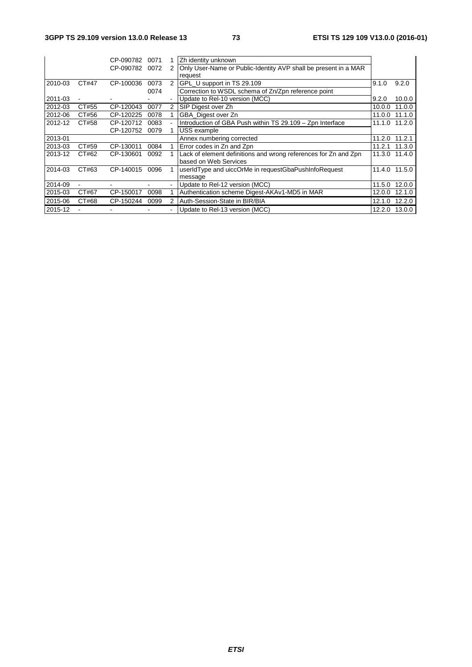|         |                | CP-090782 | 0071 |                | Zh identity unknown                                             |        |               |
|---------|----------------|-----------|------|----------------|-----------------------------------------------------------------|--------|---------------|
|         |                | CP-090782 | 0072 | 2              | Only User-Name or Public-Identity AVP shall be present in a MAR |        |               |
|         |                |           |      |                | request                                                         |        |               |
| 2010-03 | CT#47          | CP-100036 | 0073 | 2              | GPL U support in TS 29.109                                      | 9.1.0  | 9.2.0         |
|         |                |           | 0074 |                | Correction to WSDL schema of Zn/Zpn reference point             |        |               |
| 2011-03 |                |           |      | ۰              | Update to Rel-10 version (MCC)                                  | 9.2.0  | 10.0.0        |
| 2012-03 | CT#55          | CP-120043 | 0077 | $\overline{2}$ | SIP Digest over Zh                                              | 10.0.0 | 11.0.0        |
| 2012-06 | CT#56          | CP-120225 | 0078 |                | GBA Digest over Zn                                              | 11.0.0 | 11.1.0        |
| 2012-12 | CT#58          | CP-120712 | 0083 |                | Introduction of GBA Push within TS 29.109 - Zpn Interface       |        | 11.1.0 11.2.0 |
|         |                | CP-120752 | 0079 |                | USS example                                                     |        |               |
| 2013-01 |                |           |      |                | Annex numbering corrected                                       | 11.2.0 | 11.2.1        |
| 2013-03 | CT#59          | CP-130011 | 0084 |                | Error codes in Zn and Zpn                                       | 11.2.1 | 11.3.0        |
| 2013-12 | CT#62          | CP-130601 | 0092 |                | Lack of element definitions and wrong references for Zn and Zpn | 11.3.0 | 11.4.0        |
|         |                |           |      |                | based on Web Services                                           |        |               |
| 2014-03 | CT#63          | CP-140015 | 0096 |                | userIdType and uiccOrMe in requestGbaPushInfoRequest            | 11.4.0 | 11.5.0        |
|         |                |           |      |                | message                                                         |        |               |
| 2014-09 | $\blacksquare$ |           |      | ۰              | Update to Rel-12 version (MCC)                                  | 11.5.0 | 12.0.0        |
| 2015-03 | CT#67          | CP-150017 | 0098 |                | Authentication scheme Digest-AKAv1-MD5 in MAR                   | 12.0.0 | 12.1.0        |
| 2015-06 | CT#68          | CP-150244 | 0099 |                | Auth-Session-State in BIR/BIA                                   | 12.1.0 | 12.2.0        |
| 2015-12 |                |           |      | ۰              | Update to Rel-13 version (MCC)                                  | 12.2.0 | 13.0.0        |